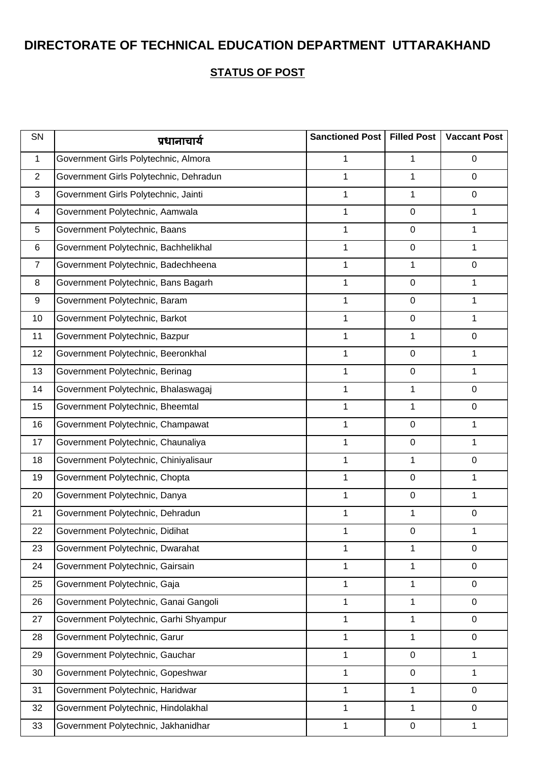| SN             | प्रधानाचार्य                           | Sanctioned Post | <b>Filled Post</b> | <b>Vaccant Post</b> |
|----------------|----------------------------------------|-----------------|--------------------|---------------------|
| $\mathbf{1}$   | Government Girls Polytechnic, Almora   | 1               | 1                  | $\mathbf 0$         |
| 2              | Government Girls Polytechnic, Dehradun | 1               | 1                  | $\mathbf 0$         |
| 3              | Government Girls Polytechnic, Jainti   | 1               | 1                  | $\mathbf 0$         |
| $\overline{4}$ | Government Polytechnic, Aamwala        | 1               | $\mathbf 0$        | 1                   |
| 5              | Government Polytechnic, Baans          | 1               | $\mathbf 0$        | 1                   |
| 6              | Government Polytechnic, Bachhelikhal   | 1               | $\mathbf 0$        | $\mathbf{1}$        |
| $\overline{7}$ | Government Polytechnic, Badechheena    | 1               | 1                  | $\mathbf 0$         |
| 8              | Government Polytechnic, Bans Bagarh    | 1               | $\mathbf 0$        | 1                   |
| 9              | Government Polytechnic, Baram          | 1               | $\mathbf 0$        | $\mathbf{1}$        |
| 10             | Government Polytechnic, Barkot         | 1               | $\mathbf 0$        | 1                   |
| 11             | Government Polytechnic, Bazpur         | 1               | 1                  | $\mathbf 0$         |
| 12             | Government Polytechnic, Beeronkhal     | 1               | $\mathbf 0$        | 1                   |
| 13             | Government Polytechnic, Berinag        | 1               | $\mathbf 0$        | $\mathbf{1}$        |
| 14             | Government Polytechnic, Bhalaswagaj    | $\mathbf{1}$    | $\mathbf{1}$       | $\mathbf 0$         |
| 15             | Government Polytechnic, Bheemtal       | 1               | 1                  | $\mathbf 0$         |
| 16             | Government Polytechnic, Champawat      | 1               | $\mathbf 0$        | 1                   |
| 17             | Government Polytechnic, Chaunaliya     | 1               | $\mathbf 0$        | $\mathbf{1}$        |
| 18             | Government Polytechnic, Chiniyalisaur  | 1               | 1                  | $\mathbf 0$         |
| 19             | Government Polytechnic, Chopta         | 1               | $\mathbf 0$        | 1                   |
| 20             | Government Polytechnic, Danya          | $\mathbf{1}$    | $\mathbf 0$        | $\mathbf{1}$        |
| 21             | Government Polytechnic, Dehradun       | 1               | 1                  | $\mathbf 0$         |
| 22             | Government Polytechnic, Didihat        | 1               | $\mathbf 0$        | 1                   |
| 23             | Government Polytechnic, Dwarahat       | 1               | 1                  | $\mathbf 0$         |
| 24             | Government Polytechnic, Gairsain       | 1               | 1                  | $\mathbf 0$         |
| 25             | Government Polytechnic, Gaja           | 1               | 1                  | $\mathbf 0$         |
| 26             | Government Polytechnic, Ganai Gangoli  | 1               | 1                  | $\mathbf 0$         |
| 27             | Government Polytechnic, Garhi Shyampur | 1               | 1                  | $\mathbf 0$         |
| 28             | Government Polytechnic, Garur          | 1               | 1                  | $\mathbf 0$         |
| 29             | Government Polytechnic, Gauchar        | 1               | $\mathbf 0$        | $\mathbf{1}$        |
| 30             | Government Polytechnic, Gopeshwar      | 1               | $\pmb{0}$          | 1                   |
| 31             | Government Polytechnic, Haridwar       | 1               | 1                  | $\mathbf 0$         |
| 32             | Government Polytechnic, Hindolakhal    | 1               | $\mathbf{1}$       | $\mathbf 0$         |
| 33             | Government Polytechnic, Jakhanidhar    | 1               | $\mathbf 0$        | $\mathbf{1}$        |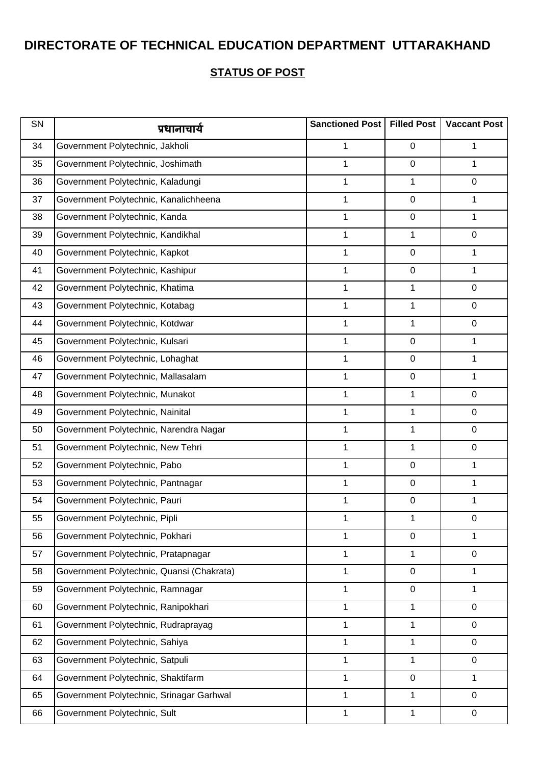| SN | प्रधानाचार्य                              | Sanctioned Post | <b>Filled Post</b> | <b>Vaccant Post</b> |
|----|-------------------------------------------|-----------------|--------------------|---------------------|
| 34 | Government Polytechnic, Jakholi           | 1               | $\mathbf 0$        | 1                   |
| 35 | Government Polytechnic, Joshimath         | $\mathbf{1}$    | $\boldsymbol{0}$   | 1                   |
| 36 | Government Polytechnic, Kaladungi         | $\mathbf{1}$    | 1                  | $\mathbf 0$         |
| 37 | Government Polytechnic, Kanalichheena     | 1               | $\boldsymbol{0}$   | 1                   |
| 38 | Government Polytechnic, Kanda             | 1               | $\boldsymbol{0}$   | 1                   |
| 39 | Government Polytechnic, Kandikhal         | $\mathbf{1}$    | 1                  | $\mathbf 0$         |
| 40 | Government Polytechnic, Kapkot            | 1               | $\pmb{0}$          | 1                   |
| 41 | Government Polytechnic, Kashipur          | 1               | $\boldsymbol{0}$   | 1                   |
| 42 | Government Polytechnic, Khatima           | 1               | 1                  | $\mathbf 0$         |
| 43 | Government Polytechnic, Kotabag           | $\mathbf{1}$    | 1                  | $\mathbf 0$         |
| 44 | Government Polytechnic, Kotdwar           | $\mathbf{1}$    | 1                  | $\mathbf 0$         |
| 45 | Government Polytechnic, Kulsari           | 1               | $\boldsymbol{0}$   | 1                   |
| 46 | Government Polytechnic, Lohaghat          | 1               | $\boldsymbol{0}$   | 1                   |
| 47 | Government Polytechnic, Mallasalam        | $\mathbf 1$     | $\pmb{0}$          | 1                   |
| 48 | Government Polytechnic, Munakot           | 1               | 1                  | $\mathbf 0$         |
| 49 | Government Polytechnic, Nainital          | $\mathbf{1}$    | 1                  | $\mathbf 0$         |
| 50 | Government Polytechnic, Narendra Nagar    | $\mathbf 1$     | 1                  | $\mathbf 0$         |
| 51 | Government Polytechnic, New Tehri         | $\mathbf{1}$    | 1                  | $\mathbf 0$         |
| 52 | Government Polytechnic, Pabo              | 1               | $\mathbf 0$        | 1                   |
| 53 | Government Polytechnic, Pantnagar         | 1               | $\boldsymbol{0}$   | 1                   |
| 54 | Government Polytechnic, Pauri             | 1               | $\boldsymbol{0}$   | 1                   |
| 55 | Government Polytechnic, Pipli             | 1               | 1                  | $\pmb{0}$           |
| 56 | Government Polytechnic, Pokhari           | 1               | $\pmb{0}$          | 1                   |
| 57 | Government Polytechnic, Pratapnagar       | 1               | 1                  | $\mathbf 0$         |
| 58 | Government Polytechnic, Quansi (Chakrata) | $\mathbf 1$     | $\boldsymbol{0}$   | 1                   |
| 59 | Government Polytechnic, Ramnagar          | $\mathbf{1}$    | $\pmb{0}$          | 1                   |
| 60 | Government Polytechnic, Ranipokhari       | 1               | 1                  | $\mathbf 0$         |
| 61 | Government Polytechnic, Rudraprayag       | $\mathbf{1}$    | 1                  | 0                   |
| 62 | Government Polytechnic, Sahiya            | $\mathbf{1}$    | 1                  | $\mathbf 0$         |
| 63 | Government Polytechnic, Satpuli           | $\mathbf{1}$    | 1                  | $\mathbf 0$         |
| 64 | Government Polytechnic, Shaktifarm        | $\mathbf{1}$    | $\pmb{0}$          | 1                   |
| 65 | Government Polytechnic, Srinagar Garhwal  | 1               | 1                  | 0                   |
| 66 | Government Polytechnic, Sult              | $\mathbf 1$     | 1                  | $\mathbf 0$         |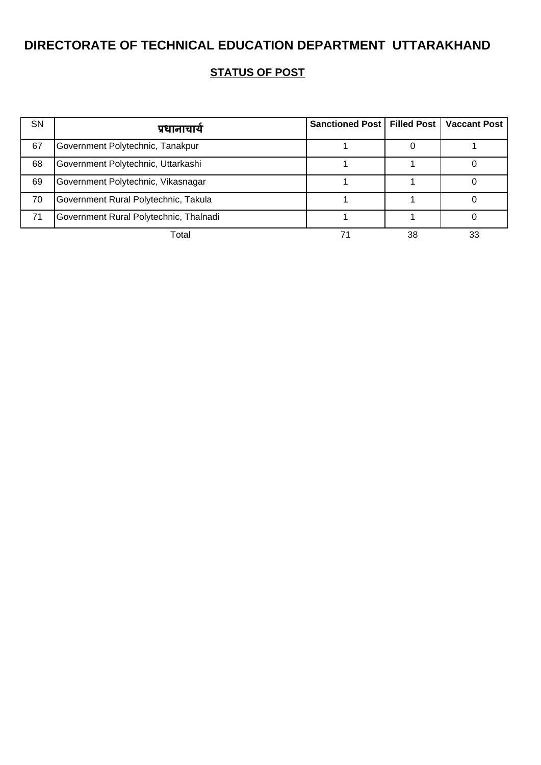| <b>SN</b> | प्रधानाचार्य                           | Sanctioned Post   Filled Post   Vaccant Post |    |    |
|-----------|----------------------------------------|----------------------------------------------|----|----|
| 67        | Government Polytechnic, Tanakpur       |                                              |    |    |
| 68        | Government Polytechnic, Uttarkashi     |                                              |    |    |
| 69        | Government Polytechnic, Vikasnagar     |                                              |    |    |
| 70        | Government Rural Polytechnic, Takula   |                                              |    |    |
| 71        | Government Rural Polytechnic, Thalnadi |                                              |    |    |
|           | Total                                  |                                              | 38 | 33 |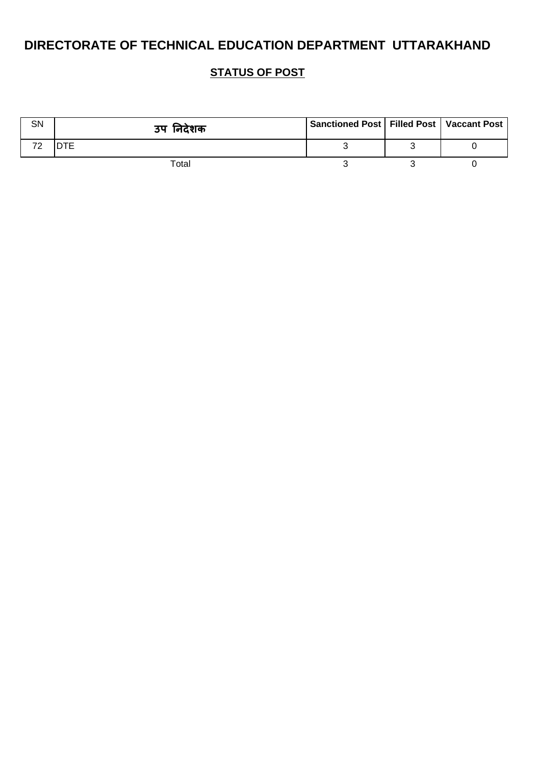| SN | उप निदेशक | Sanctioned Post   Filled Post   Vaccant Post |  |
|----|-----------|----------------------------------------------|--|
| 70 |           |                                              |  |
|    | Total     |                                              |  |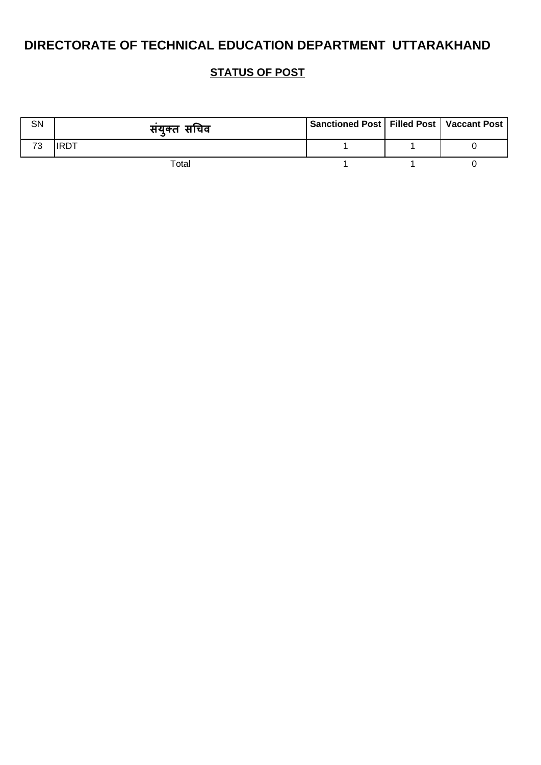| SN | सयुक्त सचिव | Sanctioned Post   Filled Post   Vaccant Post |  |
|----|-------------|----------------------------------------------|--|
| 73 |             |                                              |  |
|    | Total       |                                              |  |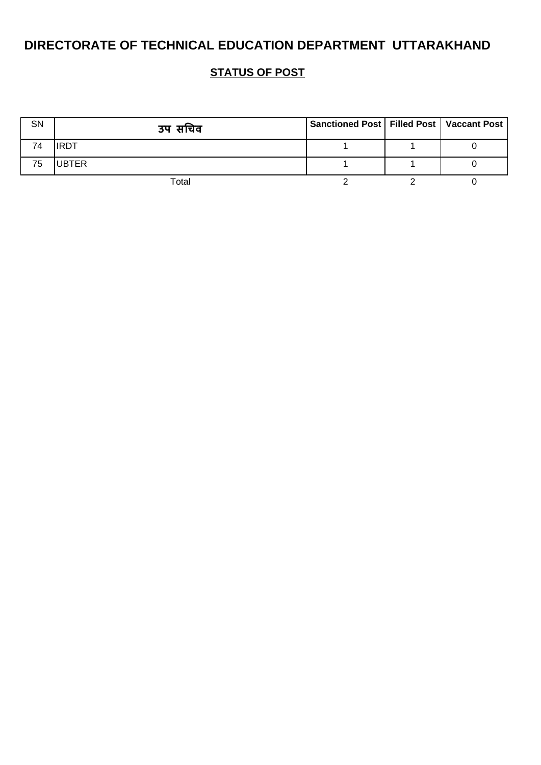| SN | उप सचिव      | Sanctioned Post   Filled Post   Vaccant Post |  |
|----|--------------|----------------------------------------------|--|
| 74 |              |                                              |  |
| 75 | <b>UBTER</b> |                                              |  |
|    | Total        |                                              |  |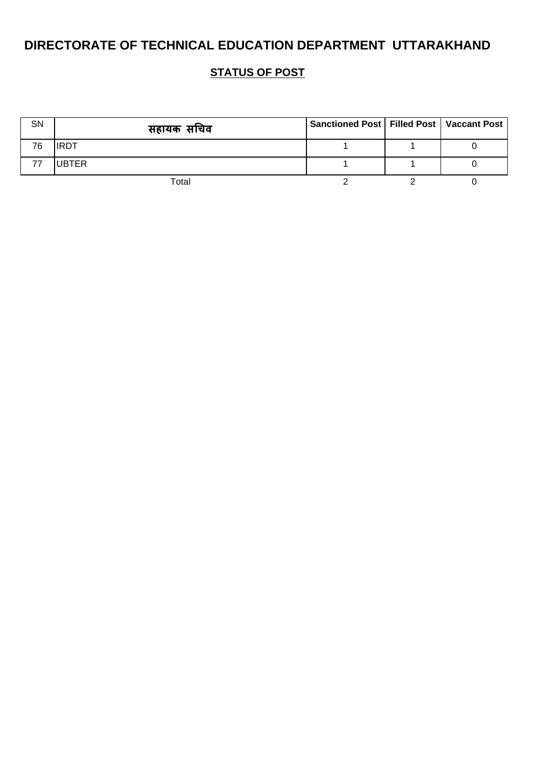| <b>SN</b> | सहायक सचिव   | Sanctioned Post   Filled Post   Vaccant Post |  |
|-----------|--------------|----------------------------------------------|--|
| 76        | <b>IRDT</b>  |                                              |  |
|           | <b>UBTER</b> |                                              |  |
|           | Total        |                                              |  |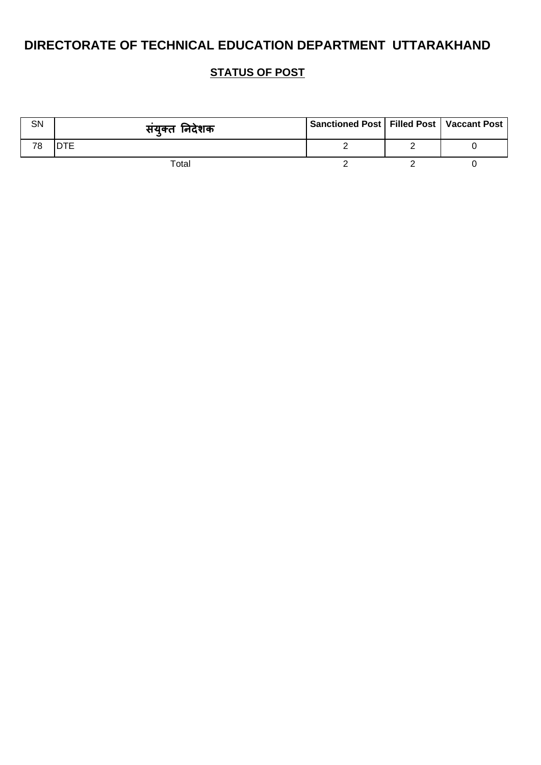| SN | संयुक्त निदेशक | Sanctioned Post   Filled Post   Vaccant Post |  |
|----|----------------|----------------------------------------------|--|
| 78 |                |                                              |  |
|    | Total          |                                              |  |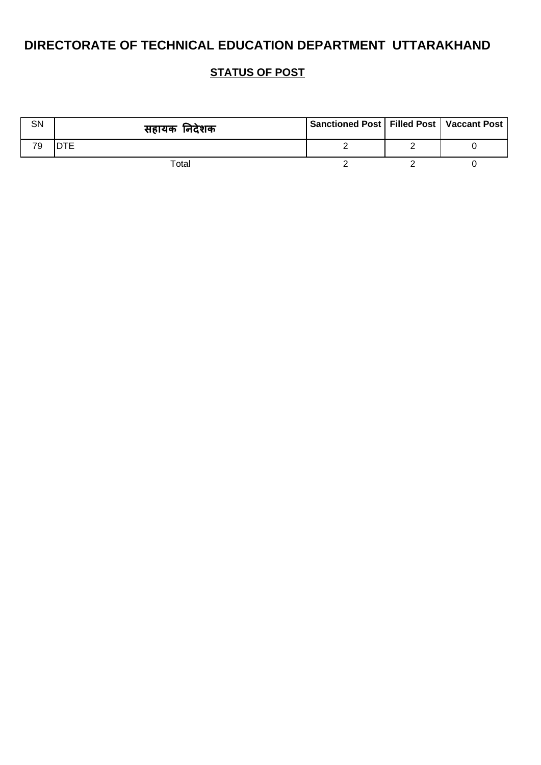| SN | सहायक निदेशक | Sanctioned Post   Filled Post   Vaccant Post |  |
|----|--------------|----------------------------------------------|--|
| 79 |              |                                              |  |
|    | Total        |                                              |  |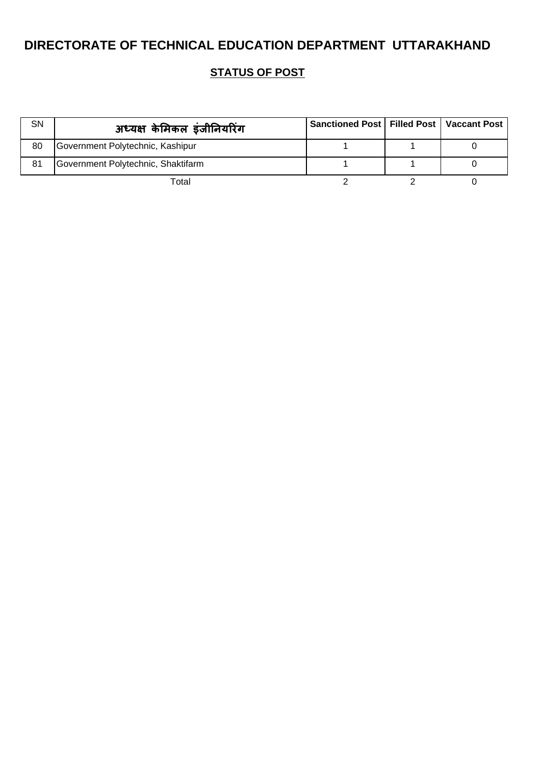| <b>SN</b> | अध्यक्ष केमिकल इंजीनियरिंग         | Sanctioned Post   Filled Post   Vaccant Post |  |
|-----------|------------------------------------|----------------------------------------------|--|
| 80        | Government Polytechnic, Kashipur   |                                              |  |
| 81        | Government Polytechnic, Shaktifarm |                                              |  |
|           | Total                              |                                              |  |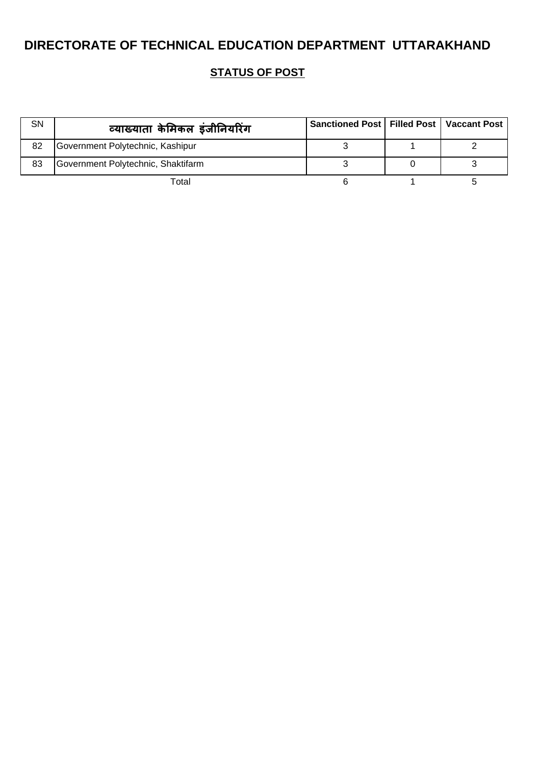| SN | व्याख्याता केमिकल इंजीनियरिंग      | Sanctioned Post   Filled Post   Vaccant Post |  |
|----|------------------------------------|----------------------------------------------|--|
| 82 | Government Polytechnic, Kashipur   |                                              |  |
| 83 | Government Polytechnic, Shaktifarm |                                              |  |
|    | Total                              |                                              |  |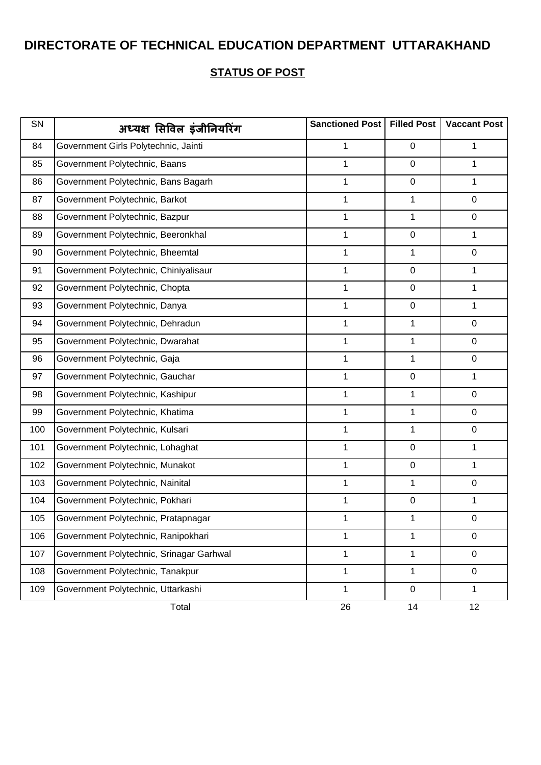| SN  | अध्यक्ष सिविल इंजीनियरिंग                | Sanctioned Post | <b>Filled Post</b> | <b>Vaccant Post</b> |
|-----|------------------------------------------|-----------------|--------------------|---------------------|
| 84  | Government Girls Polytechnic, Jainti     | 1               | $\mathbf 0$        | 1                   |
| 85  | Government Polytechnic, Baans            | $\mathbf 1$     | $\mathbf 0$        | $\mathbf{1}$        |
| 86  | Government Polytechnic, Bans Bagarh      | 1               | $\mathbf 0$        | $\mathbf{1}$        |
| 87  | Government Polytechnic, Barkot           | 1               | $\mathbf 1$        | $\mathbf 0$         |
| 88  | Government Polytechnic, Bazpur           | $\mathbf 1$     | $\mathbf 1$        | $\mathbf 0$         |
| 89  | Government Polytechnic, Beeronkhal       | 1               | $\pmb{0}$          | $\mathbf{1}$        |
| 90  | Government Polytechnic, Bheemtal         | 1               | 1                  | $\mathbf 0$         |
| 91  | Government Polytechnic, Chiniyalisaur    | 1               | $\mathbf 0$        | 1                   |
| 92  | Government Polytechnic, Chopta           | $\mathbf 1$     | $\mathbf 0$        | $\mathbf{1}$        |
| 93  | Government Polytechnic, Danya            | $\mathbf{1}$    | $\mathbf 0$        | $\mathbf{1}$        |
| 94  | Government Polytechnic, Dehradun         | 1               | 1                  | $\mathbf 0$         |
| 95  | Government Polytechnic, Dwarahat         | 1               | 1                  | $\mathbf 0$         |
| 96  | Government Polytechnic, Gaja             | $\mathbf 1$     | 1                  | $\mathbf 0$         |
| 97  | Government Polytechnic, Gauchar          | 1               | $\pmb{0}$          | $\mathbf{1}$        |
| 98  | Government Polytechnic, Kashipur         | 1               | 1                  | $\mathbf 0$         |
| 99  | Government Polytechnic, Khatima          | 1               | 1                  | $\mathbf 0$         |
| 100 | Government Polytechnic, Kulsari          | $\mathbf 1$     | 1                  | $\mathbf 0$         |
| 101 | Government Polytechnic, Lohaghat         | $\mathbf{1}$    | $\mathbf 0$        | $\mathbf{1}$        |
| 102 | Government Polytechnic, Munakot          | 1               | $\mathbf 0$        | $\mathbf{1}$        |
| 103 | Government Polytechnic, Nainital         | 1               | 1                  | $\mathsf 0$         |
| 104 | Government Polytechnic, Pokhari          | 1               | $\pmb{0}$          | 1                   |
| 105 | Government Polytechnic, Pratapnagar      | 1               | 1                  | 0                   |
| 106 | Government Polytechnic, Ranipokhari      | 1               | $\mathbf{1}$       | $\mathbf 0$         |
| 107 | Government Polytechnic, Srinagar Garhwal | 1               | $\mathbf{1}$       | $\mathbf 0$         |
| 108 | Government Polytechnic, Tanakpur         | $\mathbf{1}$    | $\mathbf{1}$       | $\pmb{0}$           |
| 109 | Government Polytechnic, Uttarkashi       | $\mathbf{1}$    | $\mathbf 0$        | $\mathbf{1}$        |
|     | Total                                    | 26              | 14                 | 12                  |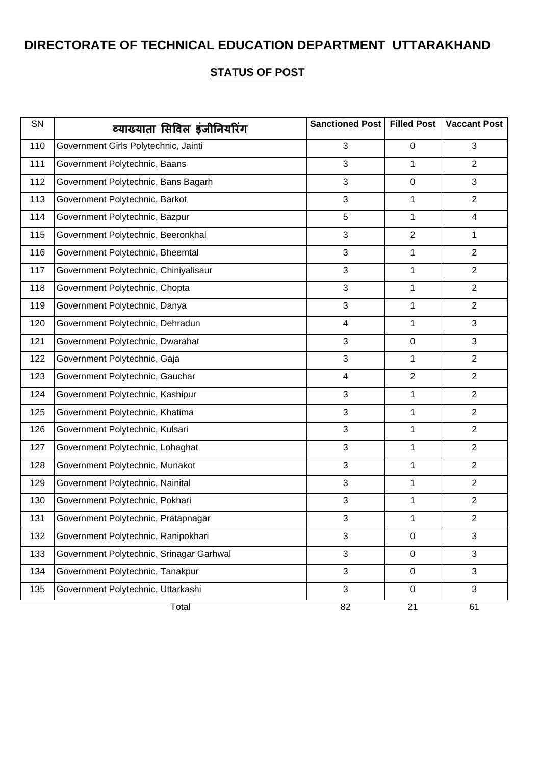| SN  | व्याख्याता सिविल इंजीनियरिंग             | Sanctioned Post         | <b>Filled Post</b> | <b>Vaccant Post</b> |
|-----|------------------------------------------|-------------------------|--------------------|---------------------|
| 110 | Government Girls Polytechnic, Jainti     | 3                       | $\mathbf 0$        | 3                   |
| 111 | Government Polytechnic, Baans            | 3                       | 1                  | $\overline{2}$      |
| 112 | Government Polytechnic, Bans Bagarh      | 3                       | $\mathbf 0$        | 3                   |
| 113 | Government Polytechnic, Barkot           | 3                       | 1                  | $\overline{2}$      |
| 114 | Government Polytechnic, Bazpur           | 5                       | $\mathbf{1}$       | $\overline{4}$      |
| 115 | Government Polytechnic, Beeronkhal       | 3                       | $\overline{2}$     | $\mathbf{1}$        |
| 116 | Government Polytechnic, Bheemtal         | 3                       | 1                  | $\overline{2}$      |
| 117 | Government Polytechnic, Chiniyalisaur    | 3                       | $\mathbf 1$        | $\overline{2}$      |
| 118 | Government Polytechnic, Chopta           | 3                       | 1                  | $\overline{2}$      |
| 119 | Government Polytechnic, Danya            | 3                       | $\mathbf{1}$       | $\overline{2}$      |
| 120 | Government Polytechnic, Dehradun         | $\overline{4}$          | 1                  | 3                   |
| 121 | Government Polytechnic, Dwarahat         | 3                       | $\pmb{0}$          | 3                   |
| 122 | Government Polytechnic, Gaja             | 3                       | $\mathbf{1}$       | $\overline{2}$      |
| 123 | Government Polytechnic, Gauchar          | $\overline{\mathbf{4}}$ | $\overline{2}$     | $\overline{2}$      |
| 124 | Government Polytechnic, Kashipur         | 3                       | 1                  | $\overline{2}$      |
| 125 | Government Polytechnic, Khatima          | 3                       | 1                  | $\overline{2}$      |
| 126 | Government Polytechnic, Kulsari          | 3                       | 1                  | $\overline{2}$      |
| 127 | Government Polytechnic, Lohaghat         | 3                       | $\mathbf{1}$       | $\overline{2}$      |
| 128 | Government Polytechnic, Munakot          | 3                       | 1                  | $\overline{2}$      |
| 129 | Government Polytechnic, Nainital         | $\sqrt{3}$              | 1                  | $\overline{2}$      |
| 130 | Government Polytechnic, Pokhari          | 3                       | 1                  | $\overline{2}$      |
| 131 | Government Polytechnic, Pratapnagar      | 3                       | 1                  | $\overline{2}$      |
| 132 | Government Polytechnic, Ranipokhari      | 3                       | $\mathbf 0$        | 3                   |
| 133 | Government Polytechnic, Srinagar Garhwal | $\mathfrak{S}$          | $\pmb{0}$          | 3                   |
| 134 | Government Polytechnic, Tanakpur         | 3                       | $\mathbf 0$        | 3                   |
| 135 | Government Polytechnic, Uttarkashi       | 3                       | $\mathbf 0$        | 3                   |
|     | Total                                    | 82                      | 21                 | 61                  |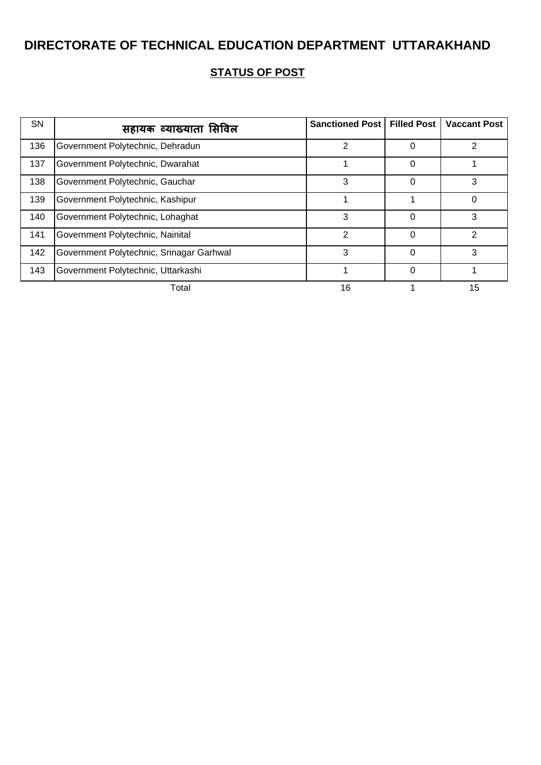| <b>SN</b> | सहायक व्याख्याता सिविल                   | Sanctioned Post   Filled Post |          | <b>Vaccant Post</b> |
|-----------|------------------------------------------|-------------------------------|----------|---------------------|
| 136       | Government Polytechnic, Dehradun         | 2                             | 0        |                     |
| 137       | Government Polytechnic, Dwarahat         |                               | 0        |                     |
| 138       | Government Polytechnic, Gauchar          | 3                             | 0        | 3                   |
| 139       | Government Polytechnic, Kashipur         |                               |          |                     |
| 140       | Government Polytechnic, Lohaghat         | 3                             | 0        | 3                   |
| 141       | Government Polytechnic, Nainital         | $\mathcal{P}$                 | $\Omega$ | 2                   |
| 142       | Government Polytechnic, Srinagar Garhwal | 3                             | $\Omega$ | 3                   |
| 143       | Government Polytechnic, Uttarkashi       |                               | $\Omega$ |                     |
|           | Total                                    | 16                            |          | 15                  |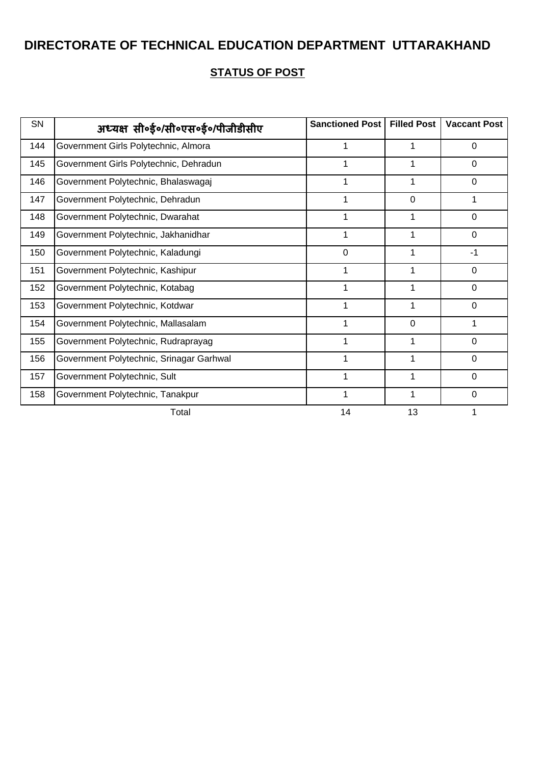| SN  | अध्यक्ष सी॰ई॰/सी॰एस॰ई॰/पीजीडीसीए         | <b>Sanctioned Post</b> | <b>Filled Post</b> | <b>Vaccant Post</b> |
|-----|------------------------------------------|------------------------|--------------------|---------------------|
| 144 | Government Girls Polytechnic, Almora     |                        |                    | 0                   |
| 145 | Government Girls Polytechnic, Dehradun   |                        |                    | $\Omega$            |
| 146 | Government Polytechnic, Bhalaswagaj      |                        |                    | $\Omega$            |
| 147 | Government Polytechnic, Dehradun         |                        | $\Omega$           |                     |
| 148 | Government Polytechnic, Dwarahat         |                        |                    | $\mathbf 0$         |
| 149 | Government Polytechnic, Jakhanidhar      |                        |                    | 0                   |
| 150 | Government Polytechnic, Kaladungi        | $\mathbf 0$            |                    | $-1$                |
| 151 | Government Polytechnic, Kashipur         |                        |                    | $\Omega$            |
| 152 | Government Polytechnic, Kotabag          |                        |                    | $\mathbf 0$         |
| 153 | Government Polytechnic, Kotdwar          |                        |                    | $\mathbf 0$         |
| 154 | Government Polytechnic, Mallasalam       |                        | 0                  | 1                   |
| 155 | Government Polytechnic, Rudraprayag      | 1                      |                    | $\mathbf 0$         |
| 156 | Government Polytechnic, Srinagar Garhwal |                        |                    | $\Omega$            |
| 157 | Government Polytechnic, Sult             |                        |                    | $\mathbf 0$         |
| 158 | Government Polytechnic, Tanakpur         |                        |                    | 0                   |
|     | Total                                    | 14                     | 13                 |                     |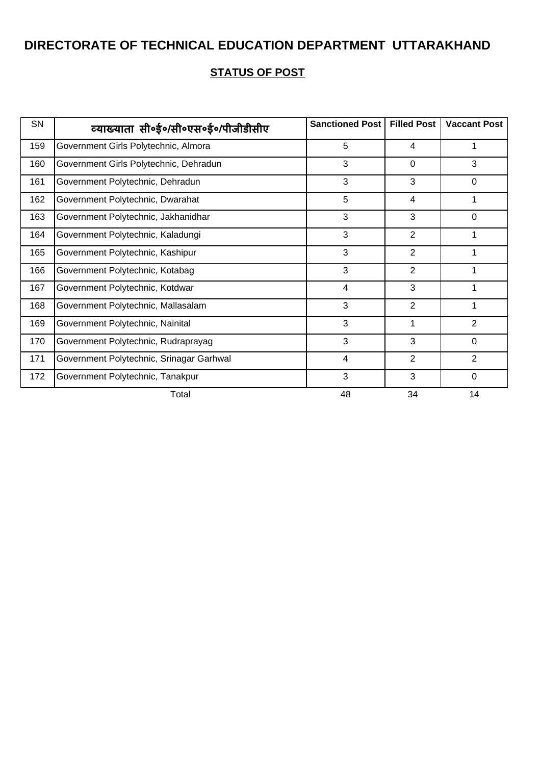| SN  | व्याख्याता सी॰ई॰/सी॰एस॰ई॰/पीजीडीसीए      | <b>Sanctioned Post</b> | <b>Filled Post</b> | <b>Vaccant Post</b> |
|-----|------------------------------------------|------------------------|--------------------|---------------------|
| 159 | Government Girls Polytechnic, Almora     | 5                      | 4                  | 1                   |
| 160 | Government Girls Polytechnic, Dehradun   | 3                      | $\Omega$           | 3                   |
| 161 | Government Polytechnic, Dehradun         | 3                      | 3                  | $\Omega$            |
| 162 | Government Polytechnic, Dwarahat         | 5                      | $\overline{4}$     |                     |
| 163 | Government Polytechnic, Jakhanidhar      | 3                      | 3                  | $\Omega$            |
| 164 | Government Polytechnic, Kaladungi        | 3                      | $\overline{2}$     |                     |
| 165 | Government Polytechnic, Kashipur         | 3                      | 2                  |                     |
| 166 | Government Polytechnic, Kotabag          | 3                      | 2                  | 1                   |
| 167 | Government Polytechnic, Kotdwar          | $\overline{4}$         | 3                  |                     |
| 168 | Government Polytechnic, Mallasalam       | 3                      | $\overline{2}$     |                     |
| 169 | Government Polytechnic, Nainital         | 3                      | 1                  | $\overline{2}$      |
| 170 | Government Polytechnic, Rudraprayag      | 3                      | 3                  | $\mathbf 0$         |
| 171 | Government Polytechnic, Srinagar Garhwal | $\overline{4}$         | 2                  | $\overline{2}$      |
| 172 | Government Polytechnic, Tanakpur         | 3                      | 3                  | $\Omega$            |
|     | Total                                    | 48                     | 34                 | 14                  |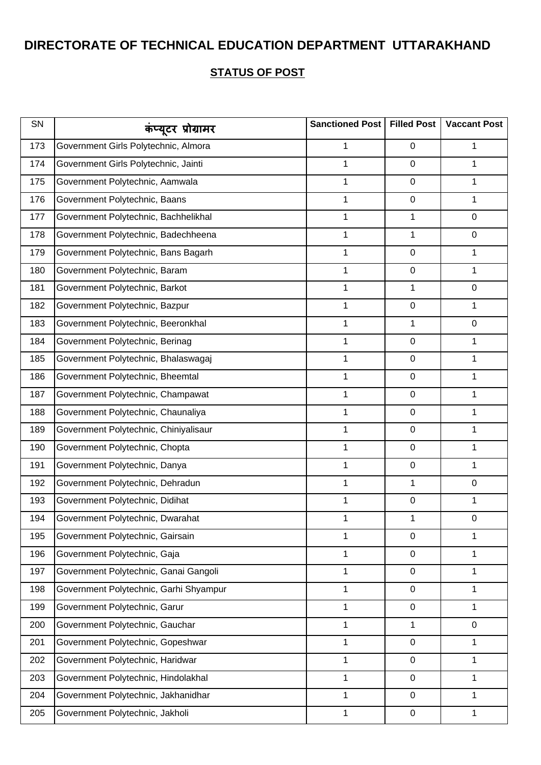| SN  | कंप्यूटर प्रोग्रामर                    | Sanctioned Post | <b>Filled Post</b> | <b>Vaccant Post</b> |
|-----|----------------------------------------|-----------------|--------------------|---------------------|
| 173 | Government Girls Polytechnic, Almora   | 1               | 0                  | 1                   |
| 174 | Government Girls Polytechnic, Jainti   | 1               | 0                  | 1                   |
| 175 | Government Polytechnic, Aamwala        | 1               | 0                  | 1                   |
| 176 | Government Polytechnic, Baans          | 1               | 0                  | 1                   |
| 177 | Government Polytechnic, Bachhelikhal   | 1               | 1                  | 0                   |
| 178 | Government Polytechnic, Badechheena    | 1               | 1                  | 0                   |
| 179 | Government Polytechnic, Bans Bagarh    | 1               | 0                  | 1                   |
| 180 | Government Polytechnic, Baram          | 1               | 0                  | 1                   |
| 181 | Government Polytechnic, Barkot         | 1               | 1                  | 0                   |
| 182 | Government Polytechnic, Bazpur         | 1               | 0                  | 1                   |
| 183 | Government Polytechnic, Beeronkhal     | 1               | 1                  | 0                   |
| 184 | Government Polytechnic, Berinag        | 1               | 0                  | 1                   |
| 185 | Government Polytechnic, Bhalaswagaj    | 1               | 0                  | 1                   |
| 186 | Government Polytechnic, Bheemtal       | 1               | 0                  | 1                   |
| 187 | Government Polytechnic, Champawat      | 1               | 0                  | 1                   |
| 188 | Government Polytechnic, Chaunaliya     | 1               | 0                  | 1                   |
| 189 | Government Polytechnic, Chiniyalisaur  | 1               | 0                  | 1                   |
| 190 | Government Polytechnic, Chopta         | 1               | 0                  | 1                   |
| 191 | Government Polytechnic, Danya          | 1               | 0                  | 1                   |
| 192 | Government Polytechnic, Dehradun       | 1               | 1                  | 0                   |
| 193 | Government Polytechnic, Didihat        | 1               | 0                  | 1                   |
| 194 | Government Polytechnic, Dwarahat       | 1               | 1                  | $\mathbf 0$         |
| 195 | Government Polytechnic, Gairsain       | 1               | $\boldsymbol{0}$   | 1                   |
| 196 | Government Polytechnic, Gaja           | 1               | 0                  | 1                   |
| 197 | Government Polytechnic, Ganai Gangoli  | 1               | 0                  | 1                   |
| 198 | Government Polytechnic, Garhi Shyampur | 1               | 0                  | 1                   |
| 199 | Government Polytechnic, Garur          | 1               | $\boldsymbol{0}$   | 1                   |
| 200 | Government Polytechnic, Gauchar        | 1               | 1                  | 0                   |
| 201 | Government Polytechnic, Gopeshwar      | $\mathbf 1$     | $\boldsymbol{0}$   | 1                   |
| 202 | Government Polytechnic, Haridwar       | 1               | 0                  | 1                   |
| 203 | Government Polytechnic, Hindolakhal    | 1               | 0                  | 1                   |
| 204 | Government Polytechnic, Jakhanidhar    | 1               | 0                  | 1                   |
| 205 | Government Polytechnic, Jakholi        | 1               | 0                  | 1                   |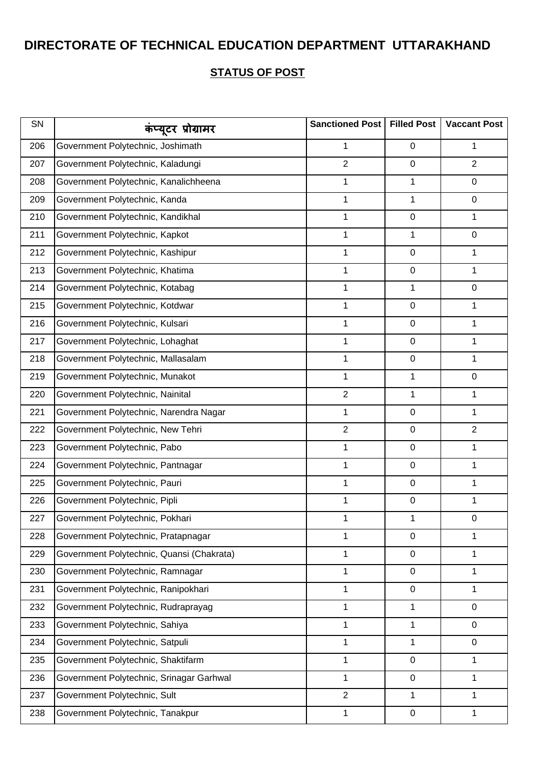| SN  | कंप्यूटर प्रोग्रामर                       | Sanctioned Post | <b>Filled Post</b> | <b>Vaccant Post</b> |
|-----|-------------------------------------------|-----------------|--------------------|---------------------|
| 206 | Government Polytechnic, Joshimath         | 1               | $\mathbf 0$        | 1                   |
| 207 | Government Polytechnic, Kaladungi         | $\overline{2}$  | $\mathbf 0$        | $\overline{2}$      |
| 208 | Government Polytechnic, Kanalichheena     | 1               | 1                  | $\mathbf 0$         |
| 209 | Government Polytechnic, Kanda             | 1               | 1                  | 0                   |
| 210 | Government Polytechnic, Kandikhal         | 1               | $\pmb{0}$          | 1                   |
| 211 | Government Polytechnic, Kapkot            | 1               | 1                  | 0                   |
| 212 | Government Polytechnic, Kashipur          | 1               | $\pmb{0}$          | 1                   |
| 213 | Government Polytechnic, Khatima           | 1               | $\pmb{0}$          | 1                   |
| 214 | Government Polytechnic, Kotabag           | 1               | 1                  | $\mathbf 0$         |
| 215 | Government Polytechnic, Kotdwar           | 1               | $\pmb{0}$          | 1                   |
| 216 | Government Polytechnic, Kulsari           | 1               | $\pmb{0}$          | $\mathbf{1}$        |
| 217 | Government Polytechnic, Lohaghat          | 1               | $\pmb{0}$          | 1                   |
| 218 | Government Polytechnic, Mallasalam        | 1               | $\pmb{0}$          | 1                   |
| 219 | Government Polytechnic, Munakot           | 1               | 1                  | 0                   |
| 220 | Government Polytechnic, Nainital          | $\overline{2}$  | 1                  | 1                   |
| 221 | Government Polytechnic, Narendra Nagar    | 1               | $\mathbf 0$        | 1                   |
| 222 | Government Polytechnic, New Tehri         | $\overline{2}$  | $\pmb{0}$          | $\overline{2}$      |
| 223 | Government Polytechnic, Pabo              | 1               | $\pmb{0}$          | 1                   |
| 224 | Government Polytechnic, Pantnagar         | 1               | $\pmb{0}$          | $\mathbf{1}$        |
| 225 | Government Polytechnic, Pauri             | 1               | $\pmb{0}$          | 1                   |
| 226 | Government Polytechnic, Pipli             | 1               | $\pmb{0}$          | 1                   |
| 227 | Government Polytechnic, Pokhari           | 1               | 1                  | 0                   |
| 228 | Government Polytechnic, Pratapnagar       | 1               | $\mathbf 0$        | 1                   |
| 229 | Government Polytechnic, Quansi (Chakrata) | 1               | $\pmb{0}$          | 1                   |
| 230 | Government Polytechnic, Ramnagar          | 1               | $\pmb{0}$          | 1                   |
| 231 | Government Polytechnic, Ranipokhari       | 1               | $\pmb{0}$          | 1                   |
| 232 | Government Polytechnic, Rudraprayag       | 1               | 1                  | $\mathbf 0$         |
| 233 | Government Polytechnic, Sahiya            | 1               | 1                  | 0                   |
| 234 | Government Polytechnic, Satpuli           | $\mathbf 1$     | 1                  | $\mathbf 0$         |
| 235 | Government Polytechnic, Shaktifarm        | 1               | $\pmb{0}$          | 1                   |
| 236 | Government Polytechnic, Srinagar Garhwal  | 1               | $\pmb{0}$          | 1                   |
| 237 | Government Polytechnic, Sult              | $\overline{2}$  | 1                  | 1                   |
| 238 | Government Polytechnic, Tanakpur          | $\mathbf{1}$    | $\pmb{0}$          | 1                   |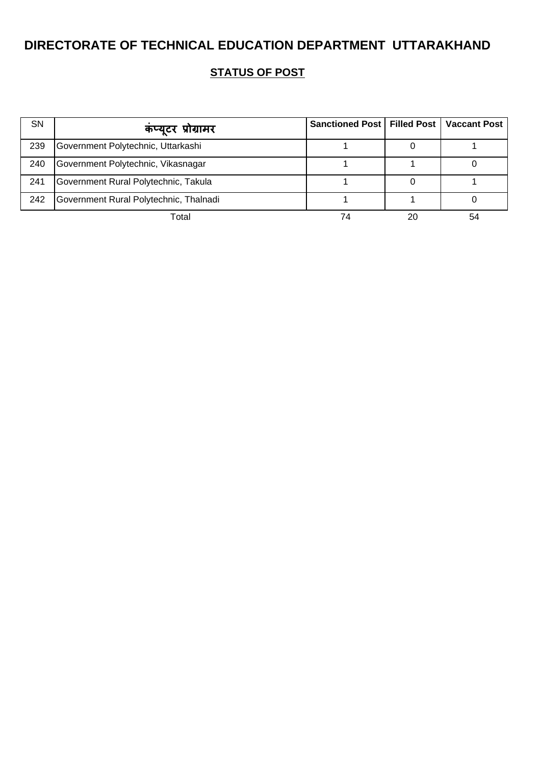| <b>SN</b> | कप्यूटर प्रोग्रामर                     | Sanctioned Post   Filled Post   Vaccant Post |    |    |
|-----------|----------------------------------------|----------------------------------------------|----|----|
| 239       | Government Polytechnic, Uttarkashi     |                                              |    |    |
| 240       | Government Polytechnic, Vikasnagar     |                                              |    |    |
| 241       | Government Rural Polytechnic, Takula   |                                              |    |    |
| 242       | Government Rural Polytechnic, Thalnadi |                                              |    |    |
|           | Total                                  | 74                                           | 20 | 54 |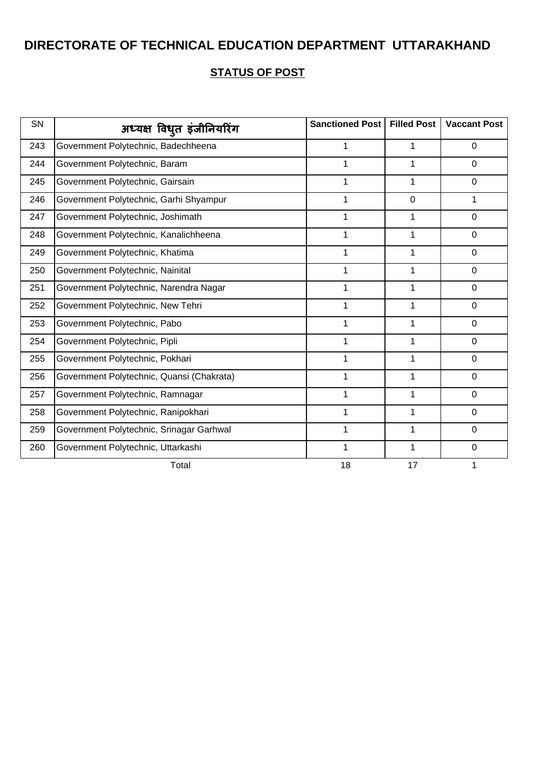| SN  | अध्यक्ष विधुत इंजीनियरिंग                 | <b>Sanctioned Post</b> | <b>Filled Post</b> | <b>Vaccant Post</b> |
|-----|-------------------------------------------|------------------------|--------------------|---------------------|
| 243 | Government Polytechnic, Badechheena       | 1                      | 1                  | 0                   |
| 244 | Government Polytechnic, Baram             | 1                      |                    | $\Omega$            |
| 245 | Government Polytechnic, Gairsain          | 1                      | 1                  | $\overline{0}$      |
| 246 | Government Polytechnic, Garhi Shyampur    | 1                      | $\mathbf 0$        | 1                   |
| 247 | Government Polytechnic, Joshimath         | 1                      | 1                  | $\mathbf 0$         |
| 248 | Government Polytechnic, Kanalichheena     | 1                      | 1                  | $\mathbf 0$         |
| 249 | Government Polytechnic, Khatima           | 1                      | 1                  | $\mathbf 0$         |
| 250 | Government Polytechnic, Nainital          | 1                      | 1                  | $\Omega$            |
| 251 | Government Polytechnic, Narendra Nagar    | 1                      | 1                  | $\mathbf 0$         |
| 252 | Government Polytechnic, New Tehri         | 1                      | 1                  | 0                   |
| 253 | Government Polytechnic, Pabo              | 1                      | 1                  | $\mathbf 0$         |
| 254 | Government Polytechnic, Pipli             | 1                      | 1                  | $\mathbf 0$         |
| 255 | Government Polytechnic, Pokhari           | 1                      | 1                  | 0                   |
| 256 | Government Polytechnic, Quansi (Chakrata) |                        |                    | $\overline{0}$      |
| 257 | Government Polytechnic, Ramnagar          | 1                      | 1                  | $\mathbf 0$         |
| 258 | Government Polytechnic, Ranipokhari       | 1                      | 1                  | $\Omega$            |
| 259 | Government Polytechnic, Srinagar Garhwal  | 1                      | 1                  | $\mathbf 0$         |
| 260 | Government Polytechnic, Uttarkashi        | $\mathbf{1}$           | 1                  | $\mathbf 0$         |
|     | Total                                     | 18                     | 17                 | 1                   |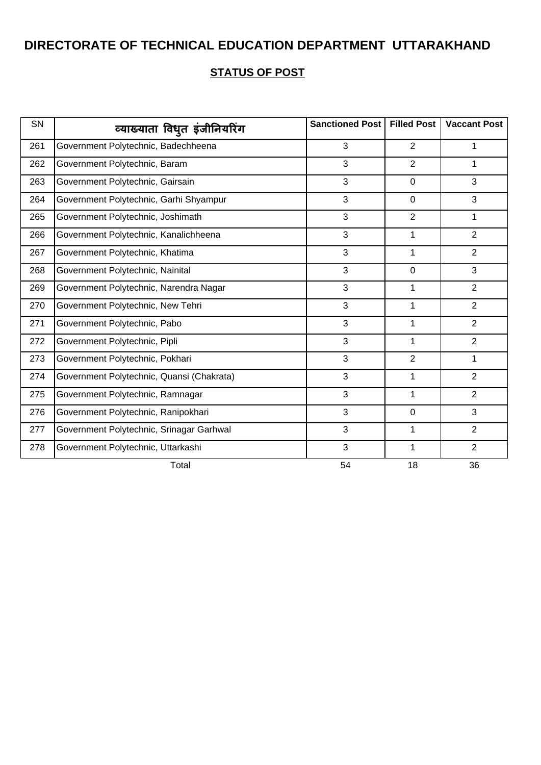| SN  | व्याख्याता विधुत इंजीनियरिंग              | Sanctioned Post | <b>Filled Post</b> | <b>Vaccant Post</b> |
|-----|-------------------------------------------|-----------------|--------------------|---------------------|
| 261 | Government Polytechnic, Badechheena       | 3               | $\overline{2}$     | 1                   |
| 262 | Government Polytechnic, Baram             | 3               | $\overline{2}$     | 1                   |
| 263 | Government Polytechnic, Gairsain          | 3               | $\mathbf 0$        | 3                   |
| 264 | Government Polytechnic, Garhi Shyampur    | 3               | $\mathbf 0$        | 3                   |
| 265 | Government Polytechnic, Joshimath         | 3               | $\overline{2}$     | 1                   |
| 266 | Government Polytechnic, Kanalichheena     | 3               | 1                  | $\overline{2}$      |
| 267 | Government Polytechnic, Khatima           | 3               | 1                  | $\overline{2}$      |
| 268 | Government Polytechnic, Nainital          | 3               | 0                  | 3                   |
| 269 | Government Polytechnic, Narendra Nagar    | 3               | 1                  | $\overline{2}$      |
| 270 | Government Polytechnic, New Tehri         | 3               | 1                  | $\overline{2}$      |
| 271 | Government Polytechnic, Pabo              | 3               | 1                  | $\overline{2}$      |
| 272 | Government Polytechnic, Pipli             | 3               | 1                  | $\overline{2}$      |
| 273 | Government Polytechnic, Pokhari           | 3               | $\overline{2}$     | 1                   |
| 274 | Government Polytechnic, Quansi (Chakrata) | 3               | 1                  | $\overline{2}$      |
| 275 | Government Polytechnic, Ramnagar          | 3               | 1                  | $\overline{2}$      |
| 276 | Government Polytechnic, Ranipokhari       | 3               | $\mathbf 0$        | 3                   |
| 277 | Government Polytechnic, Srinagar Garhwal  | 3               | 1                  | $\overline{2}$      |
| 278 | Government Polytechnic, Uttarkashi        | 3               | $\mathbf{1}$       | $\overline{2}$      |
|     | Total                                     | 54              | 18                 | 36                  |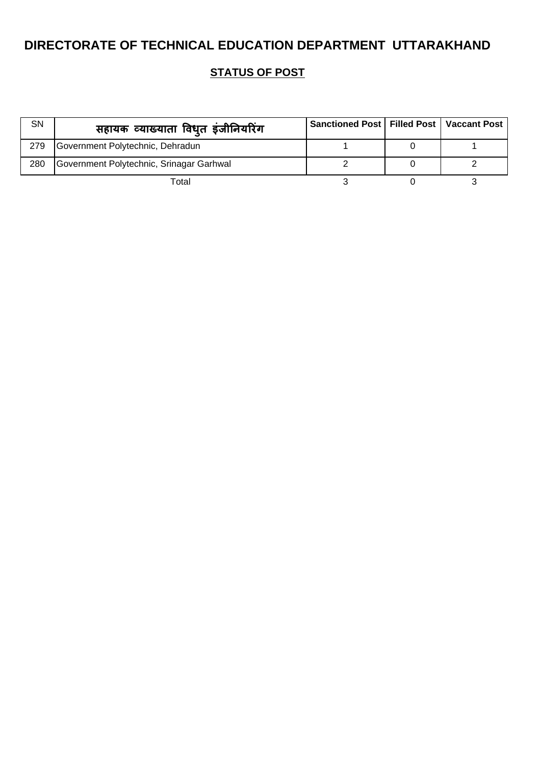| SN  | सहायक व्याख्याता विध् <b>त इंजीनियरिंग</b> | Sanctioned Post   Filled Post   Vaccant Post |  |
|-----|--------------------------------------------|----------------------------------------------|--|
| 279 | Government Polytechnic, Dehradun           |                                              |  |
| 280 | Government Polytechnic, Srinagar Garhwal   |                                              |  |
|     | Total                                      |                                              |  |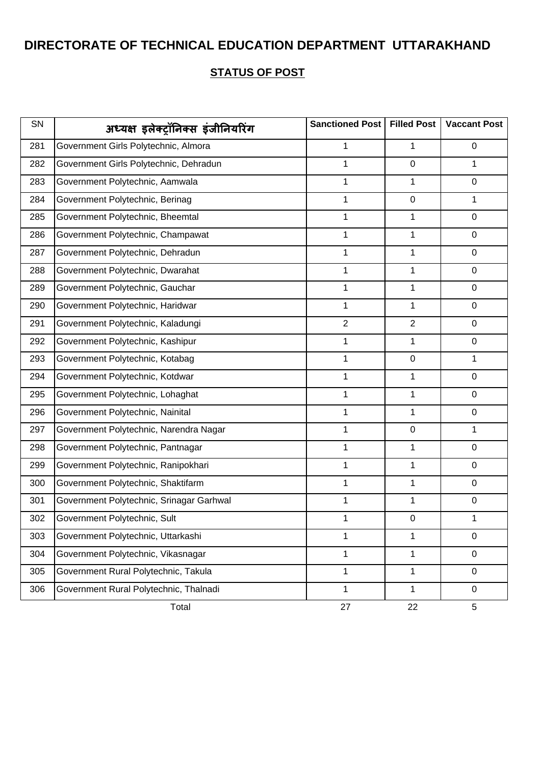| SN  | अध्यक्ष इलेक्ट्रॉनिक्स इंजीनियरिंग       | Sanctioned Post | <b>Filled Post</b> | <b>Vaccant Post</b> |
|-----|------------------------------------------|-----------------|--------------------|---------------------|
| 281 | Government Girls Polytechnic, Almora     | 1               | 1                  | 0                   |
| 282 | Government Girls Polytechnic, Dehradun   | 1               | $\mathbf 0$        | 1                   |
| 283 | Government Polytechnic, Aamwala          | 1               | 1                  | 0                   |
| 284 | Government Polytechnic, Berinag          | 1               | $\mathbf 0$        | 1                   |
| 285 | Government Polytechnic, Bheemtal         | 1               | 1                  | $\mathbf 0$         |
| 286 | Government Polytechnic, Champawat        | 1               | 1                  | $\mathbf 0$         |
| 287 | Government Polytechnic, Dehradun         | 1               | 1                  | 0                   |
| 288 | Government Polytechnic, Dwarahat         | 1               | 1                  | $\mathbf 0$         |
| 289 | Government Polytechnic, Gauchar          | 1               | 1                  | 0                   |
| 290 | Government Polytechnic, Haridwar         | 1               | 1                  | $\mathbf 0$         |
| 291 | Government Polytechnic, Kaladungi        | $\overline{2}$  | $\mathbf{2}$       | $\mathbf 0$         |
| 292 | Government Polytechnic, Kashipur         | 1               | 1                  | 0                   |
| 293 | Government Polytechnic, Kotabag          | 1               | $\pmb{0}$          | 1                   |
| 294 | Government Polytechnic, Kotdwar          | 1               | 1                  | $\mathbf 0$         |
| 295 | Government Polytechnic, Lohaghat         | 1               | 1                  | $\mathbf 0$         |
| 296 | Government Polytechnic, Nainital         | 1               | 1                  | 0                   |
| 297 | Government Polytechnic, Narendra Nagar   | 1               | $\pmb{0}$          | 1                   |
| 298 | Government Polytechnic, Pantnagar        | 1               | 1                  | $\mathbf 0$         |
| 299 | Government Polytechnic, Ranipokhari      | 1               | 1                  | 0                   |
| 300 | Government Polytechnic, Shaktifarm       | 1               | 1                  | 0                   |
| 301 | Government Polytechnic, Srinagar Garhwal | 1               | 1                  | $\pmb{0}$           |
| 302 | Government Polytechnic, Sult             | 1               | 0                  | 1                   |
| 303 | Government Polytechnic, Uttarkashi       | 1               | 1                  | 0                   |
| 304 | Government Polytechnic, Vikasnagar       | $\mathbf{1}$    | 1                  | $\mathbf 0$         |
| 305 | Government Rural Polytechnic, Takula     | 1               | 1                  | $\mathbf 0$         |
| 306 | Government Rural Polytechnic, Thalnadi   | 1               | 1                  | $\mathbf 0$         |
|     | Total                                    | 27              | 22                 | 5                   |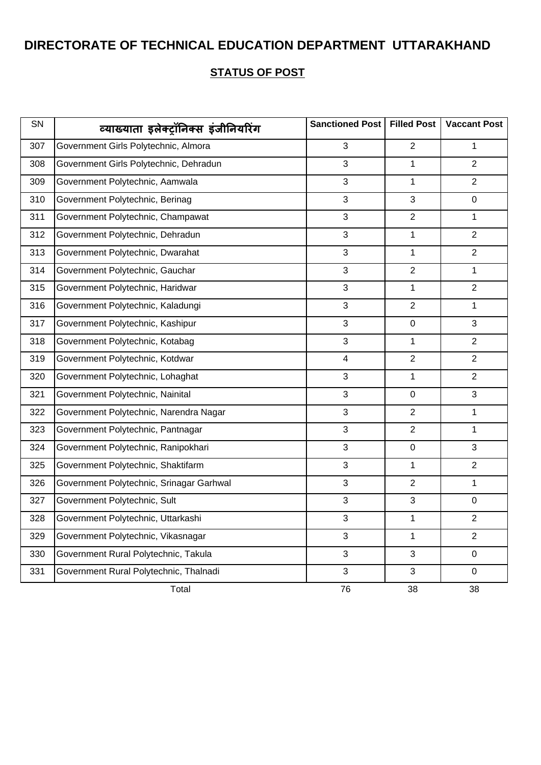| SN  | व्याख्याता इलेक्ट्रॉनिक्स इंजीनियरिंग    | Sanctioned Post         | <b>Filled Post</b> | <b>Vaccant Post</b> |
|-----|------------------------------------------|-------------------------|--------------------|---------------------|
| 307 | Government Girls Polytechnic, Almora     | 3                       | $\overline{2}$     | 1                   |
| 308 | Government Girls Polytechnic, Dehradun   | 3                       | 1                  | $\overline{2}$      |
| 309 | Government Polytechnic, Aamwala          | 3                       | 1                  | $\overline{2}$      |
| 310 | Government Polytechnic, Berinag          | 3                       | 3                  | $\mathbf 0$         |
| 311 | Government Polytechnic, Champawat        | 3                       | $\overline{2}$     | 1                   |
| 312 | Government Polytechnic, Dehradun         | 3                       | 1                  | $\overline{2}$      |
| 313 | Government Polytechnic, Dwarahat         | 3                       | 1                  | $\overline{2}$      |
| 314 | Government Polytechnic, Gauchar          | 3                       | $\overline{2}$     | 1                   |
| 315 | Government Polytechnic, Haridwar         | 3                       | $\mathbf{1}$       | $\overline{2}$      |
| 316 | Government Polytechnic, Kaladungi        | 3                       | $\overline{2}$     | 1                   |
| 317 | Government Polytechnic, Kashipur         | 3                       | $\pmb{0}$          | 3                   |
| 318 | Government Polytechnic, Kotabag          | 3                       | 1                  | $\overline{2}$      |
| 319 | Government Polytechnic, Kotdwar          | $\overline{\mathbf{4}}$ | $\overline{2}$     | $\overline{2}$      |
| 320 | Government Polytechnic, Lohaghat         | 3                       | 1                  | $\overline{2}$      |
| 321 | Government Polytechnic, Nainital         | 3                       | $\mathbf 0$        | 3                   |
| 322 | Government Polytechnic, Narendra Nagar   | 3                       | $\overline{2}$     | 1                   |
| 323 | Government Polytechnic, Pantnagar        | 3                       | $\overline{2}$     | $\mathbf{1}$        |
| 324 | Government Polytechnic, Ranipokhari      | 3                       | $\pmb{0}$          | 3                   |
| 325 | Government Polytechnic, Shaktifarm       | 3                       | 1                  | $\overline{2}$      |
| 326 | Government Polytechnic, Srinagar Garhwal | 3                       | $\overline{2}$     | 1                   |
| 327 | Government Polytechnic, Sult             | 3                       | 3                  | 0                   |
| 328 | Government Polytechnic, Uttarkashi       | 3                       | 1                  | $\overline{2}$      |
| 329 | Government Polytechnic, Vikasnagar       | 3                       | 1                  | $\overline{2}$      |
| 330 | Government Rural Polytechnic, Takula     | 3                       | 3                  | $\mathbf 0$         |
| 331 | Government Rural Polytechnic, Thalnadi   | 3                       | 3                  | $\mathbf 0$         |
|     | Total                                    | 76                      | 38                 | 38                  |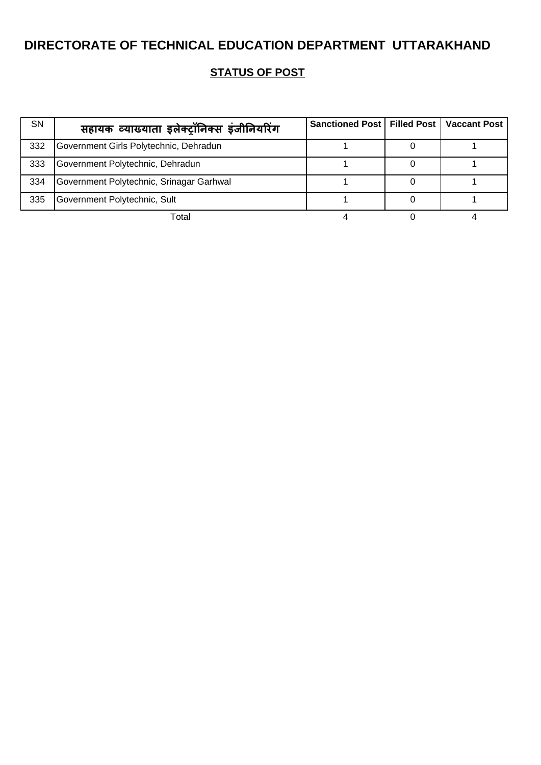| <b>SN</b> | सहायक व्याख्याता इलेक्ट्रॉनिक्स इंजीनियरिंग | Sanctioned Post   Filled Post   Vaccant Post |  |
|-----------|---------------------------------------------|----------------------------------------------|--|
| 332       | Government Girls Polytechnic, Dehradun      |                                              |  |
| 333       | Government Polytechnic, Dehradun            |                                              |  |
| 334       | Government Polytechnic, Srinagar Garhwal    |                                              |  |
| 335       | Government Polytechnic, Sult                |                                              |  |
|           | Total                                       |                                              |  |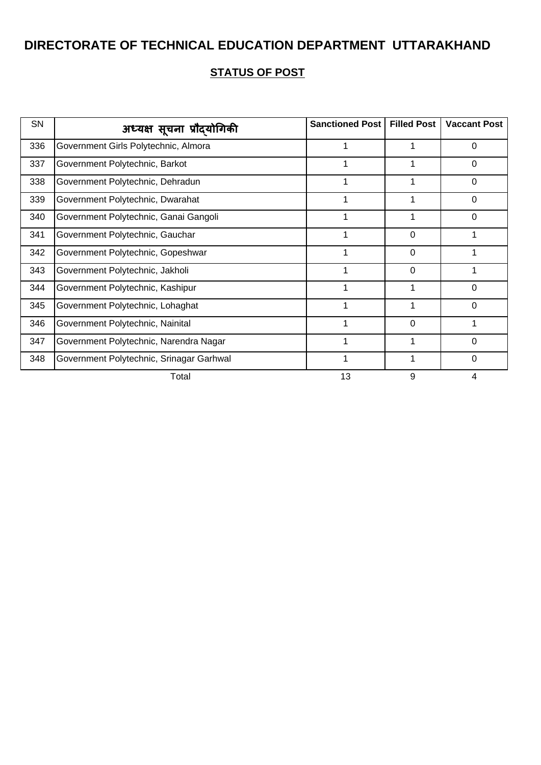| SN  | अध्यक्ष सूचना प्रौदयोगिकी                | Sanctioned Post | <b>Filled Post</b> | <b>Vaccant Post</b> |
|-----|------------------------------------------|-----------------|--------------------|---------------------|
| 336 | Government Girls Polytechnic, Almora     |                 |                    | $\Omega$            |
| 337 | Government Polytechnic, Barkot           |                 |                    | $\Omega$            |
| 338 | Government Polytechnic, Dehradun         |                 |                    | $\Omega$            |
| 339 | Government Polytechnic, Dwarahat         |                 |                    | $\Omega$            |
| 340 | Government Polytechnic, Ganai Gangoli    |                 |                    | 0                   |
| 341 | Government Polytechnic, Gauchar          |                 | 0                  |                     |
| 342 | Government Polytechnic, Gopeshwar        |                 | 0                  |                     |
| 343 | Government Polytechnic, Jakholi          |                 | 0                  |                     |
| 344 | Government Polytechnic, Kashipur         |                 |                    | $\Omega$            |
| 345 | Government Polytechnic, Lohaghat         |                 |                    | 0                   |
| 346 | Government Polytechnic, Nainital         |                 | 0                  |                     |
| 347 | Government Polytechnic, Narendra Nagar   |                 |                    | 0                   |
| 348 | Government Polytechnic, Srinagar Garhwal |                 |                    | 0                   |
|     | Total                                    | 13              | 9                  |                     |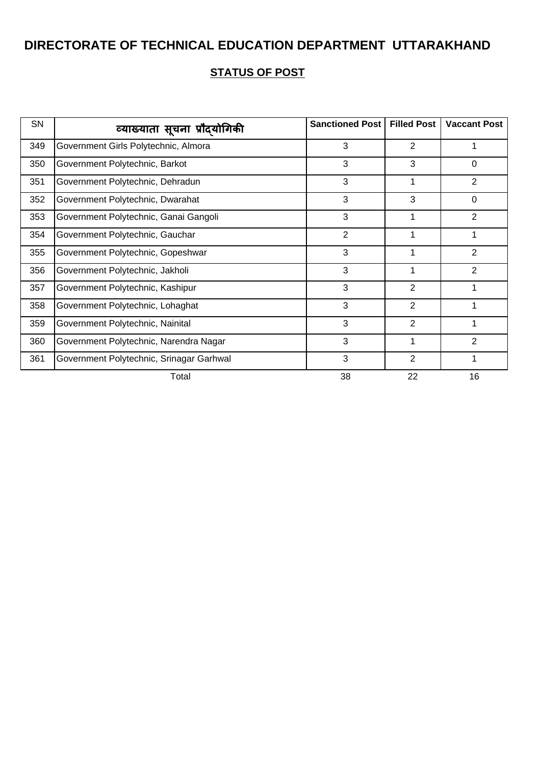| <b>SN</b> | व्याख्याता सूचना प्रौदयोगिकी             | <b>Sanctioned Post</b> | <b>Filled Post</b> | <b>Vaccant Post</b> |
|-----------|------------------------------------------|------------------------|--------------------|---------------------|
| 349       | Government Girls Polytechnic, Almora     | 3                      | 2                  |                     |
| 350       | Government Polytechnic, Barkot           | 3                      | 3                  | $\Omega$            |
| 351       | Government Polytechnic, Dehradun         | 3                      |                    | 2                   |
| 352       | Government Polytechnic, Dwarahat         | 3                      | 3                  | $\Omega$            |
| 353       | Government Polytechnic, Ganai Gangoli    | 3                      |                    | 2                   |
| 354       | Government Polytechnic, Gauchar          | $\overline{2}$         |                    |                     |
| 355       | Government Polytechnic, Gopeshwar        | 3                      |                    | $\overline{2}$      |
| 356       | Government Polytechnic, Jakholi          | 3                      |                    | $\overline{2}$      |
| 357       | Government Polytechnic, Kashipur         | 3                      | $\overline{2}$     |                     |
| 358       | Government Polytechnic, Lohaghat         | 3                      | 2                  |                     |
| 359       | Government Polytechnic, Nainital         | 3                      | $\overline{2}$     |                     |
| 360       | Government Polytechnic, Narendra Nagar   | 3                      |                    | 2                   |
| 361       | Government Polytechnic, Srinagar Garhwal | 3                      | 2                  | 1                   |
|           | Total                                    | 38                     | 22                 | 16                  |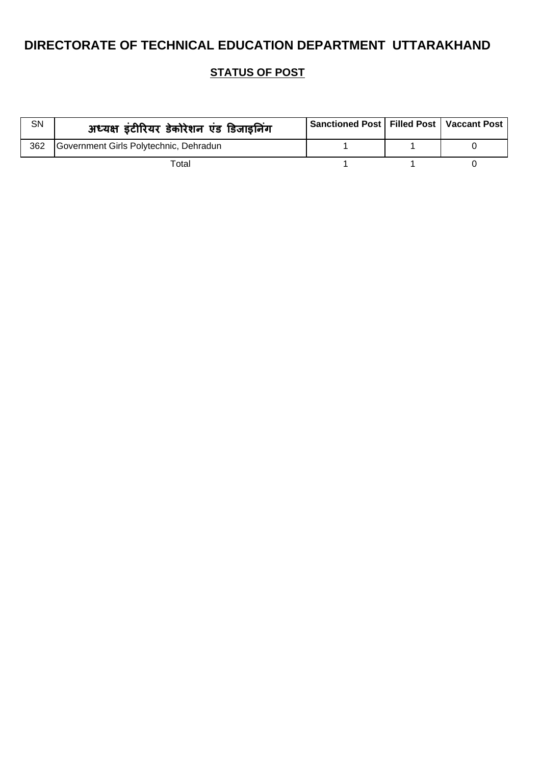| SN  | अध्यक्ष इंटीरियर डेकोरेशन एंड डिजाइनिंग | Sanctioned Post   Filled Post   Vaccant Post |  |
|-----|-----------------------------------------|----------------------------------------------|--|
| 362 | Government Girls Polytechnic, Dehradun  |                                              |  |
|     | Total                                   |                                              |  |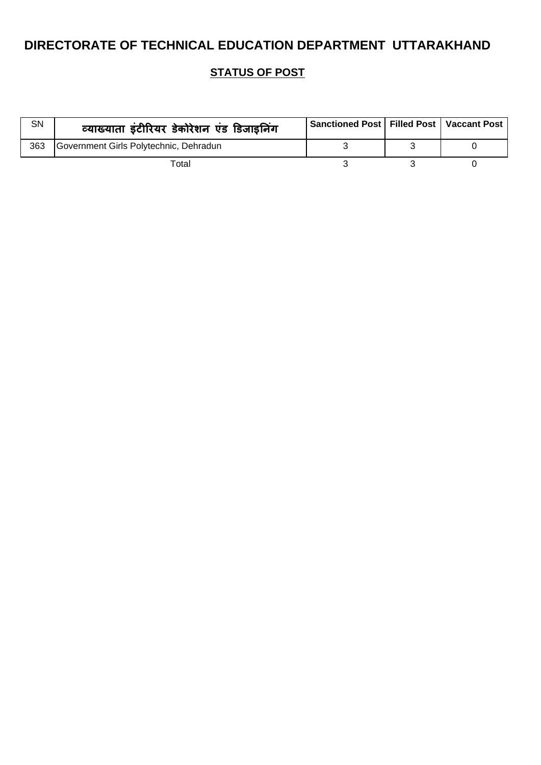| SN  | व्याख्याता इंटीरियर डेकोरेशन एंड डिजाइनिंग | Sanctioned Post   Filled Post   Vaccant Post |  |
|-----|--------------------------------------------|----------------------------------------------|--|
| 363 | Government Girls Polytechnic, Dehradun     |                                              |  |
|     | Total                                      |                                              |  |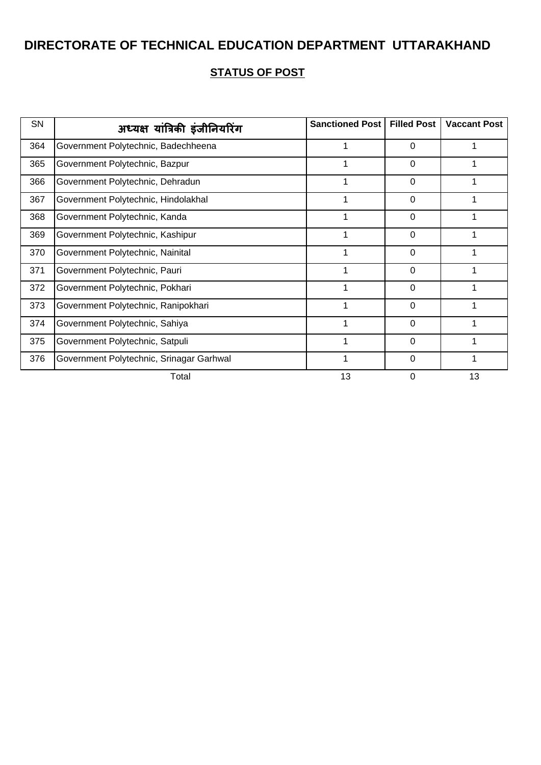| SN  | अध्यक्ष यांत्रिकी इंजीनियरिंग            | Sanctioned Post | <b>Filled Post</b> | <b>Vaccant Post</b> |
|-----|------------------------------------------|-----------------|--------------------|---------------------|
| 364 | Government Polytechnic, Badechheena      |                 | 0                  |                     |
| 365 | Government Polytechnic, Bazpur           |                 | 0                  |                     |
| 366 | Government Polytechnic, Dehradun         |                 | 0                  |                     |
| 367 | Government Polytechnic, Hindolakhal      |                 | $\Omega$           |                     |
| 368 | Government Polytechnic, Kanda            |                 | 0                  |                     |
| 369 | Government Polytechnic, Kashipur         |                 | 0                  |                     |
| 370 | Government Polytechnic, Nainital         |                 | 0                  |                     |
| 371 | Government Polytechnic, Pauri            |                 | 0                  |                     |
| 372 | Government Polytechnic, Pokhari          |                 | 0                  |                     |
| 373 | Government Polytechnic, Ranipokhari      |                 | 0                  |                     |
| 374 | Government Polytechnic, Sahiya           |                 | 0                  |                     |
| 375 | Government Polytechnic, Satpuli          |                 | 0                  |                     |
| 376 | Government Polytechnic, Srinagar Garhwal |                 | 0                  |                     |
|     | Total                                    | 13              | 0                  | 13                  |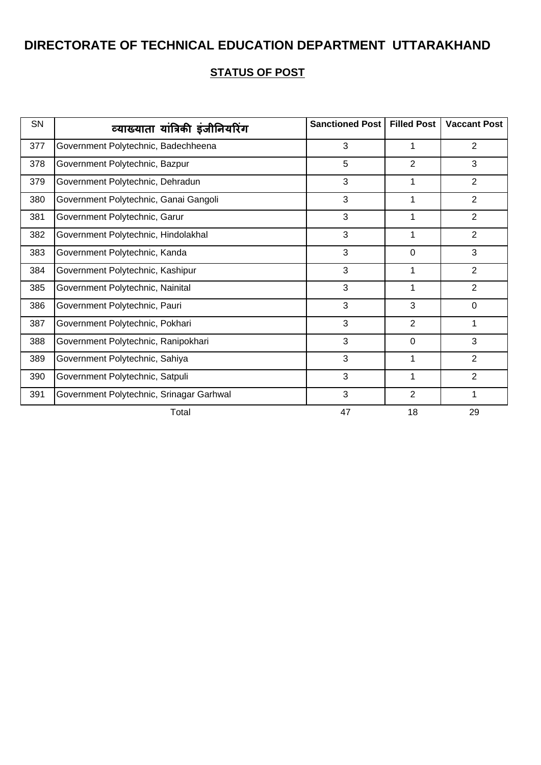| SN  | व्याख्याता यांत्रिकी इंजीनियरिंग         | <b>Sanctioned Post</b> | <b>Filled Post</b> | <b>Vaccant Post</b> |
|-----|------------------------------------------|------------------------|--------------------|---------------------|
| 377 | Government Polytechnic, Badechheena      | 3                      |                    | $\overline{2}$      |
| 378 | Government Polytechnic, Bazpur           | 5                      | $\overline{2}$     | 3                   |
| 379 | Government Polytechnic, Dehradun         | 3                      |                    | $\overline{2}$      |
| 380 | Government Polytechnic, Ganai Gangoli    | 3                      | 1                  | 2                   |
| 381 | Government Polytechnic, Garur            | 3                      |                    | $\overline{2}$      |
| 382 | Government Polytechnic, Hindolakhal      | 3                      |                    | 2                   |
| 383 | Government Polytechnic, Kanda            | 3                      | $\mathbf 0$        | 3                   |
| 384 | Government Polytechnic, Kashipur         | 3                      |                    | $\overline{2}$      |
| 385 | Government Polytechnic, Nainital         | 3                      | 1                  | $\overline{2}$      |
| 386 | Government Polytechnic, Pauri            | 3                      | 3                  | $\mathbf 0$         |
| 387 | Government Polytechnic, Pokhari          | 3                      | $\overline{2}$     | 1                   |
| 388 | Government Polytechnic, Ranipokhari      | 3                      | $\mathbf 0$        | 3                   |
| 389 | Government Polytechnic, Sahiya           | 3                      |                    | $\overline{2}$      |
| 390 | Government Polytechnic, Satpuli          | 3                      | 1                  | $\overline{2}$      |
| 391 | Government Polytechnic, Srinagar Garhwal | 3                      | $\overline{2}$     | 1                   |
|     | Total                                    | 47                     | 18                 | 29                  |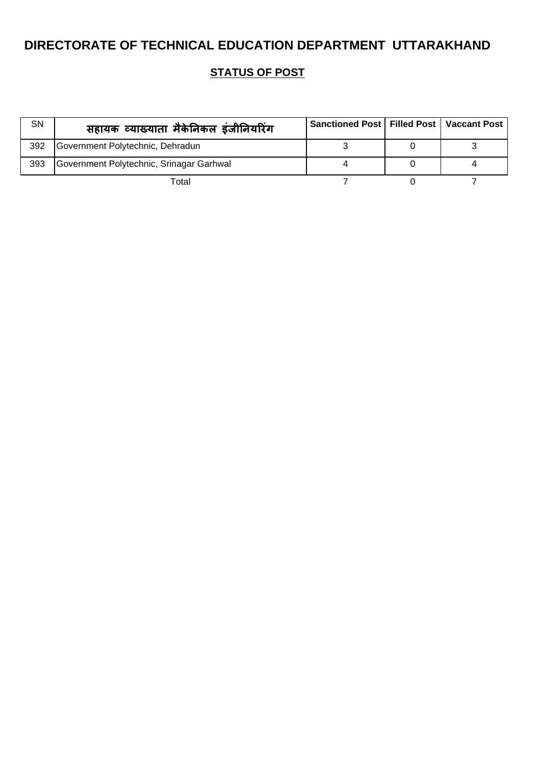| SN  | सहायक व्याख्याता मैकेनिकल इंजीनियरिंग    | Sanctioned Post   Filled Post   Vaccant Post |  |
|-----|------------------------------------------|----------------------------------------------|--|
| 392 | Government Polytechnic, Dehradun         |                                              |  |
| 393 | Government Polytechnic, Srinagar Garhwal |                                              |  |
|     | Total                                    |                                              |  |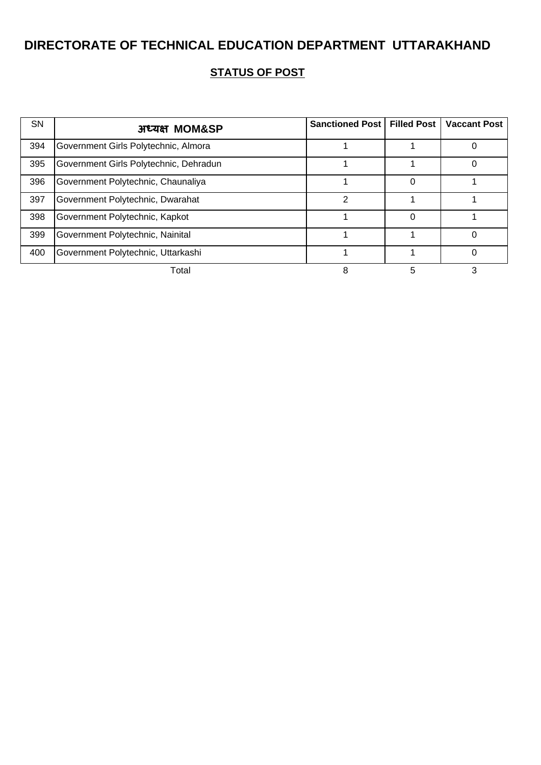| <b>SN</b> | अध्यक्ष MOM&SP                         | <b>Sanctioned Post   Filled Post  </b> |   | <b>Vaccant Post</b> |
|-----------|----------------------------------------|----------------------------------------|---|---------------------|
| 394       | Government Girls Polytechnic, Almora   |                                        |   |                     |
| 395       | Government Girls Polytechnic, Dehradun |                                        |   |                     |
| 396       | Government Polytechnic, Chaunaliya     |                                        |   |                     |
| 397       | Government Polytechnic, Dwarahat       | 2                                      |   |                     |
| 398       | Government Polytechnic, Kapkot         |                                        |   |                     |
| 399       | Government Polytechnic, Nainital       |                                        |   |                     |
| 400       | Government Polytechnic, Uttarkashi     |                                        |   |                     |
|           | Total                                  | 8                                      | 5 |                     |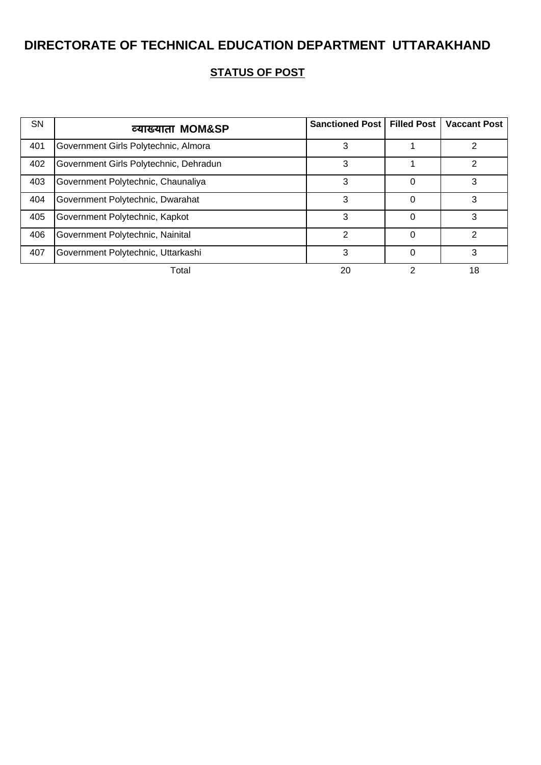| <b>SN</b> | व्याख्याता MOM&SP                      | <b>Sanctioned Post   Filled Post</b> |   | <b>Vaccant Post</b> |
|-----------|----------------------------------------|--------------------------------------|---|---------------------|
| 401       | Government Girls Polytechnic, Almora   | 3                                    |   |                     |
| 402       | Government Girls Polytechnic, Dehradun | 3                                    |   | າ                   |
| 403       | Government Polytechnic, Chaunaliya     | 3                                    | 0 |                     |
| 404       | Government Polytechnic, Dwarahat       | 3                                    | 0 | 3                   |
| 405       | Government Polytechnic, Kapkot         | 3                                    | 0 | 3                   |
| 406       | Government Polytechnic, Nainital       | 2                                    | 0 | 2                   |
| 407       | Government Polytechnic, Uttarkashi     | 3                                    | 0 | З                   |
|           | Total                                  | 20                                   |   | 18                  |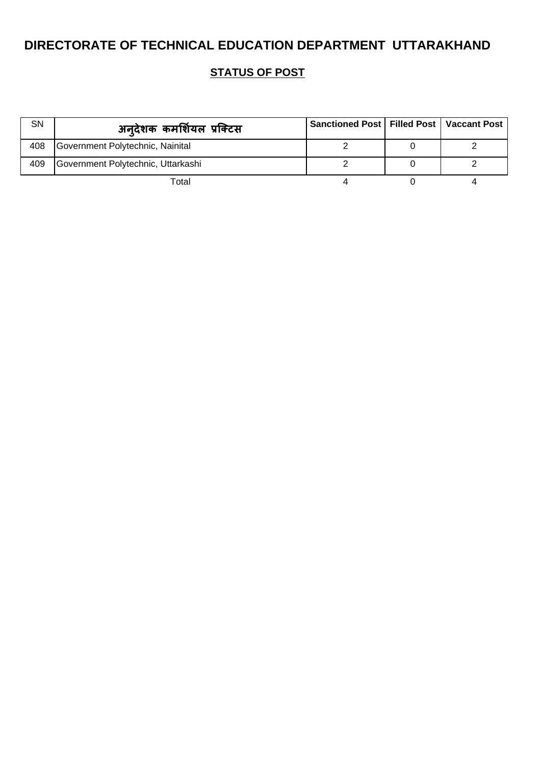| SN  | अन्देशक कमर्शियल प्रक्टिस          | Sanctioned Post   Filled Post   Vaccant Post |  |
|-----|------------------------------------|----------------------------------------------|--|
| 408 | Government Polytechnic, Nainital   |                                              |  |
| 409 | Government Polytechnic, Uttarkashi |                                              |  |
|     | Total                              |                                              |  |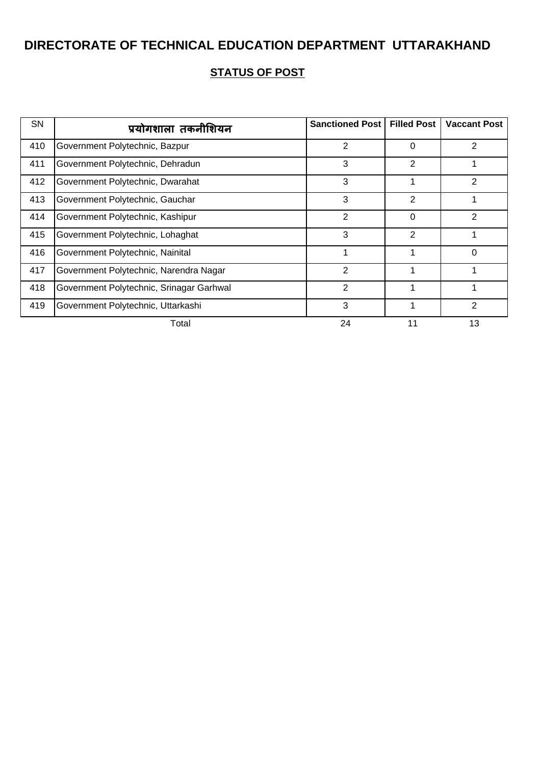| <b>SN</b> | प्रयोगशाला तकनीशियन                      | <b>Sanctioned Post</b> | <b>Filled Post</b> | <b>Vaccant Post</b> |
|-----------|------------------------------------------|------------------------|--------------------|---------------------|
| 410       | Government Polytechnic, Bazpur           | $\overline{2}$         | 0                  | 2                   |
| 411       | Government Polytechnic, Dehradun         | 3                      | 2                  |                     |
| 412       | Government Polytechnic, Dwarahat         | 3                      | 1                  | $\overline{2}$      |
| 413       | Government Polytechnic, Gauchar          | 3                      | $\overline{2}$     |                     |
| 414       | Government Polytechnic, Kashipur         | 2                      | 0                  | 2                   |
| 415       | Government Polytechnic, Lohaghat         | 3                      | 2                  |                     |
| 416       | Government Polytechnic, Nainital         | 1                      | 1                  | 0                   |
| 417       | Government Polytechnic, Narendra Nagar   | $\overline{2}$         | 1                  |                     |
| 418       | Government Polytechnic, Srinagar Garhwal | $\overline{2}$         |                    |                     |
| 419       | Government Polytechnic, Uttarkashi       | 3                      | 1                  | $\overline{2}$      |
|           | Total                                    | 24                     | 11                 | 13                  |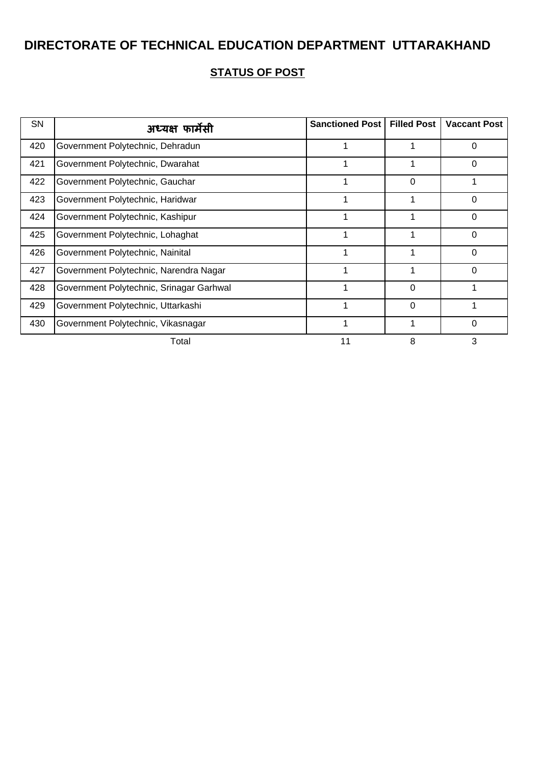| SN  | अध्यक्ष फार्मेसी                         | Sanctioned Post | <b>Filled Post</b> | <b>Vaccant Post</b> |
|-----|------------------------------------------|-----------------|--------------------|---------------------|
| 420 | Government Polytechnic, Dehradun         |                 |                    | 0                   |
| 421 | Government Polytechnic, Dwarahat         |                 |                    | 0                   |
| 422 | Government Polytechnic, Gauchar          |                 | $\Omega$           |                     |
| 423 | Government Polytechnic, Haridwar         | 1               | 1                  | $\Omega$            |
| 424 | Government Polytechnic, Kashipur         |                 |                    | $\Omega$            |
| 425 | Government Polytechnic, Lohaghat         |                 |                    | $\Omega$            |
| 426 | Government Polytechnic, Nainital         |                 |                    | 0                   |
| 427 | Government Polytechnic, Narendra Nagar   |                 |                    | 0                   |
| 428 | Government Polytechnic, Srinagar Garhwal |                 | 0                  |                     |
| 429 | Government Polytechnic, Uttarkashi       |                 | $\Omega$           |                     |
| 430 | Government Polytechnic, Vikasnagar       |                 | 1                  | 0                   |
|     | Total                                    | 11              | 8                  | 3                   |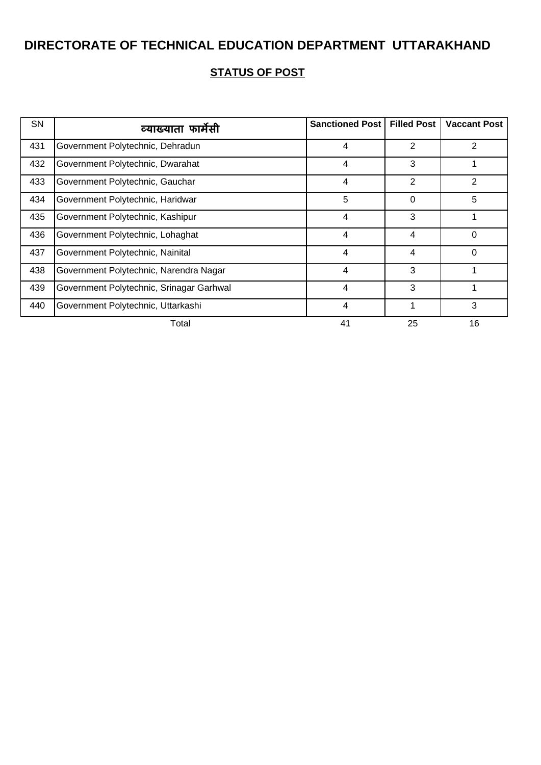| <b>SN</b> | व्याख्याता फार्मेसी                      | <b>Sanctioned Post</b> | <b>Filled Post</b> | <b>Vaccant Post</b> |
|-----------|------------------------------------------|------------------------|--------------------|---------------------|
| 431       | Government Polytechnic, Dehradun         | 4                      | 2                  | 2                   |
| 432       | Government Polytechnic, Dwarahat         | 4                      | 3                  |                     |
| 433       | Government Polytechnic, Gauchar          | 4                      | $\overline{2}$     | $\overline{2}$      |
| 434       | Government Polytechnic, Haridwar         | 5                      | 0                  | 5                   |
| 435       | Government Polytechnic, Kashipur         | 4                      | 3                  |                     |
| 436       | Government Polytechnic, Lohaghat         | 4                      | 4                  | 0                   |
| 437       | Government Polytechnic, Nainital         | 4                      | 4                  | 0                   |
| 438       | Government Polytechnic, Narendra Nagar   | $\overline{4}$         | 3                  |                     |
| 439       | Government Polytechnic, Srinagar Garhwal | 4                      | 3                  |                     |
| 440       | Government Polytechnic, Uttarkashi       | 4                      | 1                  | 3                   |
|           | Total                                    | 41                     | 25                 | 16                  |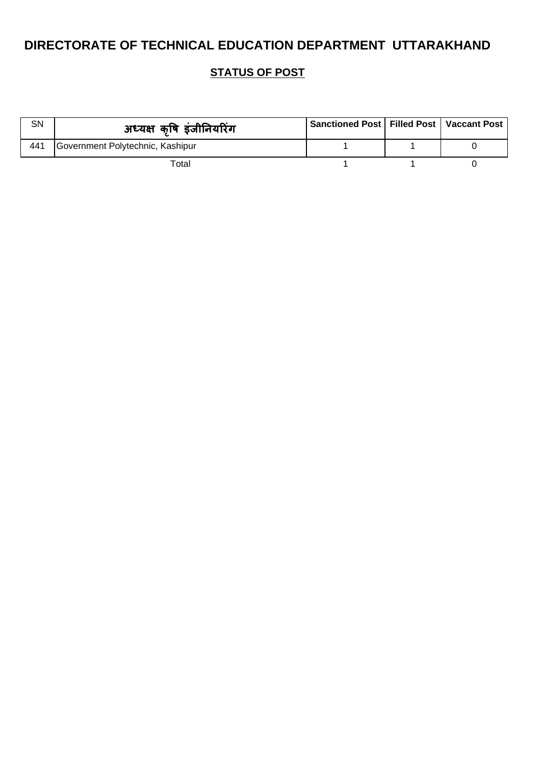| <b>SN</b> | अध्यक्ष कृषि इंजीनियरिंग         | Sanctioned Post   Filled Post   Vaccant Post |  |
|-----------|----------------------------------|----------------------------------------------|--|
| 441       | Government Polytechnic, Kashipur |                                              |  |
|           | Total                            |                                              |  |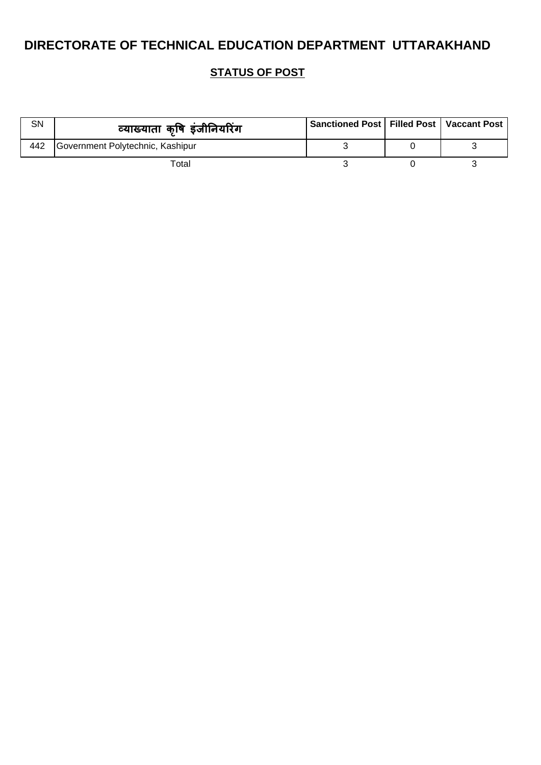| <b>SN</b> | व्याख्याता कृषि इंजीनियरिंग      | Sanctioned Post   Filled Post   Vaccant Post |  |
|-----------|----------------------------------|----------------------------------------------|--|
| 442       | Government Polytechnic, Kashipur |                                              |  |
|           | Total                            |                                              |  |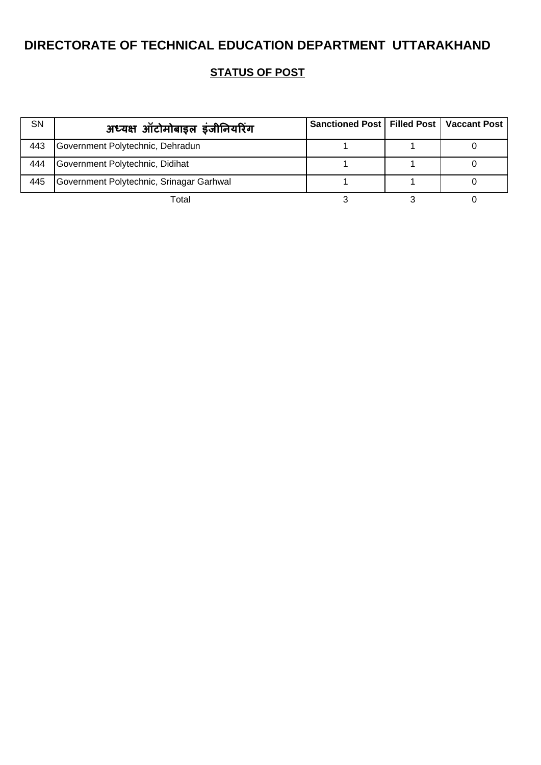| SN  | अध्यक्ष ऑटोमोबाइल इंजीनियरिंग            | Sanctioned Post   Filled Post   Vaccant Post |  |
|-----|------------------------------------------|----------------------------------------------|--|
| 443 | Government Polytechnic, Dehradun         |                                              |  |
| 444 | Government Polytechnic, Didihat          |                                              |  |
| 445 | Government Polytechnic, Srinagar Garhwal |                                              |  |
|     | Total                                    |                                              |  |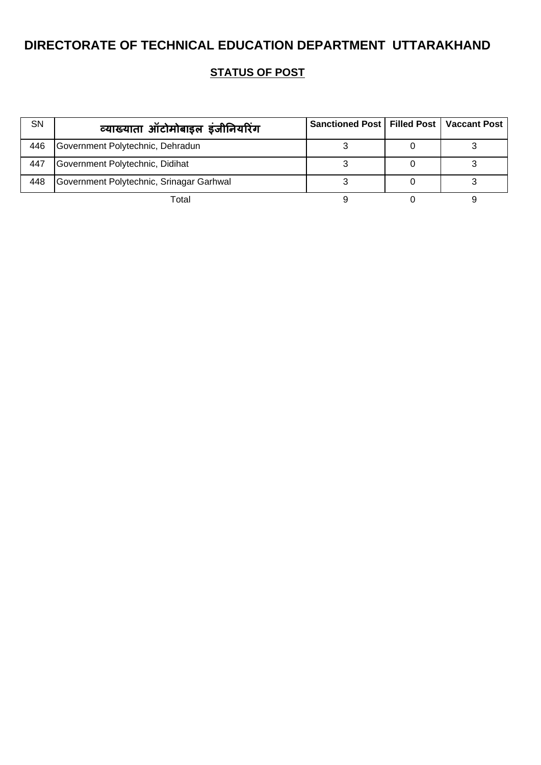| SN  | व्याख्याता ऑटोमोबाइल इंजीनियरिंग         | Sanctioned Post   Filled Post   Vaccant Post |  |
|-----|------------------------------------------|----------------------------------------------|--|
| 446 | Government Polytechnic, Dehradun         |                                              |  |
| 447 | Government Polytechnic, Didihat          |                                              |  |
| 448 | Government Polytechnic, Srinagar Garhwal |                                              |  |
|     | Total                                    |                                              |  |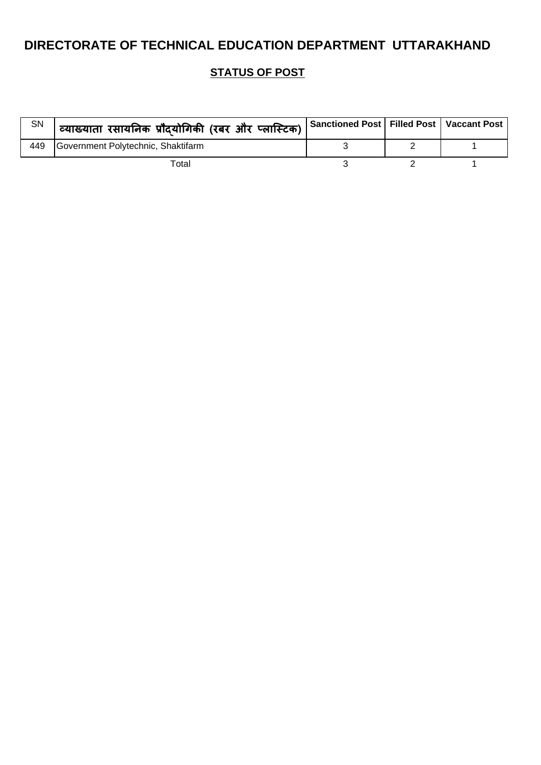| SN  | <sup>।</sup> व्याख्याता रसायनिक प्रौदयोगिकी (रबर और प्लास्टिक) , | Sanctioned Post   Filled Post   Vaccant Post |  |
|-----|------------------------------------------------------------------|----------------------------------------------|--|
| 449 | Government Polytechnic, Shaktifarm                               |                                              |  |
|     | Total                                                            |                                              |  |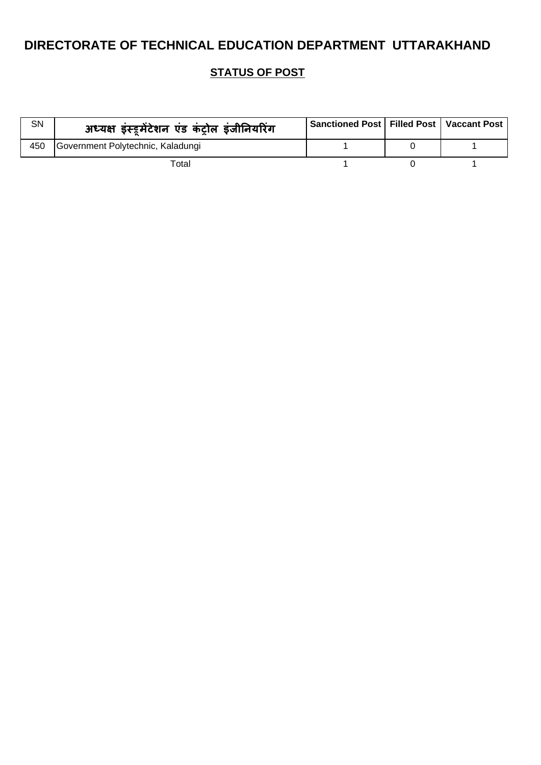| SN  | अध्यक्ष इंस्ट्रमेंटेशन एंड कंट्रोल इंजीनियरिंग | Sanctioned Post   Filled Post   Vaccant Post |  |
|-----|------------------------------------------------|----------------------------------------------|--|
| 450 | Government Polytechnic, Kaladungi              |                                              |  |
|     | Total                                          |                                              |  |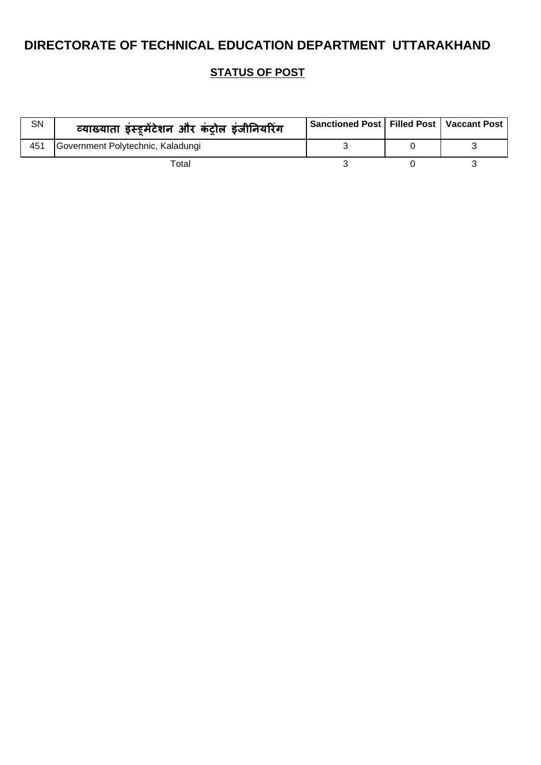| <b>SN</b> | व्याख्याता इंस्ट्रमेंटेशन और कंट्रोल इंजीनियरिंग | Sanctioned Post   Filled Post   Vaccant Post |  |
|-----------|--------------------------------------------------|----------------------------------------------|--|
| 451       | Government Polytechnic, Kaladungi                |                                              |  |
|           | Total                                            |                                              |  |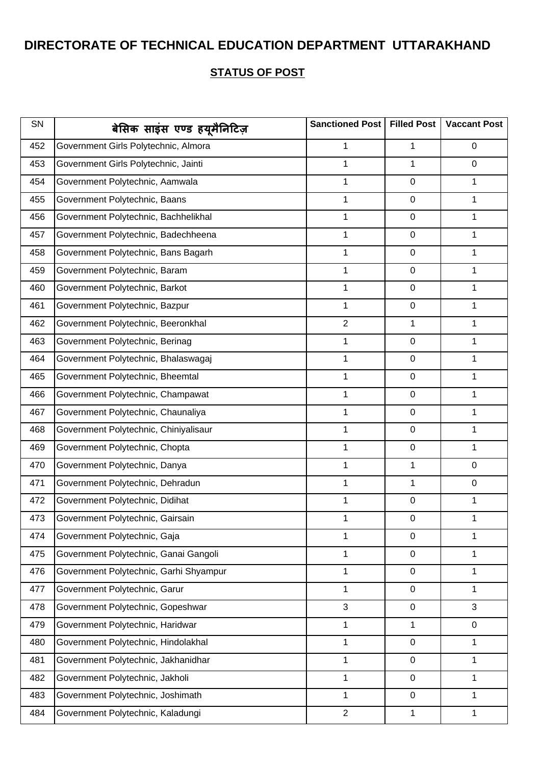| SN  | बेसिक साइंस एण्ड हयूमैनिटिज़           | <b>Sanctioned Post</b> | <b>Filled Post</b> | <b>Vaccant Post</b> |
|-----|----------------------------------------|------------------------|--------------------|---------------------|
| 452 | Government Girls Polytechnic, Almora   | 1                      | 1                  | $\mathbf 0$         |
| 453 | Government Girls Polytechnic, Jainti   | $\mathbf{1}$           | 1                  | $\mathbf 0$         |
| 454 | Government Polytechnic, Aamwala        | 1                      | $\boldsymbol{0}$   | 1                   |
| 455 | Government Polytechnic, Baans          | 1                      | $\boldsymbol{0}$   | 1                   |
| 456 | Government Polytechnic, Bachhelikhal   | 1                      | $\pmb{0}$          | 1                   |
| 457 | Government Polytechnic, Badechheena    | $\mathbf{1}$           | $\pmb{0}$          | 1                   |
| 458 | Government Polytechnic, Bans Bagarh    | 1                      | $\pmb{0}$          | 1                   |
| 459 | Government Polytechnic, Baram          | 1                      | $\pmb{0}$          | 1                   |
| 460 | Government Polytechnic, Barkot         | 1                      | $\pmb{0}$          | 1                   |
| 461 | Government Polytechnic, Bazpur         | $\mathbf{1}$           | $\pmb{0}$          | 1                   |
| 462 | Government Polytechnic, Beeronkhal     | $\overline{2}$         | 1                  | 1                   |
| 463 | Government Polytechnic, Berinag        | 1                      | $\pmb{0}$          | 1                   |
| 464 | Government Polytechnic, Bhalaswagaj    | 1                      | $\pmb{0}$          | 1                   |
| 465 | Government Polytechnic, Bheemtal       | $\mathbf 1$            | $\pmb{0}$          | 1                   |
| 466 | Government Polytechnic, Champawat      | 1                      | $\pmb{0}$          | 1                   |
| 467 | Government Polytechnic, Chaunaliya     | $\mathbf 1$            | $\pmb{0}$          | 1                   |
| 468 | Government Polytechnic, Chiniyalisaur  | $\mathbf 1$            | $\pmb{0}$          | 1                   |
| 469 | Government Polytechnic, Chopta         | 1                      | $\pmb{0}$          | 1                   |
| 470 | Government Polytechnic, Danya          | 1                      | 1                  | $\mathbf 0$         |
| 471 | Government Polytechnic, Dehradun       | 1                      | 1                  | 0                   |
| 472 | Government Polytechnic, Didihat        | 1                      | $\pmb{0}$          | 1                   |
| 473 | Government Polytechnic, Gairsain       | 1                      | $\pmb{0}$          | 1                   |
| 474 | Government Polytechnic, Gaja           | 1                      | $\pmb{0}$          | 1                   |
| 475 | Government Polytechnic, Ganai Gangoli  | 1                      | $\pmb{0}$          | 1                   |
| 476 | Government Polytechnic, Garhi Shyampur | $\mathbf 1$            | $\pmb{0}$          | 1                   |
| 477 | Government Polytechnic, Garur          | $\mathbf{1}$           | $\pmb{0}$          | 1                   |
| 478 | Government Polytechnic, Gopeshwar      | 3                      | $\pmb{0}$          | 3                   |
| 479 | Government Polytechnic, Haridwar       | $\mathbf{1}$           | 1                  | 0                   |
| 480 | Government Polytechnic, Hindolakhal    | $\mathbf{1}$           | $\pmb{0}$          | 1                   |
| 481 | Government Polytechnic, Jakhanidhar    | $\mathbf{1}$           | $\pmb{0}$          | 1                   |
| 482 | Government Polytechnic, Jakholi        | $\mathbf{1}$           | $\pmb{0}$          | 1                   |
| 483 | Government Polytechnic, Joshimath      | 1                      | $\pmb{0}$          | 1                   |
| 484 | Government Polytechnic, Kaladungi      | $\overline{2}$         | 1                  | 1                   |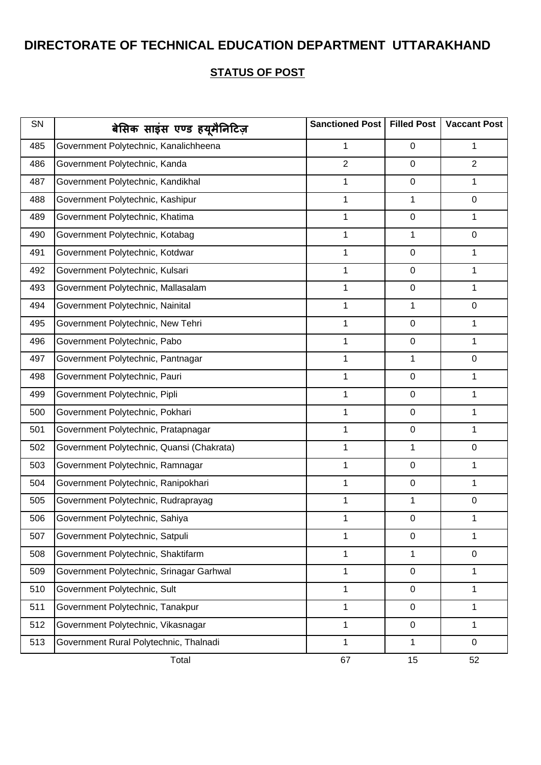| SN  | बेसिक साइंस एण्ड हयूमैनिटिज़              | Sanctioned Post | <b>Filled Post</b> | <b>Vaccant Post</b> |
|-----|-------------------------------------------|-----------------|--------------------|---------------------|
| 485 | Government Polytechnic, Kanalichheena     | 1               | $\mathbf 0$        | 1                   |
| 486 | Government Polytechnic, Kanda             | $\overline{2}$  | 0                  | $\overline{2}$      |
| 487 | Government Polytechnic, Kandikhal         | 1               | $\mathbf 0$        | 1                   |
| 488 | Government Polytechnic, Kashipur          | $\mathbf 1$     | $\mathbf{1}$       | $\mathbf 0$         |
| 489 | Government Polytechnic, Khatima           | 1               | $\pmb{0}$          | 1                   |
| 490 | Government Polytechnic, Kotabag           | 1               | 1                  | $\mathbf 0$         |
| 491 | Government Polytechnic, Kotdwar           | 1               | $\mathbf 0$        | 1                   |
| 492 | Government Polytechnic, Kulsari           | 1               | $\mathbf 0$        | 1                   |
| 493 | Government Polytechnic, Mallasalam        | 1               | $\pmb{0}$          | 1                   |
| 494 | Government Polytechnic, Nainital          | 1               | 1                  | $\mathbf 0$         |
| 495 | Government Polytechnic, New Tehri         | 1               | $\mathbf 0$        | 1                   |
| 496 | Government Polytechnic, Pabo              | 1               | $\mathbf 0$        | 1                   |
| 497 | Government Polytechnic, Pantnagar         | 1               | 1                  | $\mathbf 0$         |
| 498 | Government Polytechnic, Pauri             | 1               | $\mathbf 0$        | 1                   |
| 499 | Government Polytechnic, Pipli             | 1               | $\mathbf 0$        | 1                   |
| 500 | Government Polytechnic, Pokhari           | 1               | 0                  | 1                   |
| 501 | Government Polytechnic, Pratapnagar       | 1               | $\pmb{0}$          | $\mathbf{1}$        |
| 502 | Government Polytechnic, Quansi (Chakrata) | 1               | $\mathbf 1$        | $\mathbf 0$         |
| 503 | Government Polytechnic, Ramnagar          | 1               | $\pmb{0}$          | 1                   |
| 504 | Government Polytechnic, Ranipokhari       | $\mathbf 1$     | 0                  | 1                   |
| 505 | Government Polytechnic, Rudraprayag       | 1               | 1                  | $\mathbf 0$         |
| 506 | Government Polytechnic, Sahiya            | 1               | 0                  | 1                   |
| 507 | Government Polytechnic, Satpuli           | 1               | $\mathbf 0$        | 1                   |
| 508 | Government Polytechnic, Shaktifarm        | 1               | $\mathbf{1}$       | $\mathbf 0$         |
| 509 | Government Polytechnic, Srinagar Garhwal  | $\mathbf{1}$    | $\mathbf 0$        | $\mathbf{1}$        |
| 510 | Government Polytechnic, Sult              | 1               | $\mathbf 0$        | 1                   |
| 511 | Government Polytechnic, Tanakpur          | 1               | $\pmb{0}$          | 1                   |
| 512 | Government Polytechnic, Vikasnagar        | $\mathbf 1$     | $\pmb{0}$          | 1                   |
| 513 | Government Rural Polytechnic, Thalnadi    | $\mathbf{1}$    | $\mathbf{1}$       | $\mathbf 0$         |
|     | Total                                     | 67              | 15                 | 52                  |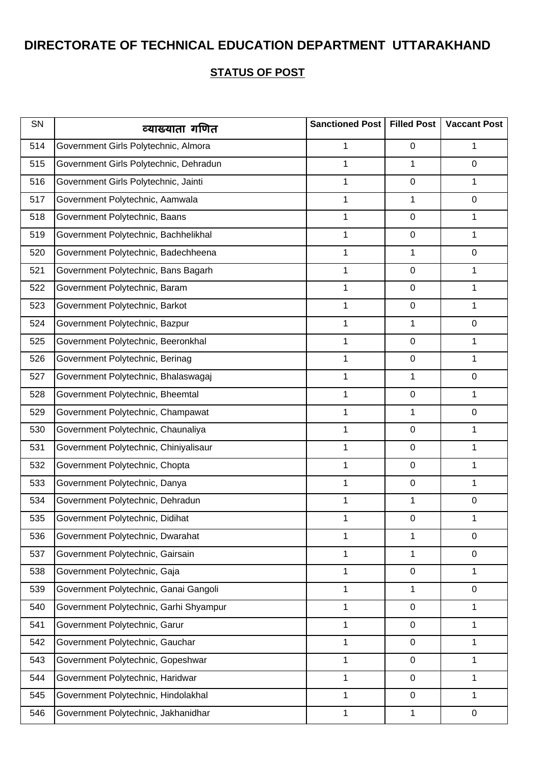| SN  | व्याख्याता गणित                        | Sanctioned Post   Filled Post |   | <b>Vaccant Post</b> |
|-----|----------------------------------------|-------------------------------|---|---------------------|
| 514 | Government Girls Polytechnic, Almora   | 1                             | 0 | 1                   |
| 515 | Government Girls Polytechnic, Dehradun | 1                             | 1 | $\mathbf 0$         |
| 516 | Government Girls Polytechnic, Jainti   | 1                             | 0 | 1                   |
| 517 | Government Polytechnic, Aamwala        | 1                             | 1 | 0                   |
| 518 | Government Polytechnic, Baans          | 1                             | 0 | 1                   |
| 519 | Government Polytechnic, Bachhelikhal   | 1                             | 0 | 1                   |
| 520 | Government Polytechnic, Badechheena    | 1                             | 1 | 0                   |
| 521 | Government Polytechnic, Bans Bagarh    | 1                             | 0 | 1                   |
| 522 | Government Polytechnic, Baram          | 1                             | 0 | 1                   |
| 523 | Government Polytechnic, Barkot         | 1                             | 0 | 1                   |
| 524 | Government Polytechnic, Bazpur         | 1                             | 1 | 0                   |
| 525 | Government Polytechnic, Beeronkhal     | 1                             | 0 | 1                   |
| 526 | Government Polytechnic, Berinag        | 1                             | 0 | 1                   |
| 527 | Government Polytechnic, Bhalaswagaj    | 1                             | 1 | 0                   |
| 528 | Government Polytechnic, Bheemtal       | 1                             | 0 | 1                   |
| 529 | Government Polytechnic, Champawat      | 1                             | 1 | 0                   |
| 530 | Government Polytechnic, Chaunaliya     | 1                             | 0 | 1                   |
| 531 | Government Polytechnic, Chiniyalisaur  | 1                             | 0 | 1                   |
| 532 | Government Polytechnic, Chopta         | 1                             | 0 | 1                   |
| 533 | Government Polytechnic, Danya          | 1                             | 0 | 1                   |
| 534 | Government Polytechnic, Dehradun       | 1                             | 1 | 0                   |
| 535 | Government Polytechnic, Didihat        | 1                             | 0 | 1                   |
| 536 | Government Polytechnic, Dwarahat       | 1                             | 1 | $\mathbf 0$         |
| 537 | Government Polytechnic, Gairsain       | 1                             | 1 | 0                   |
| 538 | Government Polytechnic, Gaja           | 1                             | 0 | 1                   |
| 539 | Government Polytechnic, Ganai Gangoli  | 1                             | 1 | $\mathbf 0$         |
| 540 | Government Polytechnic, Garhi Shyampur | 1                             | 0 | 1                   |
| 541 | Government Polytechnic, Garur          | 1                             | 0 | 1                   |
| 542 | Government Polytechnic, Gauchar        | 1                             | 0 | 1                   |
| 543 | Government Polytechnic, Gopeshwar      | 1                             | 0 | 1                   |
| 544 | Government Polytechnic, Haridwar       | 1                             | 0 | 1                   |
| 545 | Government Polytechnic, Hindolakhal    | 1                             | 0 | 1                   |
| 546 | Government Polytechnic, Jakhanidhar    | 1                             | 1 | 0                   |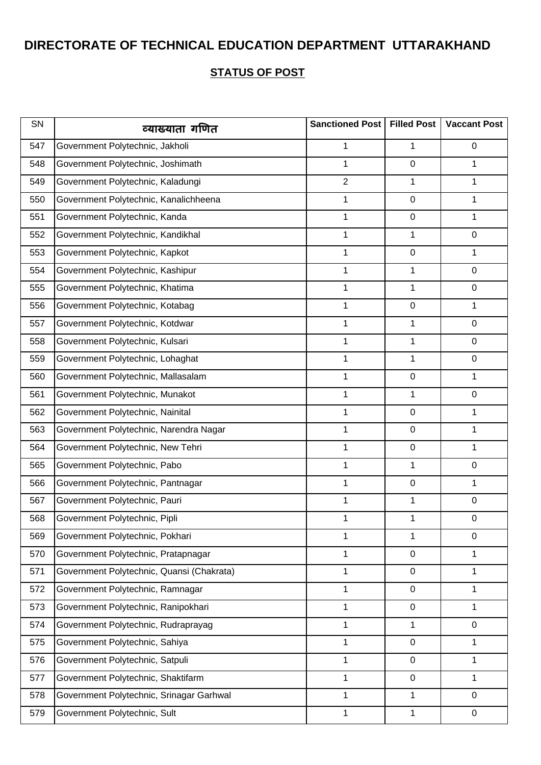| SN  | व्याख्याता गणित                           | Sanctioned Post | <b>Filled Post</b> | <b>Vaccant Post</b> |
|-----|-------------------------------------------|-----------------|--------------------|---------------------|
| 547 | Government Polytechnic, Jakholi           | 1               | 1                  | $\mathbf 0$         |
| 548 | Government Polytechnic, Joshimath         | $\mathbf{1}$    | 0                  | 1                   |
| 549 | Government Polytechnic, Kaladungi         | $\overline{2}$  | 1                  | 1                   |
| 550 | Government Polytechnic, Kanalichheena     | 1               | 0                  | 1                   |
| 551 | Government Polytechnic, Kanda             | 1               | 0                  | 1                   |
| 552 | Government Polytechnic, Kandikhal         | $\mathbf 1$     | 1                  | $\mathbf 0$         |
| 553 | Government Polytechnic, Kapkot            | 1               | $\boldsymbol{0}$   | 1                   |
| 554 | Government Polytechnic, Kashipur          | 1               | 1                  | $\mathsf 0$         |
| 555 | Government Polytechnic, Khatima           | 1               | 1                  | $\mathbf 0$         |
| 556 | Government Polytechnic, Kotabag           | 1               | 0                  | 1                   |
| 557 | Government Polytechnic, Kotdwar           | 1               | 1                  | $\mathbf 0$         |
| 558 | Government Polytechnic, Kulsari           | 1               | 1                  | $\mathsf 0$         |
| 559 | Government Polytechnic, Lohaghat          | 1               | 1                  | $\mathbf 0$         |
| 560 | Government Polytechnic, Mallasalam        | $\mathbf 1$     | $\boldsymbol{0}$   | 1                   |
| 561 | Government Polytechnic, Munakot           | 1               | 1                  | $\mathbf 0$         |
| 562 | Government Polytechnic, Nainital          | 1               | 0                  | 1                   |
| 563 | Government Polytechnic, Narendra Nagar    | 1               | $\boldsymbol{0}$   | 1                   |
| 564 | Government Polytechnic, New Tehri         | 1               | 0                  | 1                   |
| 565 | Government Polytechnic, Pabo              | 1               | 1                  | $\mathbf 0$         |
| 566 | Government Polytechnic, Pantnagar         | 1               | 0                  | 1                   |
| 567 | Government Polytechnic, Pauri             | 1               | 1                  | $\mathbf 0$         |
| 568 | Government Polytechnic, Pipli             | 1               | 1                  | $\boldsymbol{0}$    |
| 569 | Government Polytechnic, Pokhari           | 1               | 1                  | $\mathbf 0$         |
| 570 | Government Polytechnic, Pratapnagar       | 1               | 0                  | 1                   |
| 571 | Government Polytechnic, Quansi (Chakrata) | 1               | 0                  | 1                   |
| 572 | Government Polytechnic, Ramnagar          | 1               | $\boldsymbol{0}$   | 1                   |
| 573 | Government Polytechnic, Ranipokhari       | 1               | $\boldsymbol{0}$   | 1                   |
| 574 | Government Polytechnic, Rudraprayag       | 1               | $\mathbf 1$        | 0                   |
| 575 | Government Polytechnic, Sahiya            | 1               | $\boldsymbol{0}$   | 1                   |
| 576 | Government Polytechnic, Satpuli           | $\mathbf{1}$    | $\boldsymbol{0}$   | 1                   |
| 577 | Government Polytechnic, Shaktifarm        | $\mathbf 1$     | $\mathsf 0$        | 1                   |
| 578 | Government Polytechnic, Srinagar Garhwal  | 1               | 1                  | 0                   |
| 579 | Government Polytechnic, Sult              | 1               | 1                  | $\mathbf 0$         |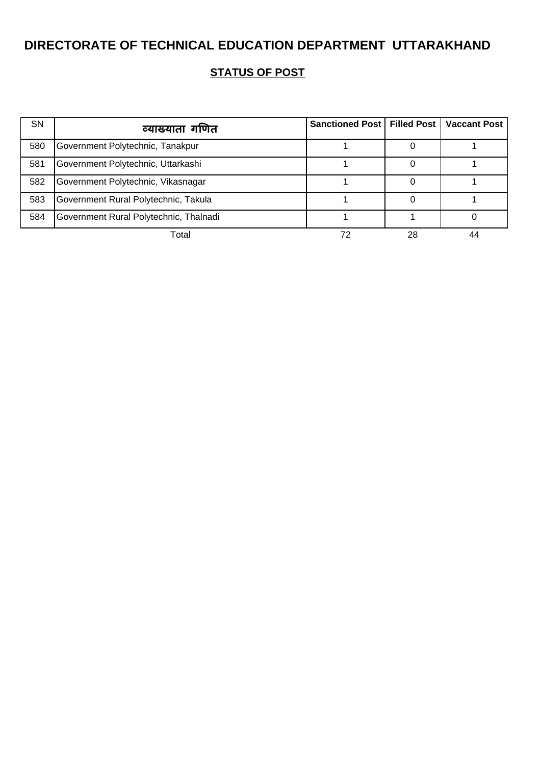| <b>SN</b> | व्याख्याता गणित                        | Sanctioned Post   Filled Post   Vaccant Post |    |    |
|-----------|----------------------------------------|----------------------------------------------|----|----|
| 580       | Government Polytechnic, Tanakpur       |                                              |    |    |
| 581       | Government Polytechnic, Uttarkashi     |                                              |    |    |
| 582       | Government Polytechnic, Vikasnagar     |                                              |    |    |
| 583       | Government Rural Polytechnic, Takula   |                                              |    |    |
| 584       | Government Rural Polytechnic, Thalnadi |                                              |    |    |
|           | Total                                  |                                              | 28 | 44 |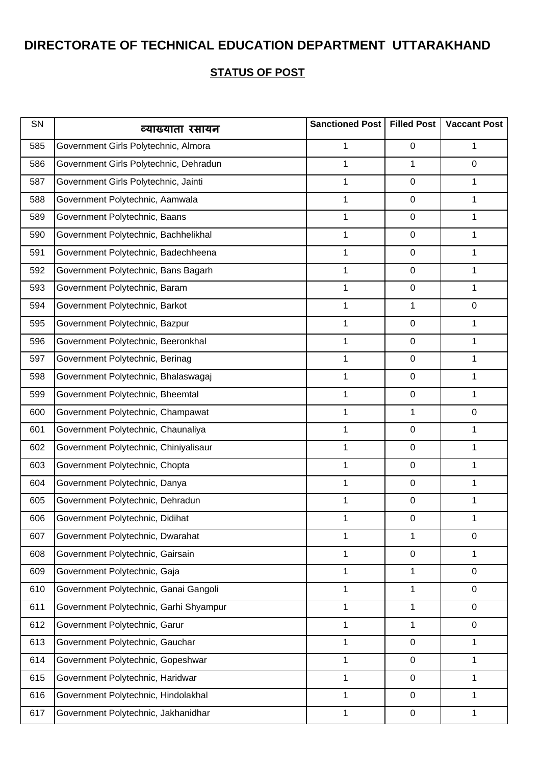| SN  | व्याख्याता रसायन                       | Sanctioned Post   Filled Post |                  | <b>Vaccant Post</b> |
|-----|----------------------------------------|-------------------------------|------------------|---------------------|
| 585 | Government Girls Polytechnic, Almora   | 1                             | 0                | 1                   |
| 586 | Government Girls Polytechnic, Dehradun | 1                             | 1                | $\mathbf 0$         |
| 587 | Government Girls Polytechnic, Jainti   | 1                             | 0                | 1                   |
| 588 | Government Polytechnic, Aamwala        | 1                             | 0                | 1                   |
| 589 | Government Polytechnic, Baans          | 1                             | 0                | 1                   |
| 590 | Government Polytechnic, Bachhelikhal   | 1                             | 0                | 1                   |
| 591 | Government Polytechnic, Badechheena    | 1                             | 0                | 1                   |
| 592 | Government Polytechnic, Bans Bagarh    | 1                             | 0                | 1                   |
| 593 | Government Polytechnic, Baram          | 1                             | $\boldsymbol{0}$ | 1                   |
| 594 | Government Polytechnic, Barkot         | 1                             | 1                | 0                   |
| 595 | Government Polytechnic, Bazpur         | 1                             | 0                | 1                   |
| 596 | Government Polytechnic, Beeronkhal     | 1                             | 0                | 1                   |
| 597 | Government Polytechnic, Berinag        | 1                             | 0                | 1                   |
| 598 | Government Polytechnic, Bhalaswagaj    | 1                             | 0                | 1                   |
| 599 | Government Polytechnic, Bheemtal       | 1                             | 0                | 1                   |
| 600 | Government Polytechnic, Champawat      | 1                             | 1                | 0                   |
| 601 | Government Polytechnic, Chaunaliya     | 1                             | 0                | 1                   |
| 602 | Government Polytechnic, Chiniyalisaur  | 1                             | 0                | 1                   |
| 603 | Government Polytechnic, Chopta         | 1                             | 0                | 1                   |
| 604 | Government Polytechnic, Danya          | 1                             | 0                | 1                   |
| 605 | Government Polytechnic, Dehradun       | 1                             | 0                | 1                   |
| 606 | Government Polytechnic, Didihat        | 1                             | 0                | 1                   |
| 607 | Government Polytechnic, Dwarahat       | 1                             | 1                | $\mathbf 0$         |
| 608 | Government Polytechnic, Gairsain       | 1                             | 0                | 1                   |
| 609 | Government Polytechnic, Gaja           | 1                             | 1                | $\mathbf 0$         |
| 610 | Government Polytechnic, Ganai Gangoli  | 1                             | 1                | $\mathbf 0$         |
| 611 | Government Polytechnic, Garhi Shyampur | 1                             | 1                | 0                   |
| 612 | Government Polytechnic, Garur          | 1                             | 1                | 0                   |
| 613 | Government Polytechnic, Gauchar        | 1                             | 0                | 1                   |
| 614 | Government Polytechnic, Gopeshwar      | 1                             | 0                | 1                   |
| 615 | Government Polytechnic, Haridwar       | 1                             | 0                | 1                   |
| 616 | Government Polytechnic, Hindolakhal    | 1                             | 0                | 1                   |
| 617 | Government Polytechnic, Jakhanidhar    | 1                             | 0                | 1                   |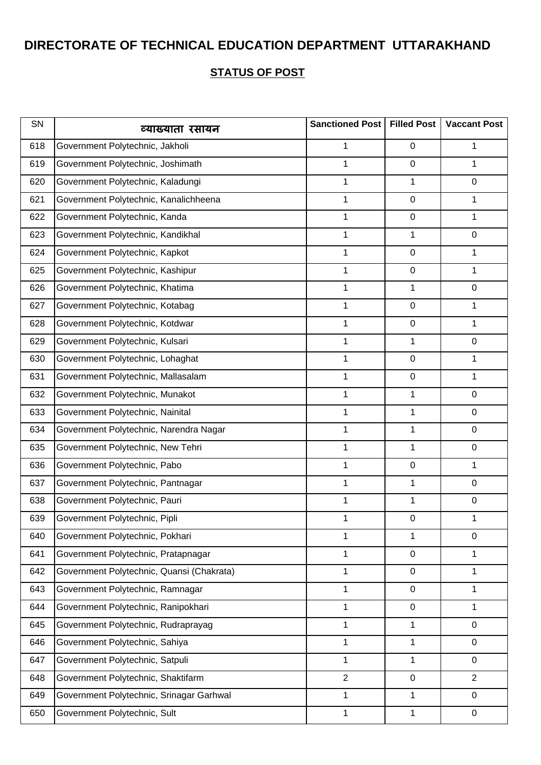| SN  | व्याख्याता रसायन                          | Sanctioned Post | <b>Filled Post</b> | <b>Vaccant Post</b> |
|-----|-------------------------------------------|-----------------|--------------------|---------------------|
| 618 | Government Polytechnic, Jakholi           | 1               | $\mathbf 0$        | 1                   |
| 619 | Government Polytechnic, Joshimath         | $\mathbf{1}$    | $\pmb{0}$          | 1                   |
| 620 | Government Polytechnic, Kaladungi         | 1               | 1                  | 0                   |
| 621 | Government Polytechnic, Kanalichheena     | 1               | $\pmb{0}$          | 1                   |
| 622 | Government Polytechnic, Kanda             | 1               | $\pmb{0}$          | 1                   |
| 623 | Government Polytechnic, Kandikhal         | 1               | 1                  | 0                   |
| 624 | Government Polytechnic, Kapkot            | 1               | $\pmb{0}$          | 1                   |
| 625 | Government Polytechnic, Kashipur          | 1               | $\pmb{0}$          | 1                   |
| 626 | Government Polytechnic, Khatima           | 1               | 1                  | 0                   |
| 627 | Government Polytechnic, Kotabag           | 1               | $\pmb{0}$          | 1                   |
| 628 | Government Polytechnic, Kotdwar           | $\mathbf{1}$    | $\pmb{0}$          | 1                   |
| 629 | Government Polytechnic, Kulsari           | 1               | 1                  | 0                   |
| 630 | Government Polytechnic, Lohaghat          | 1               | $\pmb{0}$          | 1                   |
| 631 | Government Polytechnic, Mallasalam        | 1               | $\pmb{0}$          | 1                   |
| 632 | Government Polytechnic, Munakot           | 1               | 1                  | 0                   |
| 633 | Government Polytechnic, Nainital          | 1               | 1                  | 0                   |
| 634 | Government Polytechnic, Narendra Nagar    | 1               | 1                  | 0                   |
| 635 | Government Polytechnic, New Tehri         | 1               | 1                  | 0                   |
| 636 | Government Polytechnic, Pabo              | $\mathbf{1}$    | $\pmb{0}$          | 1                   |
| 637 | Government Polytechnic, Pantnagar         | 1               | 1                  | 0                   |
| 638 | Government Polytechnic, Pauri             | 1               | 1                  | 0                   |
| 639 | Government Polytechnic, Pipli             | 1               | 0                  | 1                   |
| 640 | Government Polytechnic, Pokhari           | 1               | 1                  | $\mathbf 0$         |
| 641 | Government Polytechnic, Pratapnagar       | 1               | $\pmb{0}$          | 1                   |
| 642 | Government Polytechnic, Quansi (Chakrata) | 1               | $\mathbf 0$        | 1                   |
| 643 | Government Polytechnic, Ramnagar          | $\mathbf{1}$    | $\mathbf 0$        | 1                   |
| 644 | Government Polytechnic, Ranipokhari       | 1               | $\pmb{0}$          | 1                   |
| 645 | Government Polytechnic, Rudraprayag       | $\mathbf{1}$    | 1                  | 0                   |
| 646 | Government Polytechnic, Sahiya            | 1               | 1                  | 0                   |
| 647 | Government Polytechnic, Satpuli           | 1               | 1                  | 0                   |
| 648 | Government Polytechnic, Shaktifarm        | $\overline{2}$  | $\mathbf 0$        | $\overline{2}$      |
| 649 | Government Polytechnic, Srinagar Garhwal  | 1               | 1                  | 0                   |
| 650 | Government Polytechnic, Sult              | 1               | 1                  | $\mathbf 0$         |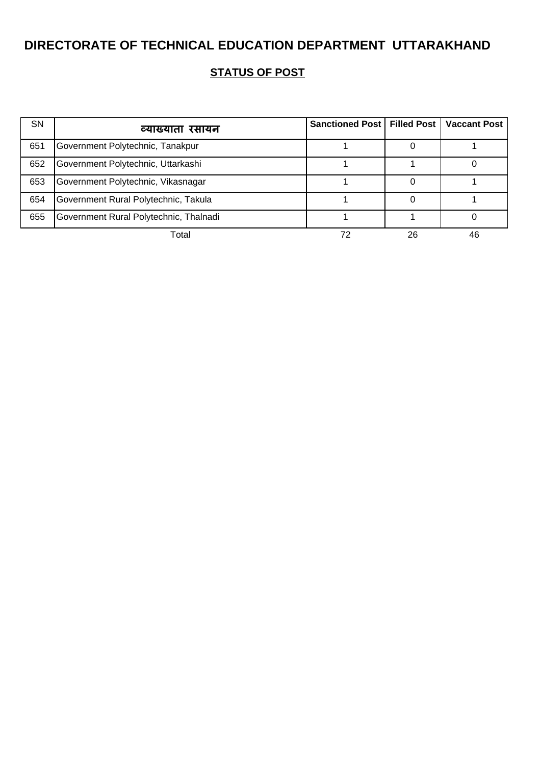| <b>SN</b> | व्याख्याता रसायन                       | Sanctioned Post   Filled Post |    | <b>Vaccant Post</b> |
|-----------|----------------------------------------|-------------------------------|----|---------------------|
| 651       | Government Polytechnic, Tanakpur       |                               |    |                     |
| 652       | Government Polytechnic, Uttarkashi     |                               |    |                     |
| 653       | Government Polytechnic, Vikasnagar     |                               |    |                     |
| 654       | Government Rural Polytechnic, Takula   |                               |    |                     |
| 655       | Government Rural Polytechnic, Thalnadi |                               |    |                     |
|           | Total                                  |                               | 26 | 46                  |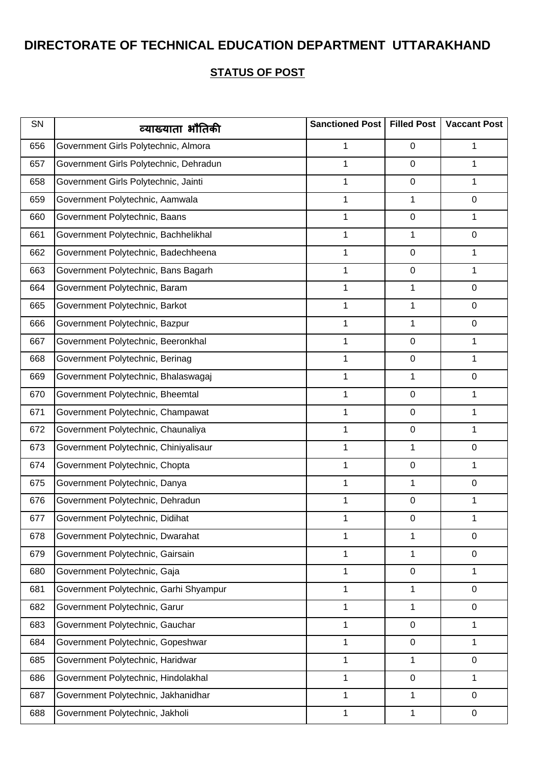| SN  | व्याख्याता भौतिकी                      | Sanctioned Post   Filled Post |                  | <b>Vaccant Post</b> |
|-----|----------------------------------------|-------------------------------|------------------|---------------------|
| 656 | Government Girls Polytechnic, Almora   | 1                             | 0                | 1                   |
| 657 | Government Girls Polytechnic, Dehradun | 1                             | 0                | 1                   |
| 658 | Government Girls Polytechnic, Jainti   | 1                             | $\boldsymbol{0}$ | 1                   |
| 659 | Government Polytechnic, Aamwala        | 1                             | 1                | 0                   |
| 660 | Government Polytechnic, Baans          | 1                             | 0                | 1                   |
| 661 | Government Polytechnic, Bachhelikhal   | 1                             | 1                | 0                   |
| 662 | Government Polytechnic, Badechheena    | 1                             | 0                | 1                   |
| 663 | Government Polytechnic, Bans Bagarh    | 1                             | 0                | 1                   |
| 664 | Government Polytechnic, Baram          | 1                             | 1                | 0                   |
| 665 | Government Polytechnic, Barkot         | 1                             | 1                | 0                   |
| 666 | Government Polytechnic, Bazpur         | 1                             | 1                | 0                   |
| 667 | Government Polytechnic, Beeronkhal     | 1                             | 0                | 1                   |
| 668 | Government Polytechnic, Berinag        | 1                             | 0                | 1                   |
| 669 | Government Polytechnic, Bhalaswagaj    | 1                             | 1                | 0                   |
| 670 | Government Polytechnic, Bheemtal       | 1                             | 0                | 1                   |
| 671 | Government Polytechnic, Champawat      | 1                             | 0                | 1                   |
| 672 | Government Polytechnic, Chaunaliya     | 1                             | 0                | 1                   |
| 673 | Government Polytechnic, Chiniyalisaur  | 1                             | 1                | 0                   |
| 674 | Government Polytechnic, Chopta         | 1                             | 0                | 1                   |
| 675 | Government Polytechnic, Danya          | 1                             | 1                | 0                   |
| 676 | Government Polytechnic, Dehradun       | 1                             | 0                | 1                   |
| 677 | Government Polytechnic, Didihat        | 1                             | 0                | 1                   |
| 678 | Government Polytechnic, Dwarahat       | 1                             | 1                | $\mathbf 0$         |
| 679 | Government Polytechnic, Gairsain       | 1                             | 1                | 0                   |
| 680 | Government Polytechnic, Gaja           | 1                             | 0                | 1                   |
| 681 | Government Polytechnic, Garhi Shyampur | 1                             | 1                | $\mathbf 0$         |
| 682 | Government Polytechnic, Garur          | 1                             | 1                | 0                   |
| 683 | Government Polytechnic, Gauchar        | 1                             | 0                | 1                   |
| 684 | Government Polytechnic, Gopeshwar      | $\mathbf 1$                   | $\boldsymbol{0}$ | 1                   |
| 685 | Government Polytechnic, Haridwar       | 1                             | 1                | $\mathbf 0$         |
| 686 | Government Polytechnic, Hindolakhal    | 1                             | 0                | 1                   |
| 687 | Government Polytechnic, Jakhanidhar    | 1                             | 1                | 0                   |
| 688 | Government Polytechnic, Jakholi        | 1                             | 1                | $\mathbf 0$         |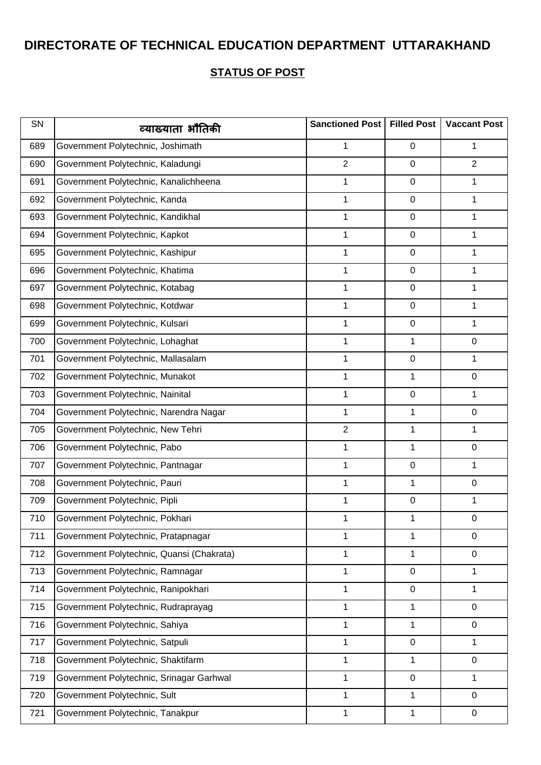| SN  | व्याख्याता भौतिकी                         | Sanctioned Post | <b>Filled Post</b> | <b>Vaccant Post</b> |
|-----|-------------------------------------------|-----------------|--------------------|---------------------|
| 689 | Government Polytechnic, Joshimath         | 1               | 0                  | 1                   |
| 690 | Government Polytechnic, Kaladungi         | $\overline{2}$  | 0                  | $\overline{2}$      |
| 691 | Government Polytechnic, Kanalichheena     | 1               | 0                  | 1                   |
| 692 | Government Polytechnic, Kanda             | 1               | 0                  | 1                   |
| 693 | Government Polytechnic, Kandikhal         | 1               | 0                  | 1                   |
| 694 | Government Polytechnic, Kapkot            | 1               | 0                  | 1                   |
| 695 | Government Polytechnic, Kashipur          | 1               | 0                  | 1                   |
| 696 | Government Polytechnic, Khatima           | 1               | 0                  | 1                   |
| 697 | Government Polytechnic, Kotabag           | 1               | $\boldsymbol{0}$   | 1                   |
| 698 | Government Polytechnic, Kotdwar           | 1               | 0                  | 1                   |
| 699 | Government Polytechnic, Kulsari           | 1               | $\boldsymbol{0}$   | 1                   |
| 700 | Government Polytechnic, Lohaghat          | 1               | 1                  | 0                   |
| 701 | Government Polytechnic, Mallasalam        | 1               | 0                  | 1                   |
| 702 | Government Polytechnic, Munakot           | 1               | 1                  | 0                   |
| 703 | Government Polytechnic, Nainital          | 1               | 0                  | 1                   |
| 704 | Government Polytechnic, Narendra Nagar    | 1               | 1                  | 0                   |
| 705 | Government Polytechnic, New Tehri         | $\overline{2}$  | 1                  | 1                   |
| 706 | Government Polytechnic, Pabo              | 1               | 1                  | 0                   |
| 707 | Government Polytechnic, Pantnagar         | 1               | 0                  | 1                   |
| 708 | Government Polytechnic, Pauri             | 1               | 1                  | 0                   |
| 709 | Government Polytechnic, Pipli             | 1               | 0                  | 1                   |
| 710 | Government Polytechnic, Pokhari           | 1               | 1                  | $\mathbf 0$         |
| 711 | Government Polytechnic, Pratapnagar       | 1               | 1                  | $\mathbf 0$         |
| 712 | Government Polytechnic, Quansi (Chakrata) | 1               | 1                  | 0                   |
| 713 | Government Polytechnic, Ramnagar          | 1               | 0                  | 1                   |
| 714 | Government Polytechnic, Ranipokhari       | 1               | $\boldsymbol{0}$   | 1                   |
| 715 | Government Polytechnic, Rudraprayag       | 1               | 1                  | 0                   |
| 716 | Government Polytechnic, Sahiya            | 1               | 1                  | 0                   |
| 717 | Government Polytechnic, Satpuli           | 1               | 0                  | 1                   |
| 718 | Government Polytechnic, Shaktifarm        | 1               | 1                  | $\mathbf 0$         |
| 719 | Government Polytechnic, Srinagar Garhwal  | 1               | $\boldsymbol{0}$   | 1                   |
| 720 | Government Polytechnic, Sult              | 1               | 1                  | 0                   |
| 721 | Government Polytechnic, Tanakpur          | 1               | 1                  | $\mathbf 0$         |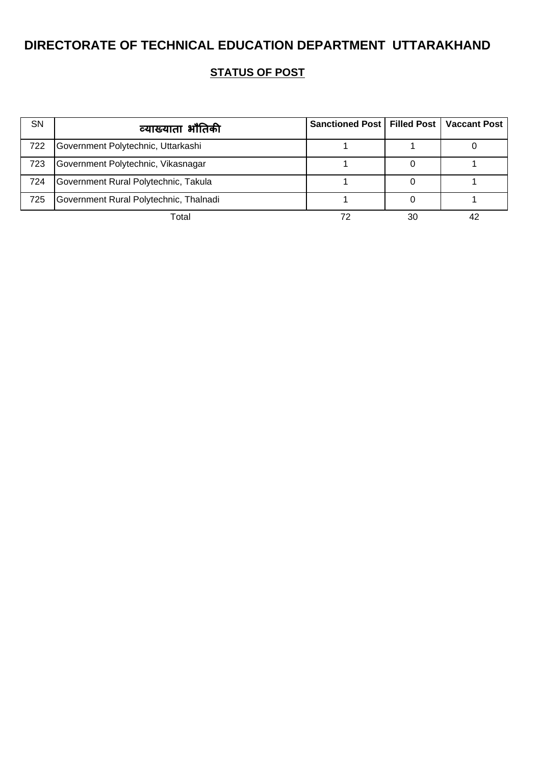| <b>SN</b> | व्याख्याता भौतिकी                      | Sanctioned Post   Filled Post   Vaccant Post |    |  |
|-----------|----------------------------------------|----------------------------------------------|----|--|
| 722       | Government Polytechnic, Uttarkashi     |                                              |    |  |
| 723       | Government Polytechnic, Vikasnagar     |                                              |    |  |
| 724       | Government Rural Polytechnic, Takula   |                                              |    |  |
| 725       | Government Rural Polytechnic, Thalnadi |                                              |    |  |
|           | Total                                  |                                              | 30 |  |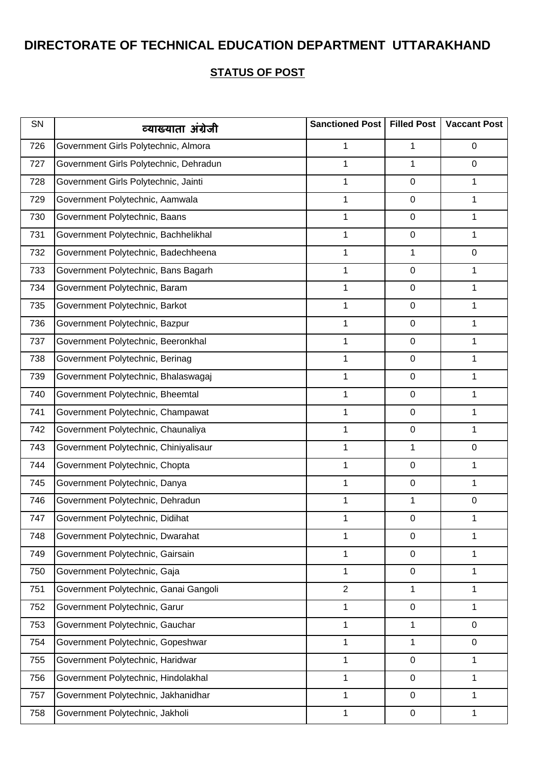| SN  | व्याख्याता अंग्रेजी                    | Sanctioned Post   Filled Post |   | <b>Vaccant Post</b> |
|-----|----------------------------------------|-------------------------------|---|---------------------|
| 726 | Government Girls Polytechnic, Almora   | 1                             | 1 | 0                   |
| 727 | Government Girls Polytechnic, Dehradun | 1                             | 1 | 0                   |
| 728 | Government Girls Polytechnic, Jainti   | 1                             | 0 | 1                   |
| 729 | Government Polytechnic, Aamwala        | 1                             | 0 | 1                   |
| 730 | Government Polytechnic, Baans          | 1                             | 0 | 1                   |
| 731 | Government Polytechnic, Bachhelikhal   | 1                             | 0 | 1                   |
| 732 | Government Polytechnic, Badechheena    | 1                             | 1 | 0                   |
| 733 | Government Polytechnic, Bans Bagarh    | 1                             | 0 | 1                   |
| 734 | Government Polytechnic, Baram          | 1                             | 0 | 1                   |
| 735 | Government Polytechnic, Barkot         | 1                             | 0 | 1                   |
| 736 | Government Polytechnic, Bazpur         | 1                             | 0 | 1                   |
| 737 | Government Polytechnic, Beeronkhal     | 1                             | 0 | 1                   |
| 738 | Government Polytechnic, Berinag        | 1                             | 0 | 1                   |
| 739 | Government Polytechnic, Bhalaswagaj    | 1                             | 0 | 1                   |
| 740 | Government Polytechnic, Bheemtal       | 1                             | 0 | 1                   |
| 741 | Government Polytechnic, Champawat      | 1                             | 0 | 1                   |
| 742 | Government Polytechnic, Chaunaliya     | 1                             | 0 | 1                   |
| 743 | Government Polytechnic, Chiniyalisaur  | 1                             | 1 | 0                   |
| 744 | Government Polytechnic, Chopta         | 1                             | 0 | 1                   |
| 745 | Government Polytechnic, Danya          | 1                             | 0 | 1                   |
| 746 | Government Polytechnic, Dehradun       | 1                             | 1 | 0                   |
| 747 | Government Polytechnic, Didihat        | 1                             | 0 | 1                   |
| 748 | Government Polytechnic, Dwarahat       | 1                             | 0 | 1                   |
| 749 | Government Polytechnic, Gairsain       | 1                             | 0 | 1                   |
| 750 | Government Polytechnic, Gaja           | 1                             | 0 | 1                   |
| 751 | Government Polytechnic, Ganai Gangoli  | $\overline{2}$                | 1 | 1                   |
| 752 | Government Polytechnic, Garur          | 1                             | 0 | 1                   |
| 753 | Government Polytechnic, Gauchar        | 1                             | 1 | 0                   |
| 754 | Government Polytechnic, Gopeshwar      | $\mathbf 1$                   | 1 | $\mathbf 0$         |
| 755 | Government Polytechnic, Haridwar       | 1                             | 0 | 1                   |
| 756 | Government Polytechnic, Hindolakhal    | 1                             | 0 | 1                   |
| 757 | Government Polytechnic, Jakhanidhar    | 1                             | 0 | 1                   |
| 758 | Government Polytechnic, Jakholi        | 1                             | 0 | 1                   |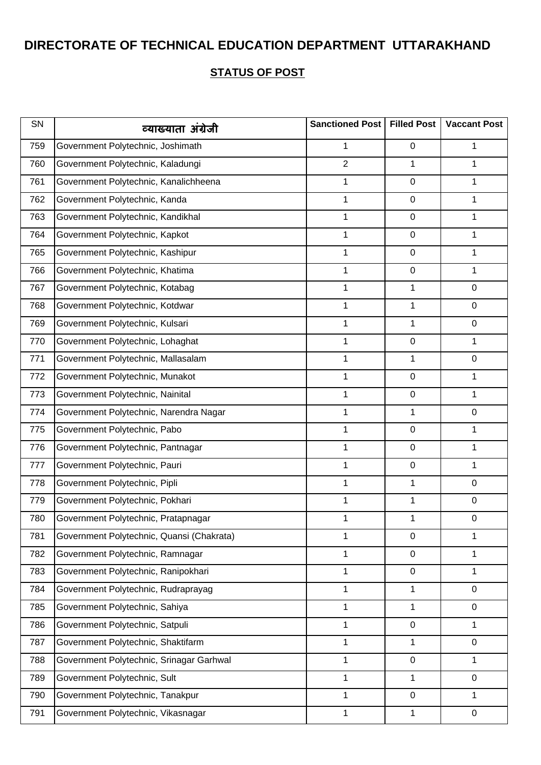| SN  | व्याख्याता अंग्रेजी                       | Sanctioned Post | <b>Filled Post</b> | <b>Vaccant Post</b> |
|-----|-------------------------------------------|-----------------|--------------------|---------------------|
| 759 | Government Polytechnic, Joshimath         | 1               | 0                  | 1                   |
| 760 | Government Polytechnic, Kaladungi         | $\overline{2}$  | 1                  | 1                   |
| 761 | Government Polytechnic, Kanalichheena     | 1               | $\pmb{0}$          | 1                   |
| 762 | Government Polytechnic, Kanda             | 1               | 0                  | 1                   |
| 763 | Government Polytechnic, Kandikhal         | 1               | $\pmb{0}$          | 1                   |
| 764 | Government Polytechnic, Kapkot            | $\mathbf 1$     | $\boldsymbol{0}$   | 1                   |
| 765 | Government Polytechnic, Kashipur          | 1               | $\boldsymbol{0}$   | 1                   |
| 766 | Government Polytechnic, Khatima           | 1               | $\pmb{0}$          | 1                   |
| 767 | Government Polytechnic, Kotabag           | 1               | $\mathbf 1$        | $\mathbf 0$         |
| 768 | Government Polytechnic, Kotdwar           | 1               | $\mathbf 1$        | $\mathbf 0$         |
| 769 | Government Polytechnic, Kulsari           | 1               | 1                  | $\mathbf 0$         |
| 770 | Government Polytechnic, Lohaghat          | 1               | 0                  | 1                   |
| 771 | Government Polytechnic, Mallasalam        | 1               | $\mathbf 1$        | $\mathbf 0$         |
| 772 | Government Polytechnic, Munakot           | $\mathbf 1$     | $\boldsymbol{0}$   | 1                   |
| 773 | Government Polytechnic, Nainital          | 1               | $\boldsymbol{0}$   | 1                   |
| 774 | Government Polytechnic, Narendra Nagar    | 1               | 1                  | $\mathbf 0$         |
| 775 | Government Polytechnic, Pabo              | 1               | $\pmb{0}$          | 1                   |
| 776 | Government Polytechnic, Pantnagar         | 1               | 0                  | 1                   |
| 777 | Government Polytechnic, Pauri             | $\mathbf 1$     | $\pmb{0}$          | 1                   |
| 778 | Government Polytechnic, Pipli             | 1               | $\mathbf 1$        | 0                   |
| 779 | Government Polytechnic, Pokhari           | 1               | $\mathbf 1$        | $\mathbf 0$         |
| 780 | Government Polytechnic, Pratapnagar       | 1               | 1                  | $\boldsymbol{0}$    |
| 781 | Government Polytechnic, Quansi (Chakrata) | $\mathbf 1$     | $\boldsymbol{0}$   | 1                   |
| 782 | Government Polytechnic, Ramnagar          | 1               | 0                  | 1                   |
| 783 | Government Polytechnic, Ranipokhari       | 1               | $\pmb{0}$          | 1                   |
| 784 | Government Polytechnic, Rudraprayag       | $\mathbf 1$     | $\mathbf 1$        | $\mathbf 0$         |
| 785 | Government Polytechnic, Sahiya            | 1               | 1                  | $\mathbf 0$         |
| 786 | Government Polytechnic, Satpuli           | 1               | $\pmb{0}$          | 1                   |
| 787 | Government Polytechnic, Shaktifarm        | 1               | $\mathbf 1$        | $\mathbf 0$         |
| 788 | Government Polytechnic, Srinagar Garhwal  | 1               | $\boldsymbol{0}$   | 1                   |
| 789 | Government Polytechnic, Sult              | 1               | 1                  | $\mathbf 0$         |
| 790 | Government Polytechnic, Tanakpur          | 1               | 0                  | 1                   |
| 791 | Government Polytechnic, Vikasnagar        | $\mathbf 1$     | 1                  | $\mathbf 0$         |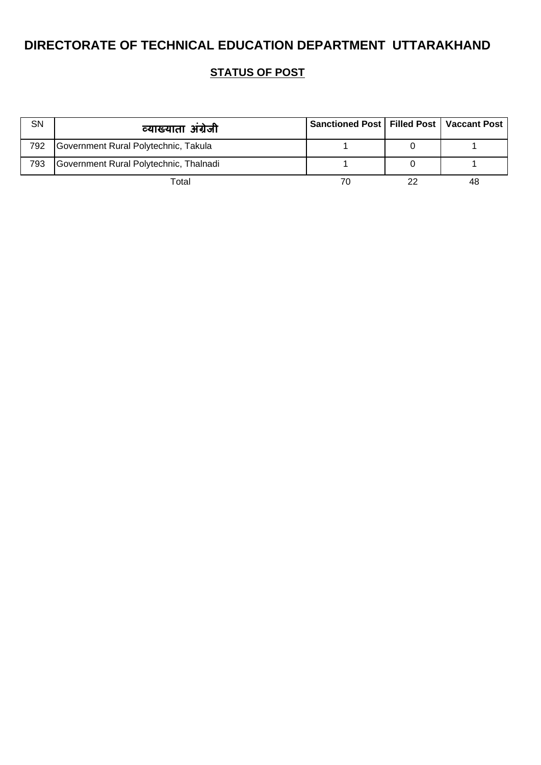| SN  | व्याख्याता अंग्रेजी                    | Sanctioned Post   Filled Post   Vaccant Post |    |
|-----|----------------------------------------|----------------------------------------------|----|
| 792 | Government Rural Polytechnic, Takula   |                                              |    |
| 793 | Government Rural Polytechnic, Thalnadi |                                              |    |
|     | Total                                  | 70                                           | 48 |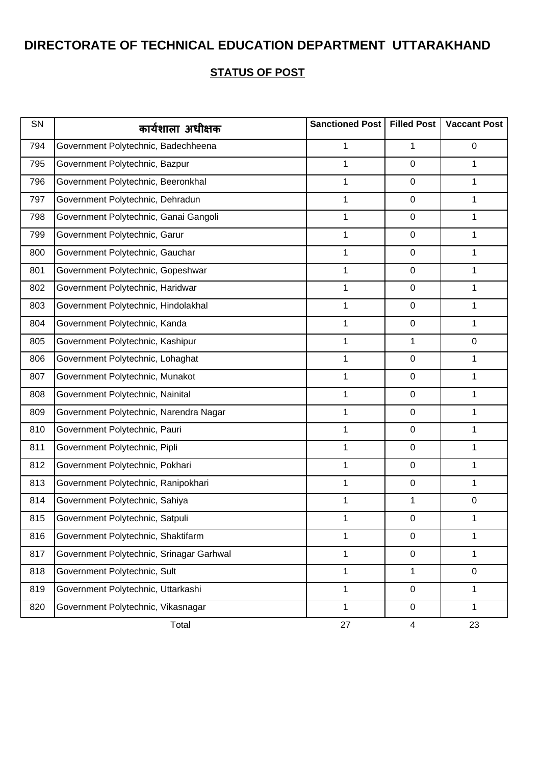| SN  | कार्यशाला अधीक्षक                        | Sanctioned Post | <b>Filled Post</b> | <b>Vaccant Post</b> |
|-----|------------------------------------------|-----------------|--------------------|---------------------|
| 794 | Government Polytechnic, Badechheena      | 1               | 1                  | $\mathbf 0$         |
| 795 | Government Polytechnic, Bazpur           | 1               | $\mathbf 0$        | 1                   |
| 796 | Government Polytechnic, Beeronkhal       | 1               | $\mathbf 0$        | 1                   |
| 797 | Government Polytechnic, Dehradun         | 1               | $\mathbf 0$        | 1                   |
| 798 | Government Polytechnic, Ganai Gangoli    | 1               | $\mathbf 0$        | 1                   |
| 799 | Government Polytechnic, Garur            | 1               | $\mathbf 0$        | 1                   |
| 800 | Government Polytechnic, Gauchar          | 1               | $\mathbf 0$        | 1                   |
| 801 | Government Polytechnic, Gopeshwar        | 1               | $\mathbf 0$        | 1                   |
| 802 | Government Polytechnic, Haridwar         | 1               | $\mathbf 0$        | 1                   |
| 803 | Government Polytechnic, Hindolakhal      | 1               | $\mathbf 0$        | 1                   |
| 804 | Government Polytechnic, Kanda            | 1               | $\mathbf 0$        | $\mathbf 1$         |
| 805 | Government Polytechnic, Kashipur         | 1               | 1                  | $\mathbf 0$         |
| 806 | Government Polytechnic, Lohaghat         | 1               | $\mathbf 0$        | 1                   |
| 807 | Government Polytechnic, Munakot          | 1               | $\mathbf 0$        | 1                   |
| 808 | Government Polytechnic, Nainital         | 1               | $\mathbf 0$        | 1                   |
| 809 | Government Polytechnic, Narendra Nagar   | 1               | $\mathbf 0$        | 1                   |
| 810 | Government Polytechnic, Pauri            | 1               | $\mathbf 0$        | 1                   |
| 811 | Government Polytechnic, Pipli            | 1               | $\mathbf 0$        | 1                   |
| 812 | Government Polytechnic, Pokhari          | 1               | $\mathbf 0$        | $\mathbf 1$         |
| 813 | Government Polytechnic, Ranipokhari      | 1               | $\mathbf 0$        | 1                   |
| 814 | Government Polytechnic, Sahiya           | 1               | 1                  | $\mathbf 0$         |
| 815 | Government Polytechnic, Satpuli          | 1               | $\mathbf 0$        | 1                   |
| 816 | Government Polytechnic, Shaktifarm       | 1               | $\mathbf 0$        | 1                   |
| 817 | Government Polytechnic, Srinagar Garhwal | 1               | $\pmb{0}$          | 1                   |
| 818 | Government Polytechnic, Sult             | 1               | 1                  | $\mathbf 0$         |
| 819 | Government Polytechnic, Uttarkashi       | 1               | $\mathbf 0$        | 1                   |
| 820 | Government Polytechnic, Vikasnagar       | 1               | 0                  | 1                   |
|     | Total                                    | 27              | 4                  | 23                  |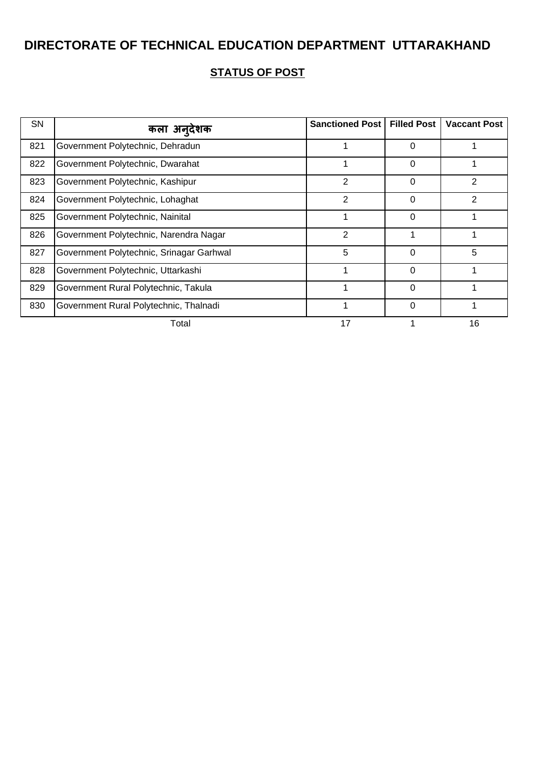| SN  | कला अनदेशक                               | <b>Sanctioned Post</b> | <b>Filled Post</b> | <b>Vaccant Post</b> |
|-----|------------------------------------------|------------------------|--------------------|---------------------|
| 821 | Government Polytechnic, Dehradun         |                        | 0                  |                     |
| 822 | Government Polytechnic, Dwarahat         | 1                      | 0                  |                     |
| 823 | Government Polytechnic, Kashipur         | $\overline{2}$         | 0                  | $\overline{2}$      |
| 824 | Government Polytechnic, Lohaghat         | $\overline{2}$         | $\Omega$           | 2                   |
| 825 | Government Polytechnic, Nainital         |                        | 0                  |                     |
| 826 | Government Polytechnic, Narendra Nagar   | 2                      |                    |                     |
| 827 | Government Polytechnic, Srinagar Garhwal | 5                      | 0                  | 5                   |
| 828 | Government Polytechnic, Uttarkashi       |                        | $\Omega$           |                     |
| 829 | Government Rural Polytechnic, Takula     |                        | $\Omega$           |                     |
| 830 | Government Rural Polytechnic, Thalnadi   |                        | 0                  |                     |
|     | Total                                    | 17                     |                    | 16                  |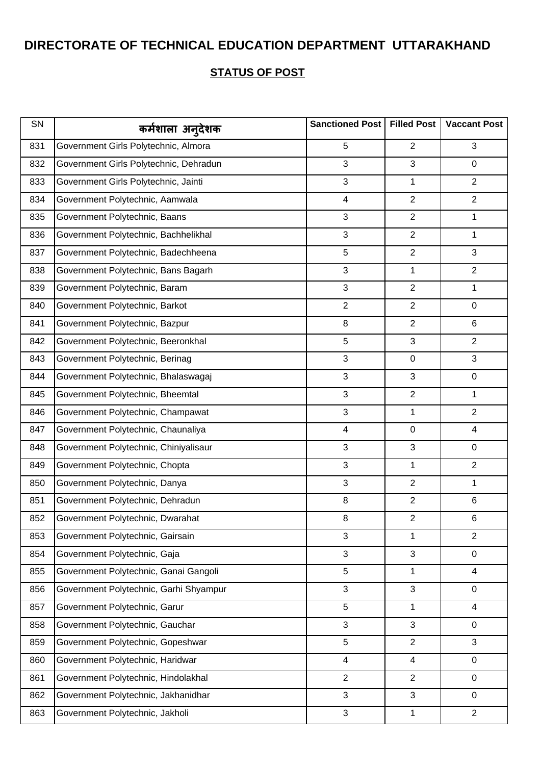| SN  | कर्मशाला अन् <b>देशक</b>               | Sanctioned Post   Filled Post |                | <b>Vaccant Post</b> |
|-----|----------------------------------------|-------------------------------|----------------|---------------------|
| 831 | Government Girls Polytechnic, Almora   | 5                             | $\overline{2}$ | 3                   |
| 832 | Government Girls Polytechnic, Dehradun | 3                             | 3              | 0                   |
| 833 | Government Girls Polytechnic, Jainti   | 3                             | 1              | $\overline{2}$      |
| 834 | Government Polytechnic, Aamwala        | $\overline{\mathbf{4}}$       | $\overline{2}$ | $\overline{2}$      |
| 835 | Government Polytechnic, Baans          | 3                             | $\overline{2}$ | 1                   |
| 836 | Government Polytechnic, Bachhelikhal   | 3                             | $\overline{2}$ | 1                   |
| 837 | Government Polytechnic, Badechheena    | 5                             | $\overline{2}$ | 3                   |
| 838 | Government Polytechnic, Bans Bagarh    | 3                             | 1              | $\overline{2}$      |
| 839 | Government Polytechnic, Baram          | 3                             | $\overline{2}$ | 1                   |
| 840 | Government Polytechnic, Barkot         | $\overline{2}$                | $\overline{2}$ | 0                   |
| 841 | Government Polytechnic, Bazpur         | 8                             | $\overline{2}$ | 6                   |
| 842 | Government Polytechnic, Beeronkhal     | 5                             | 3              | $\overline{2}$      |
| 843 | Government Polytechnic, Berinag        | 3                             | $\pmb{0}$      | 3                   |
| 844 | Government Polytechnic, Bhalaswagaj    | 3                             | 3              | 0                   |
| 845 | Government Polytechnic, Bheemtal       | 3                             | $\overline{2}$ | 1                   |
| 846 | Government Polytechnic, Champawat      | 3                             | 1              | 2                   |
| 847 | Government Polytechnic, Chaunaliya     | $\overline{\mathbf{4}}$       | $\pmb{0}$      | $\overline{4}$      |
| 848 | Government Polytechnic, Chiniyalisaur  | 3                             | 3              | 0                   |
| 849 | Government Polytechnic, Chopta         | 3                             | 1              | $\overline{2}$      |
| 850 | Government Polytechnic, Danya          | 3                             | $\overline{2}$ | 1                   |
| 851 | Government Polytechnic, Dehradun       | 8                             | $\overline{2}$ | 6                   |
| 852 | Government Polytechnic, Dwarahat       | 8                             | $\overline{2}$ | 6                   |
| 853 | Government Polytechnic, Gairsain       | 3                             | 1              | $\overline{2}$      |
| 854 | Government Polytechnic, Gaja           | 3                             | 3              | 0                   |
| 855 | Government Polytechnic, Ganai Gangoli  | 5                             | 1              | $\overline{4}$      |
| 856 | Government Polytechnic, Garhi Shyampur | 3                             | 3              | 0                   |
| 857 | Government Polytechnic, Garur          | 5                             | 1              | $\overline{4}$      |
| 858 | Government Polytechnic, Gauchar        | 3                             | 3              | 0                   |
| 859 | Government Polytechnic, Gopeshwar      | 5                             | $\overline{2}$ | 3                   |
| 860 | Government Polytechnic, Haridwar       | 4                             | 4              | 0                   |
| 861 | Government Polytechnic, Hindolakhal    | $\overline{2}$                | $\overline{2}$ | $\mathbf 0$         |
| 862 | Government Polytechnic, Jakhanidhar    | 3                             | 3              | 0                   |
| 863 | Government Polytechnic, Jakholi        | 3                             | $\mathbf{1}$   | $\overline{2}$      |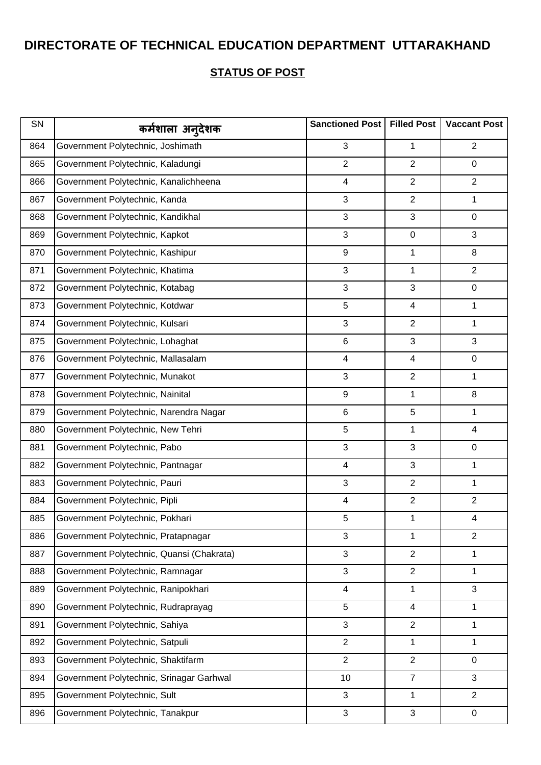| SN  | कर्मशाला अन् <b>देशक</b>                  | Sanctioned Post         | <b>Filled Post</b> | <b>Vaccant Post</b> |
|-----|-------------------------------------------|-------------------------|--------------------|---------------------|
| 864 | Government Polytechnic, Joshimath         | 3                       | 1                  | $\overline{2}$      |
| 865 | Government Polytechnic, Kaladungi         | $\overline{2}$          | $\overline{2}$     | $\mathbf 0$         |
| 866 | Government Polytechnic, Kanalichheena     | $\overline{\mathbf{4}}$ | $\overline{2}$     | $\overline{2}$      |
| 867 | Government Polytechnic, Kanda             | 3                       | $\overline{2}$     | 1                   |
| 868 | Government Polytechnic, Kandikhal         | 3                       | 3                  | $\mathbf 0$         |
| 869 | Government Polytechnic, Kapkot            | 3                       | $\pmb{0}$          | 3                   |
| 870 | Government Polytechnic, Kashipur          | 9                       | 1                  | 8                   |
| 871 | Government Polytechnic, Khatima           | 3                       | 1                  | $\overline{2}$      |
| 872 | Government Polytechnic, Kotabag           | 3                       | 3                  | 0                   |
| 873 | Government Polytechnic, Kotdwar           | 5                       | 4                  | 1                   |
| 874 | Government Polytechnic, Kulsari           | 3                       | $\overline{2}$     | $\mathbf 1$         |
| 875 | Government Polytechnic, Lohaghat          | 6                       | 3                  | 3                   |
| 876 | Government Polytechnic, Mallasalam        | $\overline{\mathbf{4}}$ | 4                  | $\mathsf 0$         |
| 877 | Government Polytechnic, Munakot           | 3                       | $\overline{2}$     | 1                   |
| 878 | Government Polytechnic, Nainital          | 9                       | 1                  | 8                   |
| 879 | Government Polytechnic, Narendra Nagar    | 6                       | 5                  | 1                   |
| 880 | Government Polytechnic, New Tehri         | 5                       | 1                  | 4                   |
| 881 | Government Polytechnic, Pabo              | 3                       | 3                  | 0                   |
| 882 | Government Polytechnic, Pantnagar         | $\overline{\mathbf{4}}$ | 3                  | $\mathbf 1$         |
| 883 | Government Polytechnic, Pauri             | 3                       | $\overline{2}$     | 1                   |
| 884 | Government Polytechnic, Pipli             | $\overline{\mathbf{4}}$ | $\overline{2}$     | $\overline{2}$      |
| 885 | Government Polytechnic, Pokhari           | 5                       | 1                  | 4                   |
| 886 | Government Polytechnic, Pratapnagar       | 3                       | 1                  | $\overline{2}$      |
| 887 | Government Polytechnic, Quansi (Chakrata) | 3                       | $\overline{2}$     | 1                   |
| 888 | Government Polytechnic, Ramnagar          | 3                       | $\overline{2}$     | 1                   |
| 889 | Government Polytechnic, Ranipokhari       | $\overline{\mathbf{4}}$ | $\mathbf{1}$       | 3                   |
| 890 | Government Polytechnic, Rudraprayag       | 5                       | $\overline{4}$     | 1                   |
| 891 | Government Polytechnic, Sahiya            | 3                       | $\overline{2}$     | 1                   |
| 892 | Government Polytechnic, Satpuli           | $\overline{2}$          | 1                  | 1                   |
| 893 | Government Polytechnic, Shaktifarm        | $\overline{2}$          | $\overline{2}$     | 0                   |
| 894 | Government Polytechnic, Srinagar Garhwal  | 10                      | $\overline{7}$     | 3                   |
| 895 | Government Polytechnic, Sult              | 3                       | 1                  | $\overline{2}$      |
| 896 | Government Polytechnic, Tanakpur          | 3                       | 3                  | 0                   |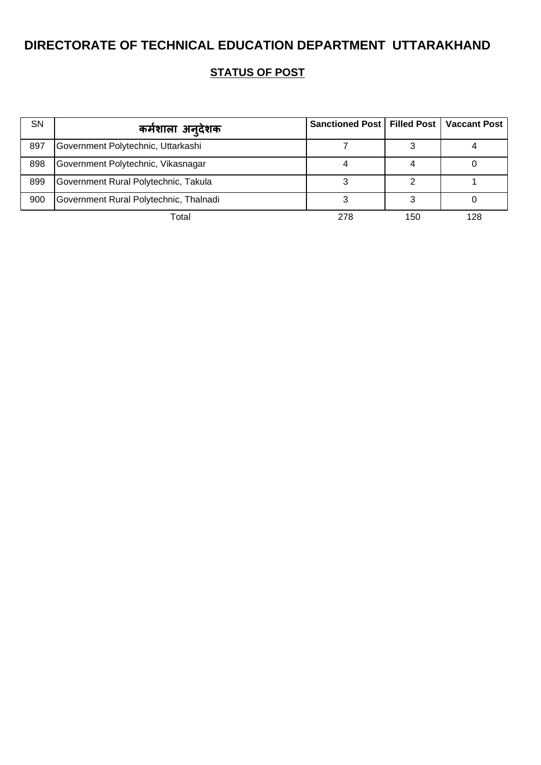| <b>SN</b> | कर्मशाला अन् <b>देशक</b>               | Sanctioned Post   Filled Post   Vaccant Post |     |     |
|-----------|----------------------------------------|----------------------------------------------|-----|-----|
| 897       | Government Polytechnic, Uttarkashi     |                                              |     |     |
| 898       | Government Polytechnic, Vikasnagar     |                                              |     |     |
| 899       | Government Rural Polytechnic, Takula   |                                              |     |     |
| 900       | Government Rural Polytechnic, Thalnadi |                                              |     |     |
|           | Total                                  | 278                                          | 150 | 128 |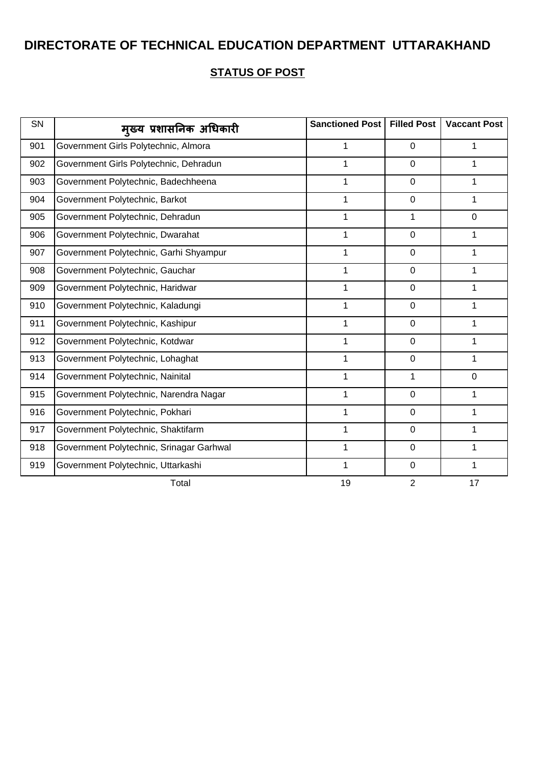| SN  | मुख्य प्रशासनिक अधिकारी                  | Sanctioned Post | <b>Filled Post</b> | <b>Vaccant Post</b> |
|-----|------------------------------------------|-----------------|--------------------|---------------------|
| 901 | Government Girls Polytechnic, Almora     | 1               | $\mathbf 0$        | 1                   |
| 902 | Government Girls Polytechnic, Dehradun   | 1               | $\mathbf 0$        | 1                   |
| 903 | Government Polytechnic, Badechheena      | 1               | $\mathbf 0$        | 1                   |
| 904 | Government Polytechnic, Barkot           | $\mathbf 1$     | $\overline{0}$     | $\mathbf{1}$        |
| 905 | Government Polytechnic, Dehradun         | 1               | 1                  | $\mathbf 0$         |
| 906 | Government Polytechnic, Dwarahat         | 1               | $\mathbf 0$        | $\mathbf{1}$        |
| 907 | Government Polytechnic, Garhi Shyampur   | 1               | $\mathbf 0$        | 1                   |
| 908 | Government Polytechnic, Gauchar          | 1               | $\mathbf 0$        | 1                   |
| 909 | Government Polytechnic, Haridwar         | 1               | $\mathbf 0$        | 1                   |
| 910 | Government Polytechnic, Kaladungi        | 1               | $\mathbf 0$        | 1                   |
| 911 | Government Polytechnic, Kashipur         | 1               | $\mathbf 0$        | 1                   |
| 912 | Government Polytechnic, Kotdwar          | 1               | $\mathbf 0$        | 1                   |
| 913 | Government Polytechnic, Lohaghat         | 1               | $\overline{0}$     | $\mathbf{1}$        |
| 914 | Government Polytechnic, Nainital         | 1               | 1                  | $\mathbf 0$         |
| 915 | Government Polytechnic, Narendra Nagar   | $\mathbf{1}$    | $\mathbf 0$        | $\mathbf{1}$        |
| 916 | Government Polytechnic, Pokhari          | 1               | $\pmb{0}$          | 1                   |
| 917 | Government Polytechnic, Shaktifarm       | 1               | $\mathbf 0$        | 1                   |
| 918 | Government Polytechnic, Srinagar Garhwal | 1               | $\mathbf 0$        | 1                   |
| 919 | Government Polytechnic, Uttarkashi       | 1               | $\mathbf 0$        | 1                   |
|     | Total                                    | 19              | $\overline{2}$     | 17                  |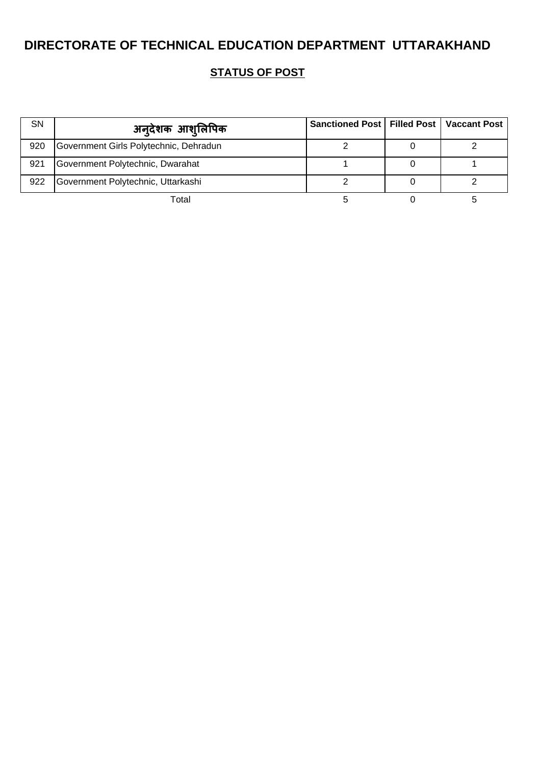| SN  | अन् <b>देशक आश्</b> लिपिक              | Sanctioned Post   Filled Post   Vaccant Post |  |
|-----|----------------------------------------|----------------------------------------------|--|
| 920 | Government Girls Polytechnic, Dehradun |                                              |  |
| 921 | Government Polytechnic, Dwarahat       |                                              |  |
| 922 | Government Polytechnic, Uttarkashi     |                                              |  |
|     | Total                                  |                                              |  |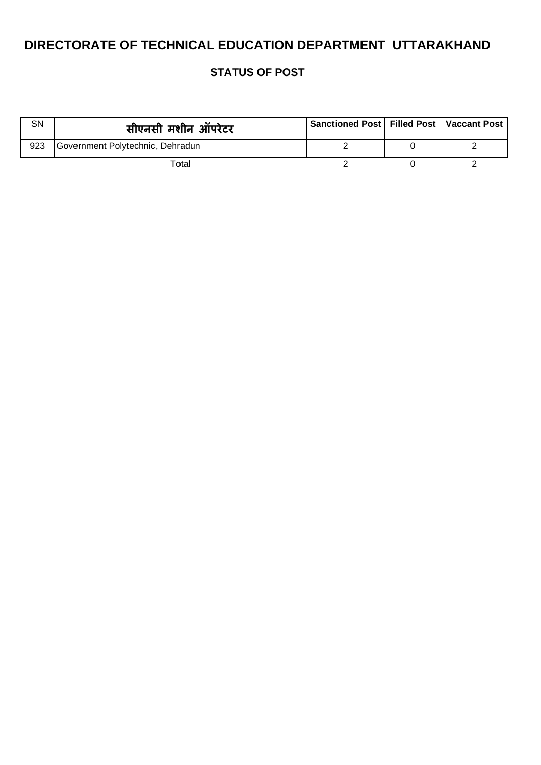| <b>SN</b> | सीएनसी मशीन ऑपरेटर               | Sanctioned Post   Filled Post   Vaccant Post |  |
|-----------|----------------------------------|----------------------------------------------|--|
| 923       | Government Polytechnic, Dehradun |                                              |  |
|           | Total                            |                                              |  |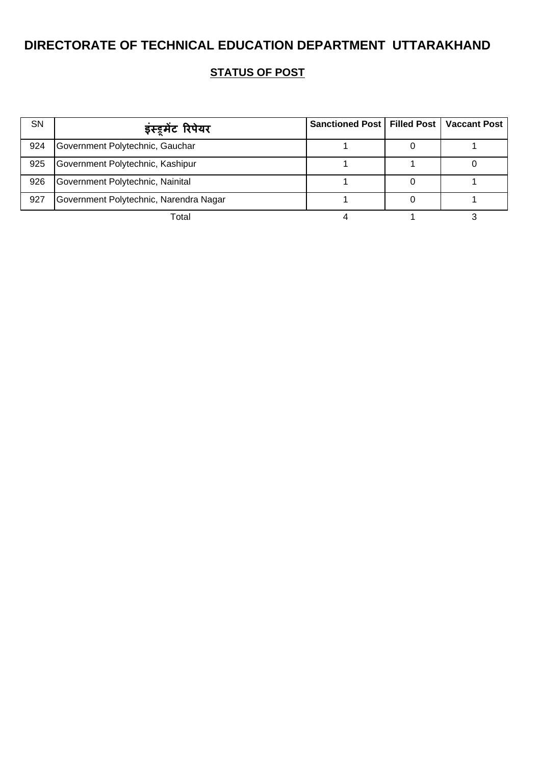| <b>SN</b> | इंस्ट्रुमेंट रिपेयर                    | Sanctioned Post   Filled Post   Vaccant Post |  |
|-----------|----------------------------------------|----------------------------------------------|--|
| 924       | Government Polytechnic, Gauchar        |                                              |  |
| 925       | Government Polytechnic, Kashipur       |                                              |  |
| 926       | Government Polytechnic, Nainital       |                                              |  |
| 927       | Government Polytechnic, Narendra Nagar |                                              |  |
|           | Total                                  |                                              |  |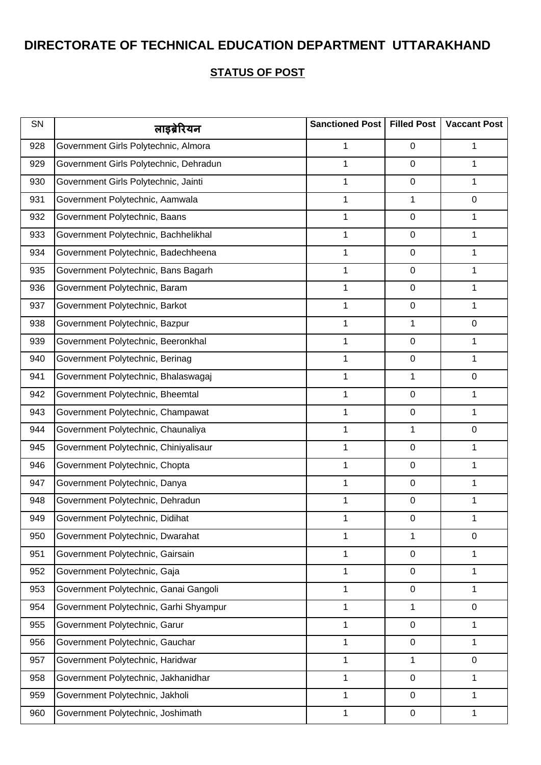| SN  | लाइब्रेरियन                            | Sanctioned Post   Filled Post |                  | <b>Vaccant Post</b> |
|-----|----------------------------------------|-------------------------------|------------------|---------------------|
| 928 | Government Girls Polytechnic, Almora   | 1                             | 0                | 1                   |
| 929 | Government Girls Polytechnic, Dehradun | 1                             | 0                | 1                   |
| 930 | Government Girls Polytechnic, Jainti   | 1                             | $\boldsymbol{0}$ | 1                   |
| 931 | Government Polytechnic, Aamwala        | 1                             | 1                | 0                   |
| 932 | Government Polytechnic, Baans          | 1                             | 0                | 1                   |
| 933 | Government Polytechnic, Bachhelikhal   | 1                             | 0                | 1                   |
| 934 | Government Polytechnic, Badechheena    | 1                             | 0                | 1                   |
| 935 | Government Polytechnic, Bans Bagarh    | 1                             | 0                | 1                   |
| 936 | Government Polytechnic, Baram          | 1                             | 0                | 1                   |
| 937 | Government Polytechnic, Barkot         | 1                             | 0                | 1                   |
| 938 | Government Polytechnic, Bazpur         | 1                             | 1                | 0                   |
| 939 | Government Polytechnic, Beeronkhal     | 1                             | 0                | 1                   |
| 940 | Government Polytechnic, Berinag        | 1                             | 0                | 1                   |
| 941 | Government Polytechnic, Bhalaswagaj    | 1                             | 1                | 0                   |
| 942 | Government Polytechnic, Bheemtal       | 1                             | 0                | 1                   |
| 943 | Government Polytechnic, Champawat      | 1                             | 0                | 1                   |
| 944 | Government Polytechnic, Chaunaliya     | 1                             | 1                | 0                   |
| 945 | Government Polytechnic, Chiniyalisaur  | 1                             | 0                | 1                   |
| 946 | Government Polytechnic, Chopta         | 1                             | 0                | 1                   |
| 947 | Government Polytechnic, Danya          | 1                             | 0                | 1                   |
| 948 | Government Polytechnic, Dehradun       | 1                             | 0                | 1                   |
| 949 | Government Polytechnic, Didihat        | 1                             | 0                | 1                   |
| 950 | Government Polytechnic, Dwarahat       | 1                             | 1                | $\mathbf 0$         |
| 951 | Government Polytechnic, Gairsain       | 1                             | 0                | 1                   |
| 952 | Government Polytechnic, Gaja           | 1                             | 0                | 1                   |
| 953 | Government Polytechnic, Ganai Gangoli  | 1                             | $\boldsymbol{0}$ | 1                   |
| 954 | Government Polytechnic, Garhi Shyampur | 1                             | 1                | 0                   |
| 955 | Government Polytechnic, Garur          | 1                             | 0                | 1                   |
| 956 | Government Polytechnic, Gauchar        | $\mathbf 1$                   | $\boldsymbol{0}$ | 1                   |
| 957 | Government Polytechnic, Haridwar       | 1                             | 1                | $\mathbf 0$         |
| 958 | Government Polytechnic, Jakhanidhar    | 1                             | 0                | 1                   |
| 959 | Government Polytechnic, Jakholi        | 1                             | 0                | 1                   |
| 960 | Government Polytechnic, Joshimath      | 1                             | 0                | 1                   |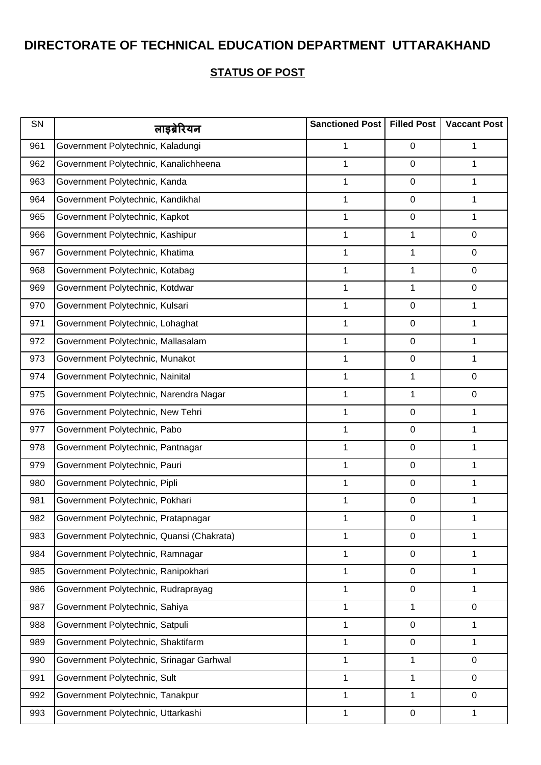| SN  | लाइब्रेरियन                               | Sanctioned Post | <b>Filled Post</b> | <b>Vaccant Post</b> |
|-----|-------------------------------------------|-----------------|--------------------|---------------------|
| 961 | Government Polytechnic, Kaladungi         | 1               | 0                  | 1                   |
| 962 | Government Polytechnic, Kanalichheena     | 1               | 0                  | 1                   |
| 963 | Government Polytechnic, Kanda             | 1               | 0                  | 1                   |
| 964 | Government Polytechnic, Kandikhal         | 1               | 0                  | 1                   |
| 965 | Government Polytechnic, Kapkot            | 1               | 0                  | 1                   |
| 966 | Government Polytechnic, Kashipur          | 1               | 1                  | 0                   |
| 967 | Government Polytechnic, Khatima           | 1               | 1                  | 0                   |
| 968 | Government Polytechnic, Kotabag           | 1               | 1                  | 0                   |
| 969 | Government Polytechnic, Kotdwar           | 1               | 1                  | 0                   |
| 970 | Government Polytechnic, Kulsari           | 1               | 0                  | 1                   |
| 971 | Government Polytechnic, Lohaghat          | 1               | 0                  | 1                   |
| 972 | Government Polytechnic, Mallasalam        | 1               | 0                  | 1                   |
| 973 | Government Polytechnic, Munakot           | 1               | 0                  | 1                   |
| 974 | Government Polytechnic, Nainital          | 1               | 1                  | 0                   |
| 975 | Government Polytechnic, Narendra Nagar    | 1               | 1                  | 0                   |
| 976 | Government Polytechnic, New Tehri         | 1               | 0                  | 1                   |
| 977 | Government Polytechnic, Pabo              | 1               | 0                  | 1                   |
| 978 | Government Polytechnic, Pantnagar         | 1               | 0                  | 1                   |
| 979 | Government Polytechnic, Pauri             | 1               | 0                  | 1                   |
| 980 | Government Polytechnic, Pipli             | 1               | 0                  | 1                   |
| 981 | Government Polytechnic, Pokhari           | 1               | 0                  | 1                   |
| 982 | Government Polytechnic, Pratapnagar       | 1               | 0                  | 1                   |
| 983 | Government Polytechnic, Quansi (Chakrata) | 1               | $\boldsymbol{0}$   | 1                   |
| 984 | Government Polytechnic, Ramnagar          | 1               | 0                  | 1                   |
| 985 | Government Polytechnic, Ranipokhari       | 1               | 0                  | 1                   |
| 986 | Government Polytechnic, Rudraprayag       | 1               | $\boldsymbol{0}$   | 1                   |
| 987 | Government Polytechnic, Sahiya            | 1               | 1                  | 0                   |
| 988 | Government Polytechnic, Satpuli           | 1               | 0                  | 1                   |
| 989 | Government Polytechnic, Shaktifarm        | 1               | 0                  | 1                   |
| 990 | Government Polytechnic, Srinagar Garhwal  | 1               | 1                  | $\mathbf 0$         |
| 991 | Government Polytechnic, Sult              | 1               | 1                  | $\mathbf 0$         |
| 992 | Government Polytechnic, Tanakpur          | 1               | 1                  | 0                   |
| 993 | Government Polytechnic, Uttarkashi        | 1               | 0                  | 1                   |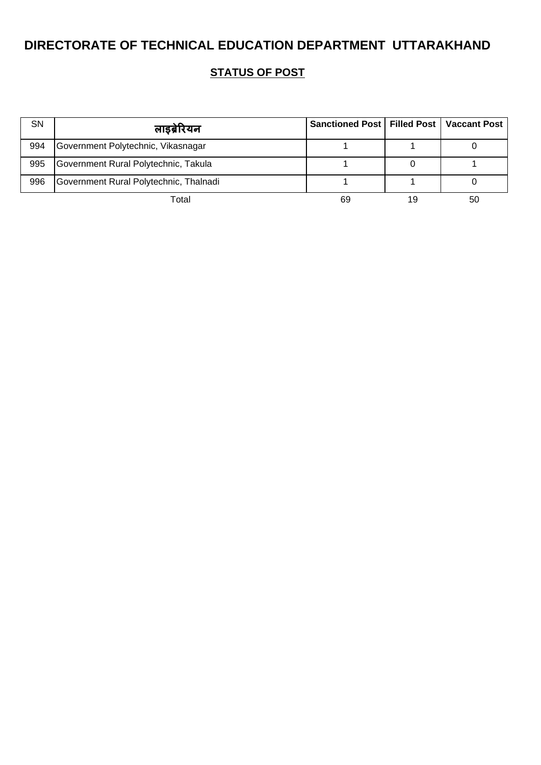| <b>SN</b> | लाइब्रेरियन                            | Sanctioned Post   Filled Post   Vaccant Post |    |    |
|-----------|----------------------------------------|----------------------------------------------|----|----|
| 994       | Government Polytechnic, Vikasnagar     |                                              |    |    |
| 995       | Government Rural Polytechnic, Takula   |                                              |    |    |
| 996       | Government Rural Polytechnic, Thalnadi |                                              |    |    |
|           | Total                                  | 69                                           | 19 | 50 |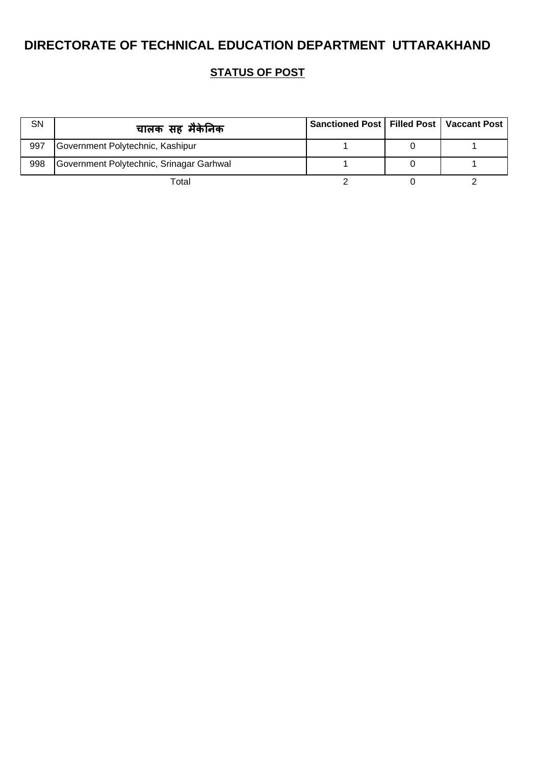| <b>SN</b> | चालक सह मैकेनिक                          | Sanctioned Post   Filled Post   Vaccant Post |  |
|-----------|------------------------------------------|----------------------------------------------|--|
| 997       | Government Polytechnic, Kashipur         |                                              |  |
| 998       | Government Polytechnic, Srinagar Garhwal |                                              |  |
|           | Total                                    |                                              |  |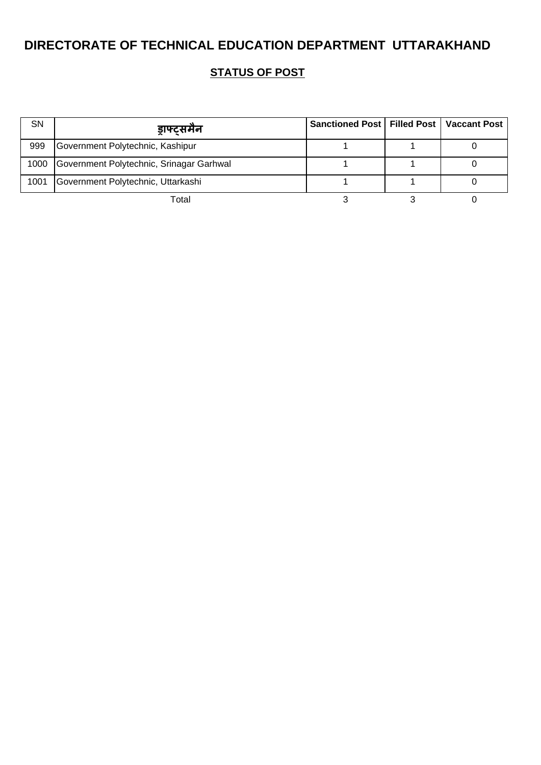| SN   | ड़ाफ्टसमैन                               | Sanctioned Post   Filled Post   Vaccant Post |  |
|------|------------------------------------------|----------------------------------------------|--|
| 999  | Government Polytechnic, Kashipur         |                                              |  |
| 1000 | Government Polytechnic, Srinagar Garhwal |                                              |  |
| 1001 | Government Polytechnic, Uttarkashi       |                                              |  |
|      | Total                                    |                                              |  |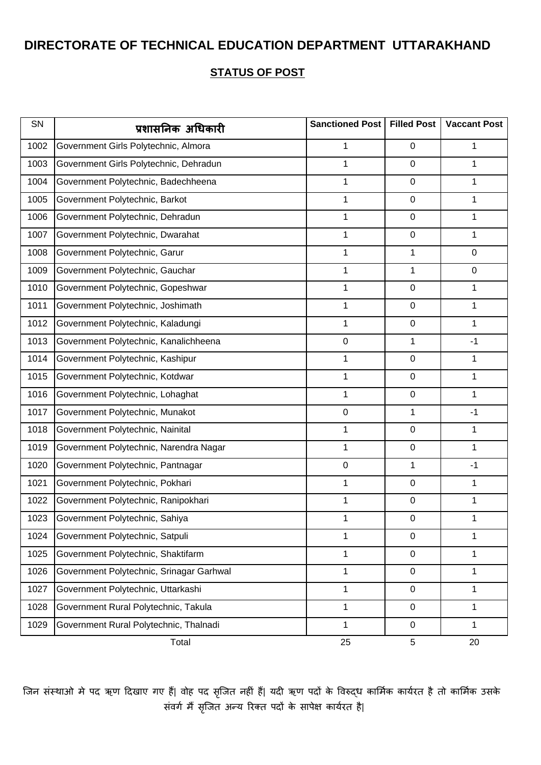#### **STATUS OF POST**

| SN   | प्रशासनिक अधिकारी                        | Sanctioned Post | <b>Filled Post</b> | <b>Vaccant Post</b> |
|------|------------------------------------------|-----------------|--------------------|---------------------|
| 1002 | Government Girls Polytechnic, Almora     | 1               | 0                  | 1                   |
| 1003 | Government Girls Polytechnic, Dehradun   | 1               | 0                  | 1                   |
| 1004 | Government Polytechnic, Badechheena      | 1               | 0                  | 1                   |
| 1005 | Government Polytechnic, Barkot           | 1               | 0                  | 1                   |
| 1006 | Government Polytechnic, Dehradun         | 1               | 0                  | 1                   |
| 1007 | Government Polytechnic, Dwarahat         | 1               | $\boldsymbol{0}$   | 1                   |
| 1008 | Government Polytechnic, Garur            | 1               | 1                  | 0                   |
| 1009 | Government Polytechnic, Gauchar          | 1               | 1                  | 0                   |
| 1010 | Government Polytechnic, Gopeshwar        | 1               | 0                  | 1                   |
| 1011 | Government Polytechnic, Joshimath        | 1               | 0                  | 1                   |
| 1012 | Government Polytechnic, Kaladungi        | 1               | 0                  | 1                   |
| 1013 | Government Polytechnic, Kanalichheena    | $\pmb{0}$       | 1                  | $-1$                |
| 1014 | Government Polytechnic, Kashipur         | 1               | 0                  | 1                   |
| 1015 | Government Polytechnic, Kotdwar          | 1               | 0                  | 1                   |
| 1016 | Government Polytechnic, Lohaghat         | 1               | 0                  | 1                   |
| 1017 | Government Polytechnic, Munakot          | $\mathbf 0$     | 1                  | $-1$                |
| 1018 | Government Polytechnic, Nainital         | 1               | 0                  | 1                   |
| 1019 | Government Polytechnic, Narendra Nagar   | 1               | 0                  | 1                   |
| 1020 | Government Polytechnic, Pantnagar        | $\mathbf 0$     | 1                  | -1                  |
| 1021 | Government Polytechnic, Pokhari          | 1               | 0                  | 1                   |
| 1022 | Government Polytechnic, Ranipokhari      | 1               | 0                  | 1                   |
| 1023 | Government Polytechnic, Sahiya           | 1               | 0                  | 1                   |
| 1024 | Government Polytechnic, Satpuli          | 1               | 0                  | 1                   |
| 1025 | Government Polytechnic, Shaktifarm       | 1               | $\boldsymbol{0}$   | 1                   |
| 1026 | Government Polytechnic, Srinagar Garhwal | 1               | 0                  | 1                   |
| 1027 | Government Polytechnic, Uttarkashi       | $\mathbf 1$     | 0                  | 1                   |
| 1028 | Government Rural Polytechnic, Takula     | 1               | 0                  | 1                   |
| 1029 | Government Rural Polytechnic, Thalnadi   | 1               | 0                  | $\mathbf 1$         |
|      | Total                                    | 25              | 5                  | 20                  |

जिन संस्थाओ मे पद ऋण दिखाए गए हैं| वोह पद सृजित नहीं हैं| यदी ऋण पदों के विरुद्ध कार्मिक कार्यरत है तो कार्मिक उसके संवर्ग मैं सृजित अन्य रिक्त पदों के सापेक्ष कार्यरत है|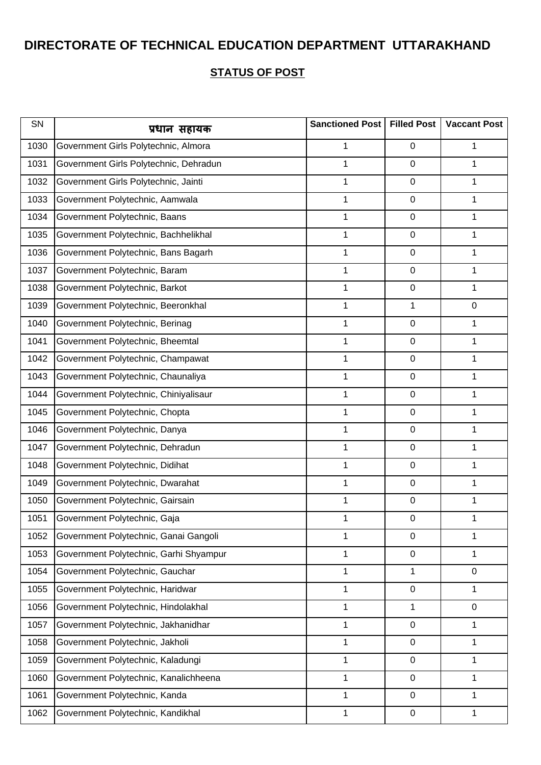| SN   | प्रधान सहायक                           | Sanctioned Post | <b>Filled Post</b> | <b>Vaccant Post</b> |
|------|----------------------------------------|-----------------|--------------------|---------------------|
| 1030 | Government Girls Polytechnic, Almora   | 1               | $\mathbf 0$        | 1                   |
| 1031 | Government Girls Polytechnic, Dehradun | 1               | $\pmb{0}$          | 1                   |
| 1032 | Government Girls Polytechnic, Jainti   | 1               | $\pmb{0}$          | 1                   |
| 1033 | Government Polytechnic, Aamwala        | 1               | $\pmb{0}$          | 1                   |
| 1034 | Government Polytechnic, Baans          | 1               | $\pmb{0}$          | 1                   |
| 1035 | Government Polytechnic, Bachhelikhal   | 1               | $\pmb{0}$          | 1                   |
| 1036 | Government Polytechnic, Bans Bagarh    | 1               | $\pmb{0}$          | 1                   |
| 1037 | Government Polytechnic, Baram          | 1               | 0                  | 1                   |
| 1038 | Government Polytechnic, Barkot         | 1               | $\pmb{0}$          | 1                   |
| 1039 | Government Polytechnic, Beeronkhal     | 1               | 1                  | 0                   |
| 1040 | Government Polytechnic, Berinag        | $\mathbf{1}$    | $\pmb{0}$          | 1                   |
| 1041 | Government Polytechnic, Bheemtal       | 1               | $\pmb{0}$          | 1                   |
| 1042 | Government Polytechnic, Champawat      | 1               | $\pmb{0}$          | 1                   |
| 1043 | Government Polytechnic, Chaunaliya     | 1               | $\pmb{0}$          | 1                   |
| 1044 | Government Polytechnic, Chiniyalisaur  | 1               | $\pmb{0}$          | 1                   |
| 1045 | Government Polytechnic, Chopta         | 1               | $\pmb{0}$          | 1                   |
| 1046 | Government Polytechnic, Danya          | 1               | $\pmb{0}$          | 1                   |
| 1047 | Government Polytechnic, Dehradun       | 1               | $\pmb{0}$          | 1                   |
| 1048 | Government Polytechnic, Didihat        | 1               | $\mathbf 0$        | 1                   |
| 1049 | Government Polytechnic, Dwarahat       | 1               | $\pmb{0}$          | 1                   |
| 1050 | Government Polytechnic, Gairsain       | 1               | $\pmb{0}$          | 1                   |
| 1051 | Government Polytechnic, Gaja           | 1               | 0                  | 1                   |
| 1052 | Government Polytechnic, Ganai Gangoli  | 1               | $\pmb{0}$          | 1                   |
| 1053 | Government Polytechnic, Garhi Shyampur | 1               | $\pmb{0}$          | 1                   |
| 1054 | Government Polytechnic, Gauchar        | 1               | 1                  | 0                   |
| 1055 | Government Polytechnic, Haridwar       | $\mathbf{1}$    | $\pmb{0}$          | 1                   |
| 1056 | Government Polytechnic, Hindolakhal    | 1               | 1                  | 0                   |
| 1057 | Government Polytechnic, Jakhanidhar    | 1               | $\pmb{0}$          | 1                   |
| 1058 | Government Polytechnic, Jakholi        | 1               | $\pmb{0}$          | 1                   |
| 1059 | Government Polytechnic, Kaladungi      | 1               | $\pmb{0}$          | 1                   |
| 1060 | Government Polytechnic, Kanalichheena  | $\mathbf{1}$    | $\pmb{0}$          | 1                   |
| 1061 | Government Polytechnic, Kanda          | 1               | $\pmb{0}$          | 1                   |
| 1062 | Government Polytechnic, Kandikhal      | 1               | $\mathbf 0$        | 1                   |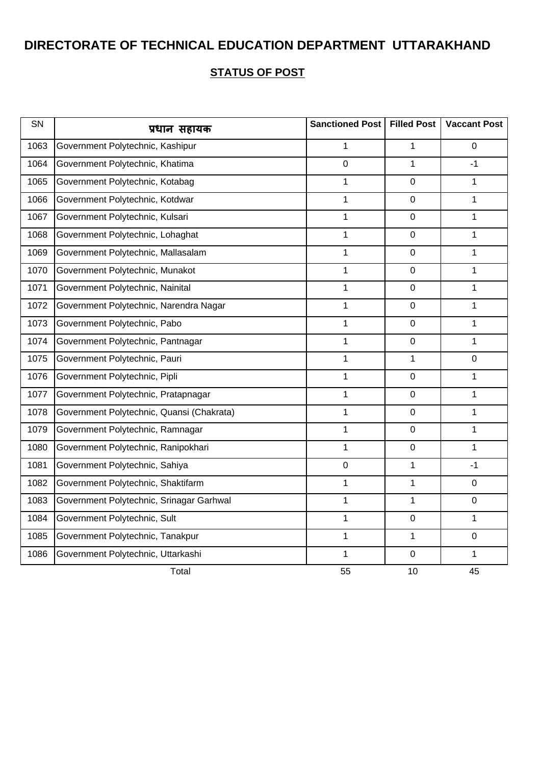| SN   | प्रधान सहायक                              | Sanctioned Post  | <b>Filled Post</b> | <b>Vaccant Post</b> |
|------|-------------------------------------------|------------------|--------------------|---------------------|
| 1063 | Government Polytechnic, Kashipur          | $\mathbf{1}$     | $\mathbf{1}$       | $\mathbf 0$         |
| 1064 | Government Polytechnic, Khatima           | 0                | 1                  | -1                  |
| 1065 | Government Polytechnic, Kotabag           | $\mathbf{1}$     | 0                  | $\mathbf{1}$        |
| 1066 | Government Polytechnic, Kotdwar           | $\mathbf 1$      | $\mathbf 0$        | $\mathbf{1}$        |
| 1067 | Government Polytechnic, Kulsari           | 1                | $\boldsymbol{0}$   | 1                   |
| 1068 | Government Polytechnic, Lohaghat          | 1                | $\mathbf 0$        | $\mathbf 1$         |
| 1069 | Government Polytechnic, Mallasalam        | $\mathbf{1}$     | $\pmb{0}$          | $\mathbf 1$         |
| 1070 | Government Polytechnic, Munakot           | 1                | $\mathbf 0$        | $\mathbf{1}$        |
| 1071 | Government Polytechnic, Nainital          | $\mathbf 1$      | $\pmb{0}$          | $\mathbf 1$         |
| 1072 | Government Polytechnic, Narendra Nagar    | 1                | 0                  | $\mathbf{1}$        |
| 1073 | Government Polytechnic, Pabo              | $\mathbf 1$      | $\pmb{0}$          | $\mathbf 1$         |
| 1074 | Government Polytechnic, Pantnagar         | 1                | $\mathsf 0$        | $\mathbf{1}$        |
| 1075 | Government Polytechnic, Pauri             | 1                | $\mathbf{1}$       | $\mathbf 0$         |
| 1076 | Government Polytechnic, Pipli             | $\mathbf 1$      | $\pmb{0}$          | $\mathbf 1$         |
| 1077 | Government Polytechnic, Pratapnagar       | $\mathbf{1}$     | $\pmb{0}$          | $\mathbf{1}$        |
| 1078 | Government Polytechnic, Quansi (Chakrata) | $\mathbf{1}$     | $\mathbf 0$        | $\mathbf{1}$        |
| 1079 | Government Polytechnic, Ramnagar          | $\mathbf{1}$     | $\overline{0}$     | $\mathbf{1}$        |
| 1080 | Government Polytechnic, Ranipokhari       | $\mathbf 1$      | $\pmb{0}$          | $\mathbf 1$         |
| 1081 | Government Polytechnic, Sahiya            | $\boldsymbol{0}$ | $\mathbf{1}$       | $-1$                |
| 1082 | Government Polytechnic, Shaktifarm        | $\mathbf 1$      | $\mathbf 1$        | $\pmb{0}$           |
| 1083 | Government Polytechnic, Srinagar Garhwal  | 1                | 1                  | $\pmb{0}$           |
| 1084 | Government Polytechnic, Sult              | $\mathbf 1$      | $\pmb{0}$          | $\mathbf{1}$        |
| 1085 | Government Polytechnic, Tanakpur          | $\mathbf 1$      | $\mathbf{1}$       | $\pmb{0}$           |
| 1086 | Government Polytechnic, Uttarkashi        | $\mathbf{1}$     | 0                  | $\mathbf 1$         |
|      | Total                                     | 55               | 10                 | 45                  |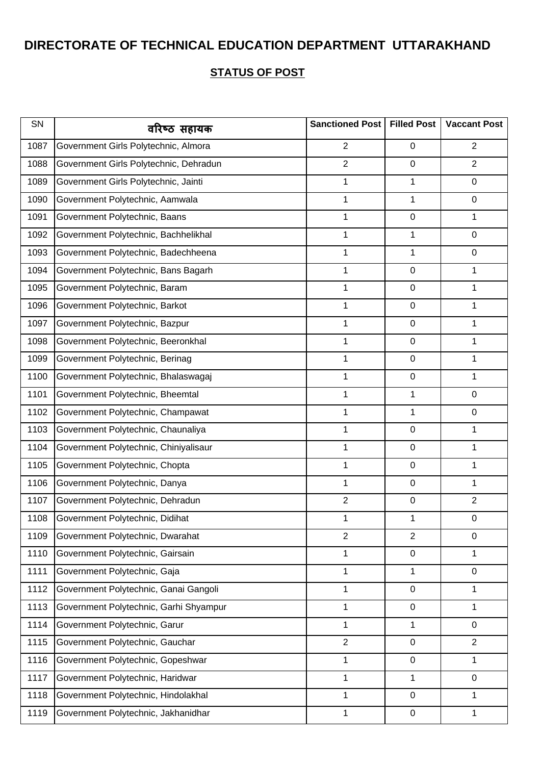| SN   | वरिष्ठ सहायक                           | Sanctioned Post   Filled Post |                | <b>Vaccant Post</b> |
|------|----------------------------------------|-------------------------------|----------------|---------------------|
| 1087 | Government Girls Polytechnic, Almora   | $\overline{2}$                | 0              | $\overline{2}$      |
| 1088 | Government Girls Polytechnic, Dehradun | $\overline{2}$                | 0              | $\overline{2}$      |
| 1089 | Government Girls Polytechnic, Jainti   | 1                             | 1              | 0                   |
| 1090 | Government Polytechnic, Aamwala        | 1                             | 1              | 0                   |
| 1091 | Government Polytechnic, Baans          | 1                             | 0              | 1                   |
| 1092 | Government Polytechnic, Bachhelikhal   | 1                             | 1              | 0                   |
| 1093 | Government Polytechnic, Badechheena    | 1                             | 1              | 0                   |
| 1094 | Government Polytechnic, Bans Bagarh    | 1                             | 0              | 1                   |
| 1095 | Government Polytechnic, Baram          | 1                             | 0              | 1                   |
| 1096 | Government Polytechnic, Barkot         | 1                             | 0              | 1                   |
| 1097 | Government Polytechnic, Bazpur         | 1                             | 0              | 1                   |
| 1098 | Government Polytechnic, Beeronkhal     | 1                             | 0              | 1                   |
| 1099 | Government Polytechnic, Berinag        | 1                             | 0              | 1                   |
| 1100 | Government Polytechnic, Bhalaswagaj    | 1                             | 0              | 1                   |
| 1101 | Government Polytechnic, Bheemtal       | 1                             | 1              | 0                   |
| 1102 | Government Polytechnic, Champawat      | 1                             | 1              | 0                   |
| 1103 | Government Polytechnic, Chaunaliya     | 1                             | 0              | 1                   |
| 1104 | Government Polytechnic, Chiniyalisaur  | 1                             | 0              | 1                   |
| 1105 | Government Polytechnic, Chopta         | 1                             | 0              | 1                   |
| 1106 | Government Polytechnic, Danya          | 1                             | 0              | 1                   |
| 1107 | Government Polytechnic, Dehradun       | $\overline{2}$                | 0              | $\overline{2}$      |
| 1108 | Government Polytechnic, Didihat        | 1                             | 1              | $\mathbf 0$         |
| 1109 | Government Polytechnic, Dwarahat       | $\overline{2}$                | $\overline{2}$ | $\mathbf 0$         |
| 1110 | Government Polytechnic, Gairsain       | 1                             | 0              | 1                   |
| 1111 | Government Polytechnic, Gaja           | 1                             | 1              | 0                   |
| 1112 | Government Polytechnic, Ganai Gangoli  | 1                             | 0              | 1                   |
| 1113 | Government Polytechnic, Garhi Shyampur | 1                             | 0              | 1                   |
| 1114 | Government Polytechnic, Garur          | 1                             | 1              | 0                   |
| 1115 | Government Polytechnic, Gauchar        | $\overline{2}$                | 0              | $\overline{2}$      |
| 1116 | Government Polytechnic, Gopeshwar      | 1                             | 0              | 1                   |
| 1117 | Government Polytechnic, Haridwar       | $\mathbf 1$                   | 1              | $\mathbf 0$         |
| 1118 | Government Polytechnic, Hindolakhal    | 1                             | 0              | 1                   |
| 1119 | Government Polytechnic, Jakhanidhar    | 1                             | 0              | $\mathbf{1}$        |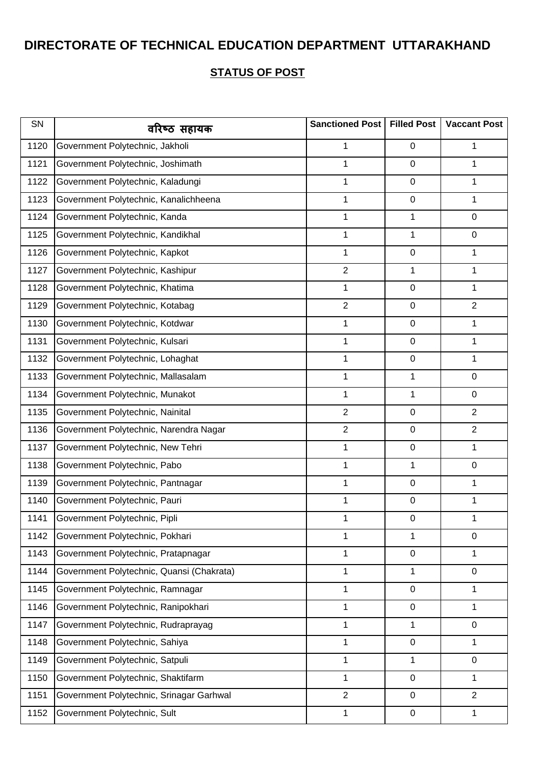| SN   | वरिष्ठ सहायक                              | Sanctioned Post | <b>Filled Post</b> | <b>Vaccant Post</b> |
|------|-------------------------------------------|-----------------|--------------------|---------------------|
| 1120 | Government Polytechnic, Jakholi           | 1               | 0                  | 1                   |
| 1121 | Government Polytechnic, Joshimath         | 1               | 0                  | 1                   |
| 1122 | Government Polytechnic, Kaladungi         | 1               | 0                  | 1                   |
| 1123 | Government Polytechnic, Kanalichheena     | 1               | 0                  | 1                   |
| 1124 | Government Polytechnic, Kanda             | 1               | 1                  | 0                   |
| 1125 | Government Polytechnic, Kandikhal         | 1               | 1                  | 0                   |
| 1126 | Government Polytechnic, Kapkot            | 1               | 0                  | 1                   |
| 1127 | Government Polytechnic, Kashipur          | $\overline{2}$  | 1                  | 1                   |
| 1128 | Government Polytechnic, Khatima           | 1               | 0                  | 1                   |
| 1129 | Government Polytechnic, Kotabag           | $\overline{2}$  | 0                  | $\overline{2}$      |
| 1130 | Government Polytechnic, Kotdwar           | 1               | 0                  | 1                   |
| 1131 | Government Polytechnic, Kulsari           | 1               | 0                  | 1                   |
| 1132 | Government Polytechnic, Lohaghat          | 1               | 0                  | 1                   |
| 1133 | Government Polytechnic, Mallasalam        | 1               | 1                  | 0                   |
| 1134 | Government Polytechnic, Munakot           | 1               | 1                  | 0                   |
| 1135 | Government Polytechnic, Nainital          | $\overline{2}$  | 0                  | $\overline{2}$      |
| 1136 | Government Polytechnic, Narendra Nagar    | $\overline{2}$  | 0                  | $\overline{2}$      |
| 1137 | Government Polytechnic, New Tehri         | 1               | 0                  | 1                   |
| 1138 | Government Polytechnic, Pabo              | 1               | 1                  | 0                   |
| 1139 | Government Polytechnic, Pantnagar         | 1               | 0                  | 1                   |
| 1140 | Government Polytechnic, Pauri             | 1               | 0                  | 1                   |
| 1141 | Government Polytechnic, Pipli             | 1               | 0                  | 1                   |
| 1142 | Government Polytechnic, Pokhari           | 1               | 1                  | $\mathbf 0$         |
| 1143 | Government Polytechnic, Pratapnagar       | 1               | 0                  | 1                   |
| 1144 | Government Polytechnic, Quansi (Chakrata) | 1               | 1                  | 0                   |
| 1145 | Government Polytechnic, Ramnagar          | 1               | 0                  | 1                   |
| 1146 | Government Polytechnic, Ranipokhari       | 1               | 0                  | 1                   |
| 1147 | Government Polytechnic, Rudraprayag       | 1               | 1                  | 0                   |
| 1148 | Government Polytechnic, Sahiya            | $\mathbf 1$     | $\boldsymbol{0}$   | 1                   |
| 1149 | Government Polytechnic, Satpuli           | 1               | 1                  | 0                   |
| 1150 | Government Polytechnic, Shaktifarm        | 1               | 0                  | 1                   |
| 1151 | Government Polytechnic, Srinagar Garhwal  | $\overline{2}$  | 0                  | $\overline{2}$      |
| 1152 | Government Polytechnic, Sult              | 1               | 0                  | 1                   |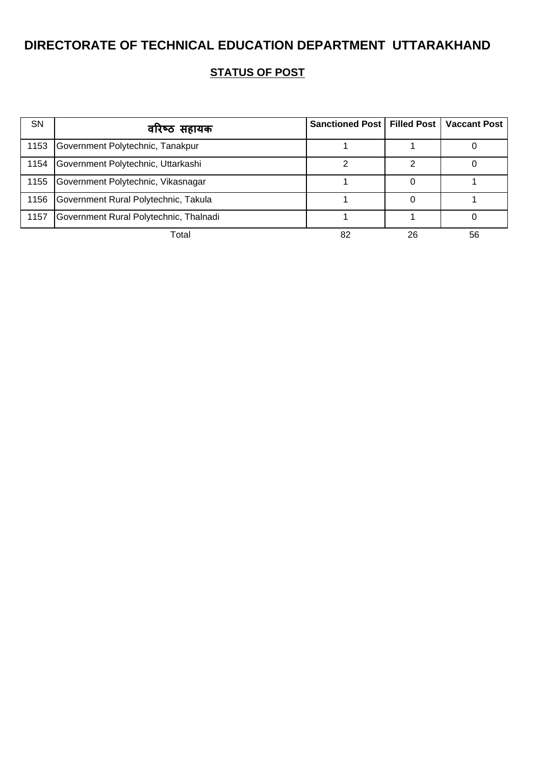| <b>SN</b> | वरिष्ठ सहायक                           | Sanctioned Post   Filled Post   Vaccant Post |    |    |
|-----------|----------------------------------------|----------------------------------------------|----|----|
| 1153      | Government Polytechnic, Tanakpur       |                                              |    |    |
| 1154      | Government Polytechnic, Uttarkashi     |                                              | າ  |    |
| 1155      | Government Polytechnic, Vikasnagar     |                                              |    |    |
| 1156      | Government Rural Polytechnic, Takula   |                                              |    |    |
| 1157      | Government Rural Polytechnic, Thalnadi |                                              |    |    |
|           | Total                                  | 82                                           | 26 | 56 |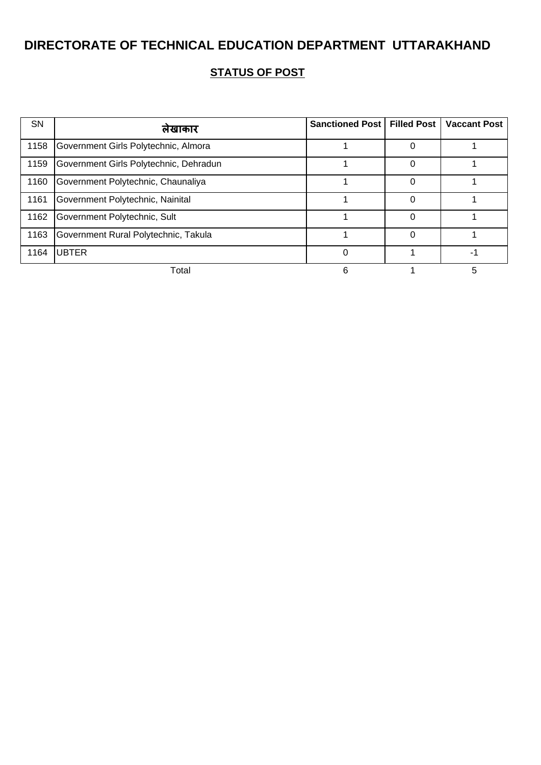| <b>SN</b> | लेखाकार                                | Sanctioned Post   Filled Post |   | <b>Vaccant Post</b> |
|-----------|----------------------------------------|-------------------------------|---|---------------------|
| 1158      | Government Girls Polytechnic, Almora   |                               |   |                     |
| 1159      | Government Girls Polytechnic, Dehradun |                               |   |                     |
| 1160      | Government Polytechnic, Chaunaliya     |                               |   |                     |
| 1161      | Government Polytechnic, Nainital       |                               |   |                     |
| 1162      | Government Polytechnic, Sult           |                               |   |                     |
| 1163      | Government Rural Polytechnic, Takula   |                               | ი |                     |
| 1164      | <b>UBTER</b>                           | ∩                             |   |                     |
|           | Total                                  |                               |   |                     |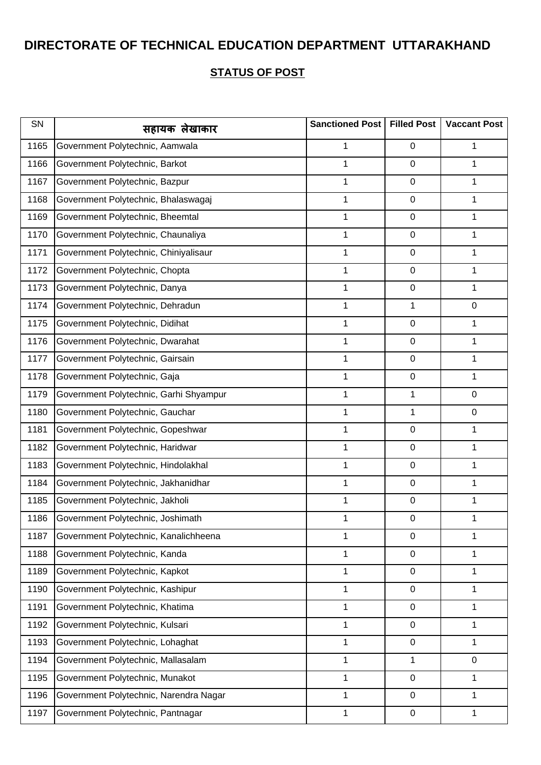| SN   | सहायक लेखाकार                          | Sanctioned Post | <b>Filled Post</b> | <b>Vaccant Post</b> |
|------|----------------------------------------|-----------------|--------------------|---------------------|
| 1165 | Government Polytechnic, Aamwala        | 1               | 0                  | 1                   |
| 1166 | Government Polytechnic, Barkot         | 1               | 0                  | 1                   |
| 1167 | Government Polytechnic, Bazpur         | 1               | 0                  | 1                   |
| 1168 | Government Polytechnic, Bhalaswagaj    | 1               | 0                  | 1                   |
| 1169 | Government Polytechnic, Bheemtal       | 1               | 0                  | 1                   |
| 1170 | Government Polytechnic, Chaunaliya     | 1               | 0                  | 1                   |
| 1171 | Government Polytechnic, Chiniyalisaur  | 1               | 0                  | 1                   |
| 1172 | Government Polytechnic, Chopta         | 1               | 0                  | 1                   |
| 1173 | Government Polytechnic, Danya          | 1               | $\boldsymbol{0}$   | 1                   |
| 1174 | Government Polytechnic, Dehradun       | 1               | 1                  | 0                   |
| 1175 | Government Polytechnic, Didihat        | 1               | 0                  | 1                   |
| 1176 | Government Polytechnic, Dwarahat       | 1               | 0                  | 1                   |
| 1177 | Government Polytechnic, Gairsain       | 1               | 0                  | 1                   |
| 1178 | Government Polytechnic, Gaja           | 1               | 0                  | 1                   |
| 1179 | Government Polytechnic, Garhi Shyampur | 1               | 1                  | 0                   |
| 1180 | Government Polytechnic, Gauchar        | 1               | 1                  | 0                   |
| 1181 | Government Polytechnic, Gopeshwar      | 1               | 0                  | 1                   |
| 1182 | Government Polytechnic, Haridwar       | 1               | 0                  | 1                   |
| 1183 | Government Polytechnic, Hindolakhal    | 1               | 0                  | 1                   |
| 1184 | Government Polytechnic, Jakhanidhar    | 1               | 0                  | 1                   |
| 1185 | Government Polytechnic, Jakholi        | 1               | 0                  | 1                   |
| 1186 | Government Polytechnic, Joshimath      | 1               | 0                  | 1                   |
| 1187 | Government Polytechnic, Kanalichheena  | 1               | 0                  | 1                   |
| 1188 | Government Polytechnic, Kanda          | 1               | 0                  | 1                   |
| 1189 | Government Polytechnic, Kapkot         | 1               | 0                  | 1                   |
| 1190 | Government Polytechnic, Kashipur       | 1               | 0                  | 1                   |
| 1191 | Government Polytechnic, Khatima        | 1               | 0                  | 1                   |
| 1192 | Government Polytechnic, Kulsari        | 1               | 0                  | 1                   |
| 1193 | Government Polytechnic, Lohaghat       | $\mathbf 1$     | $\boldsymbol{0}$   | 1                   |
| 1194 | Government Polytechnic, Mallasalam     | 1               | 1                  | 0                   |
| 1195 | Government Polytechnic, Munakot        | 1               | $\boldsymbol{0}$   | 1                   |
| 1196 | Government Polytechnic, Narendra Nagar | 1               | 0                  | 1                   |
| 1197 | Government Polytechnic, Pantnagar      | 1               | 0                  | 1                   |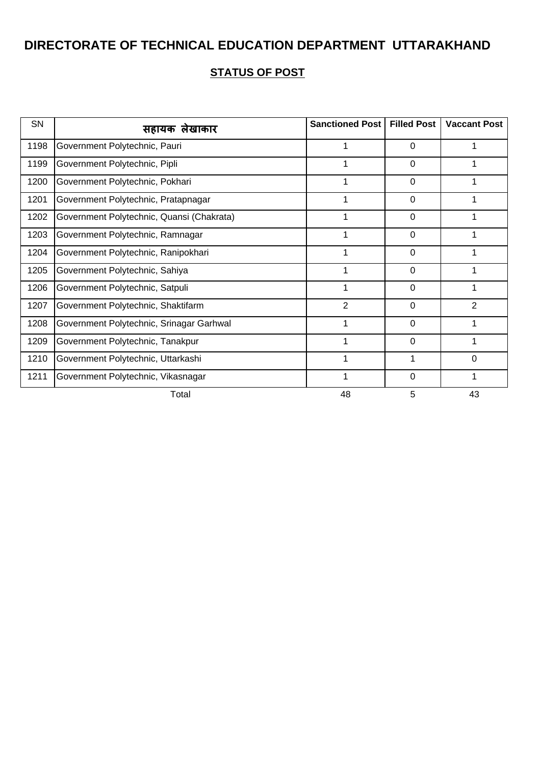| SN   | सहायक लेखाकार                             | <b>Sanctioned Post</b> | <b>Filled Post</b> | <b>Vaccant Post</b> |
|------|-------------------------------------------|------------------------|--------------------|---------------------|
| 1198 | Government Polytechnic, Pauri             |                        | $\Omega$           |                     |
| 1199 | Government Polytechnic, Pipli             | 1                      | 0                  |                     |
| 1200 | Government Polytechnic, Pokhari           |                        | $\Omega$           |                     |
| 1201 | Government Polytechnic, Pratapnagar       |                        | $\mathbf 0$        |                     |
| 1202 | Government Polytechnic, Quansi (Chakrata) | 1                      | 0                  |                     |
| 1203 | Government Polytechnic, Ramnagar          |                        | $\Omega$           |                     |
| 1204 | Government Polytechnic, Ranipokhari       | 1                      | $\mathbf 0$        |                     |
| 1205 | Government Polytechnic, Sahiya            | 1                      | 0                  |                     |
| 1206 | Government Polytechnic, Satpuli           |                        | 0                  |                     |
| 1207 | Government Polytechnic, Shaktifarm        | $\overline{2}$         | $\mathbf 0$        | $\overline{2}$      |
| 1208 | Government Polytechnic, Srinagar Garhwal  | 1                      | 0                  |                     |
| 1209 | Government Polytechnic, Tanakpur          |                        | $\Omega$           |                     |
| 1210 | Government Polytechnic, Uttarkashi        | 1                      | 1                  | 0                   |
| 1211 | Government Polytechnic, Vikasnagar        | 1                      | 0                  |                     |
|      | Total                                     | 48                     | 5                  | 43                  |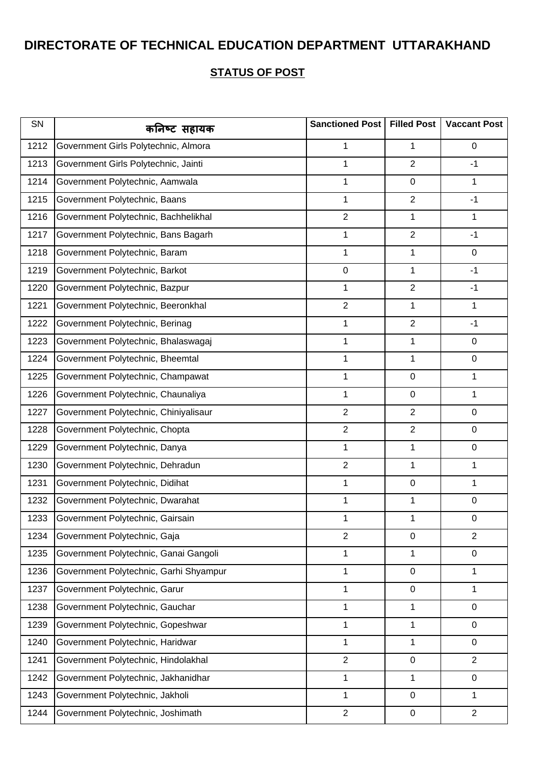| SN   | कनिष्ट सहायक                           | Sanctioned Post | <b>Filled Post</b> | <b>Vaccant Post</b> |
|------|----------------------------------------|-----------------|--------------------|---------------------|
| 1212 | Government Girls Polytechnic, Almora   | 1               | 1                  | $\mathbf 0$         |
| 1213 | Government Girls Polytechnic, Jainti   | 1               | $\overline{2}$     | $-1$                |
| 1214 | Government Polytechnic, Aamwala        | 1               | $\mathsf 0$        | 1                   |
| 1215 | Government Polytechnic, Baans          | 1               | $\overline{2}$     | $-1$                |
| 1216 | Government Polytechnic, Bachhelikhal   | $\overline{2}$  | $\mathbf 1$        | 1                   |
| 1217 | Government Polytechnic, Bans Bagarh    | $\mathbf 1$     | $\overline{2}$     | $-1$                |
| 1218 | Government Polytechnic, Baram          | 1               | 1                  | $\mathbf 0$         |
| 1219 | Government Polytechnic, Barkot         | $\pmb{0}$       | 1                  | $-1$                |
| 1220 | Government Polytechnic, Bazpur         | 1               | $\overline{2}$     | $-1$                |
| 1221 | Government Polytechnic, Beeronkhal     | $\overline{2}$  | 1                  | 1                   |
| 1222 | Government Polytechnic, Berinag        | $\mathbf 1$     | $\overline{2}$     | $-1$                |
| 1223 | Government Polytechnic, Bhalaswagaj    | 1               | $\mathbf 1$        | 0                   |
| 1224 | Government Polytechnic, Bheemtal       | 1               | 1                  | $\mathbf 0$         |
| 1225 | Government Polytechnic, Champawat      | $\mathbf 1$     | $\boldsymbol{0}$   | 1                   |
| 1226 | Government Polytechnic, Chaunaliya     | 1               | $\boldsymbol{0}$   | 1                   |
| 1227 | Government Polytechnic, Chiniyalisaur  | $\overline{2}$  | $\overline{2}$     | 0                   |
| 1228 | Government Polytechnic, Chopta         | $\overline{2}$  | $\overline{2}$     | $\mathbf 0$         |
| 1229 | Government Polytechnic, Danya          | 1               | 1                  | $\mathbf 0$         |
| 1230 | Government Polytechnic, Dehradun       | $\overline{2}$  | $\mathbf 1$        | 1                   |
| 1231 | Government Polytechnic, Didihat        | $\mathbf 1$     | 0                  | 1                   |
| 1232 | Government Polytechnic, Dwarahat       | 1               | $\mathbf 1$        | $\mathbf 0$         |
| 1233 | Government Polytechnic, Gairsain       | 1               | 1                  | $\pmb{0}$           |
| 1234 | Government Polytechnic, Gaja           | $\overline{2}$  | $\boldsymbol{0}$   | $\overline{2}$      |
| 1235 | Government Polytechnic, Ganai Gangoli  | 1               | 1                  | $\mathbf 0$         |
| 1236 | Government Polytechnic, Garhi Shyampur | 1               | 0                  | 1                   |
| 1237 | Government Polytechnic, Garur          | 1               | $\boldsymbol{0}$   | 1                   |
| 1238 | Government Polytechnic, Gauchar        | 1               | 1                  | $\mathbf 0$         |
| 1239 | Government Polytechnic, Gopeshwar      | 1               | 1                  | 0                   |
| 1240 | Government Polytechnic, Haridwar       | 1               | 1                  | $\mathbf 0$         |
| 1241 | Government Polytechnic, Hindolakhal    | $\overline{2}$  | $\boldsymbol{0}$   | $\overline{2}$      |
| 1242 | Government Polytechnic, Jakhanidhar    | $\mathbf 1$     | $\mathbf{1}$       | $\mathbf 0$         |
| 1243 | Government Polytechnic, Jakholi        | 1               | 0                  | 1                   |
| 1244 | Government Polytechnic, Joshimath      | $\overline{2}$  | $\pmb{0}$          | $\overline{2}$      |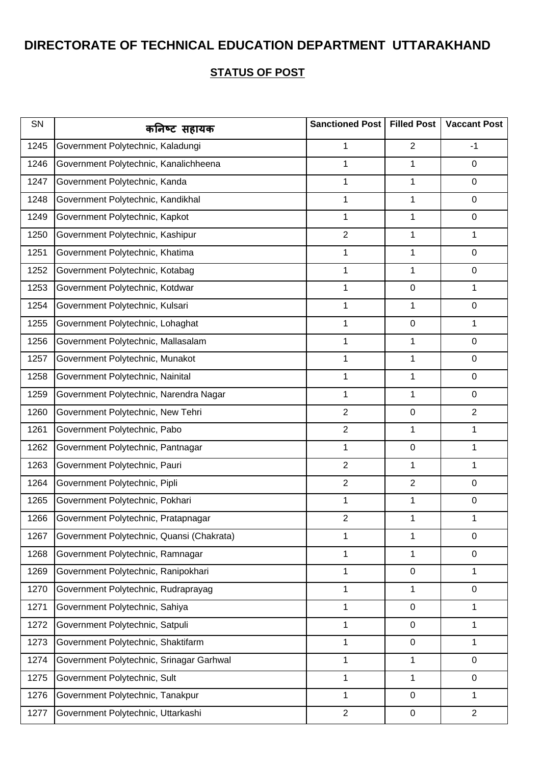| SN   | कनिष्ट सहायक                              | Sanctioned Post | <b>Filled Post</b> | <b>Vaccant Post</b> |
|------|-------------------------------------------|-----------------|--------------------|---------------------|
| 1245 | Government Polytechnic, Kaladungi         | 1               | $\overline{2}$     | $-1$                |
| 1246 | Government Polytechnic, Kanalichheena     | 1               | 1                  | 0                   |
| 1247 | Government Polytechnic, Kanda             | 1               | 1                  | 0                   |
| 1248 | Government Polytechnic, Kandikhal         | 1               | 1                  | 0                   |
| 1249 | Government Polytechnic, Kapkot            | 1               | 1                  | 0                   |
| 1250 | Government Polytechnic, Kashipur          | $\overline{2}$  | 1                  | 1                   |
| 1251 | Government Polytechnic, Khatima           | 1               | 1                  | 0                   |
| 1252 | Government Polytechnic, Kotabag           | 1               | 1                  | 0                   |
| 1253 | Government Polytechnic, Kotdwar           | 1               | 0                  | 1                   |
| 1254 | Government Polytechnic, Kulsari           | 1               | 1                  | 0                   |
| 1255 | Government Polytechnic, Lohaghat          | 1               | 0                  | 1                   |
| 1256 | Government Polytechnic, Mallasalam        | 1               | 1                  | 0                   |
| 1257 | Government Polytechnic, Munakot           | 1               | 1                  | 0                   |
| 1258 | Government Polytechnic, Nainital          | 1               | 1                  | 0                   |
| 1259 | Government Polytechnic, Narendra Nagar    | 1               | 1                  | 0                   |
| 1260 | Government Polytechnic, New Tehri         | $\overline{2}$  | 0                  | $\overline{2}$      |
| 1261 | Government Polytechnic, Pabo              | $\overline{2}$  | 1                  | 1                   |
| 1262 | Government Polytechnic, Pantnagar         | 1               | 0                  | 1                   |
| 1263 | Government Polytechnic, Pauri             | $\overline{2}$  | 1                  | 1                   |
| 1264 | Government Polytechnic, Pipli             | $\overline{2}$  | $\overline{2}$     | 0                   |
| 1265 | Government Polytechnic, Pokhari           | 1               | 1                  | 0                   |
| 1266 | Government Polytechnic, Pratapnagar       | $\overline{2}$  | 1                  | 1                   |
| 1267 | Government Polytechnic, Quansi (Chakrata) | 1               | 1                  | $\mathbf 0$         |
| 1268 | Government Polytechnic, Ramnagar          | 1               | 1                  | 0                   |
| 1269 | Government Polytechnic, Ranipokhari       | 1               | 0                  | 1                   |
| 1270 | Government Polytechnic, Rudraprayag       | 1               | 1                  | 0                   |
| 1271 | Government Polytechnic, Sahiya            | 1               | 0                  | 1                   |
| 1272 | Government Polytechnic, Satpuli           | 1               | 0                  | 1                   |
| 1273 | Government Polytechnic, Shaktifarm        | 1               | $\boldsymbol{0}$   | 1                   |
| 1274 | Government Polytechnic, Srinagar Garhwal  | 1               | 1                  | 0                   |
| 1275 | Government Polytechnic, Sult              | 1               | 1                  | 0                   |
| 1276 | Government Polytechnic, Tanakpur          | 1               | 0                  | 1                   |
| 1277 | Government Polytechnic, Uttarkashi        | $\overline{2}$  | 0                  | $\overline{2}$      |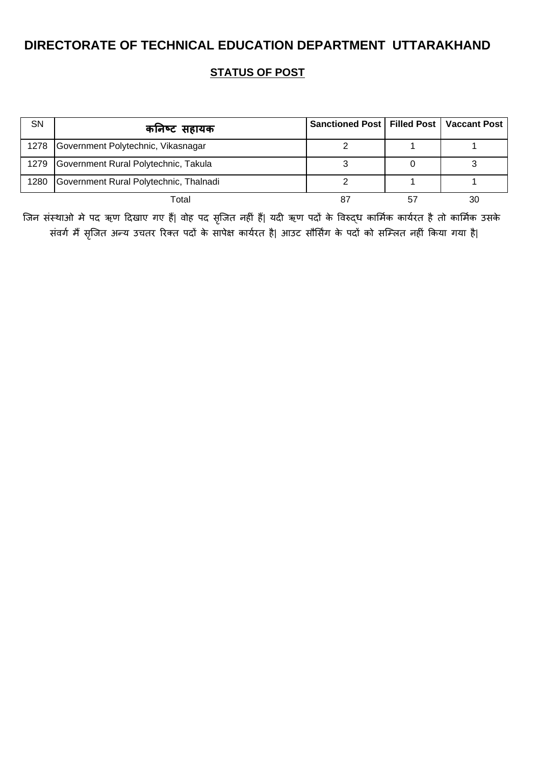**STATUS OF POST**

| <b>SN</b> | कनिष्ट सहायक                            | Sanctioned Post   Filled Post   Vaccant Post |    |
|-----------|-----------------------------------------|----------------------------------------------|----|
|           | 1278 Government Polytechnic, Vikasnagar |                                              |    |
| 1279      | Government Rural Polytechnic, Takula    |                                              |    |
| 1280      | Government Rural Polytechnic, Thalnadi  |                                              |    |
|           | Total                                   |                                              | 30 |

जिन संस्थाओ मे पद ऋण दिखाए गए हैं| वोह पद सृजित नहीं हैं| यदी ऋण पदों के विरुद्ध कार्मिक कार्यरत है तो कार्मिक उसके संवर्ग मैं सृजित अन्य उचतर रिक्त पदों के सापेक्ष कार्यरत है| आउट सौर्सिंग के पदों को सम्लित नहीं किया गया है|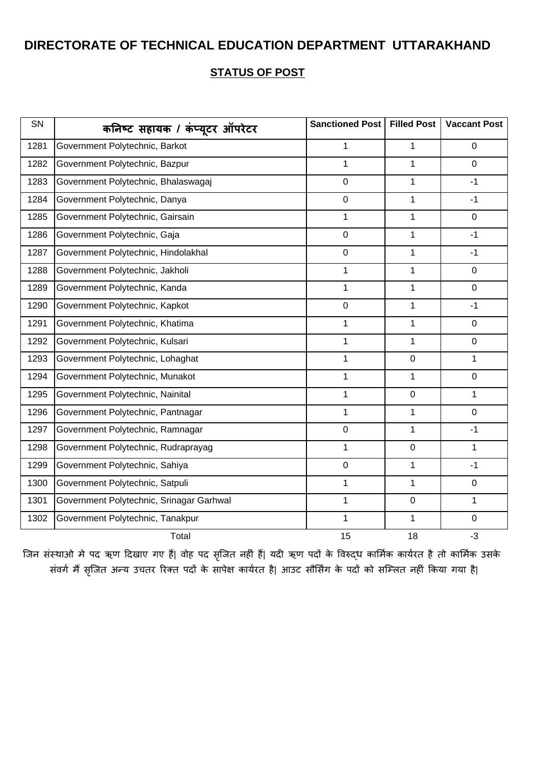#### **STATUS OF POST**

| SN   | कनिष्ट सहायक / कंप्यूटर ऑपरेटर           | Sanctioned Post | <b>Filled Post</b> | <b>Vaccant Post</b> |
|------|------------------------------------------|-----------------|--------------------|---------------------|
| 1281 | Government Polytechnic, Barkot           | 1               | 1                  | 0                   |
| 1282 | Government Polytechnic, Bazpur           | $\mathbf{1}$    | $\mathbf{1}$       | $\overline{0}$      |
| 1283 | Government Polytechnic, Bhalaswagaj      | $\mathbf 0$     | $\mathbf{1}$       | $-1$                |
| 1284 | Government Polytechnic, Danya            | $\overline{0}$  | $\mathbf{1}$       | $-1$                |
| 1285 | Government Polytechnic, Gairsain         | $\mathbf{1}$    | 1                  | 0                   |
| 1286 | Government Polytechnic, Gaja             | $\mathbf 0$     | 1                  | $-1$                |
| 1287 | Government Polytechnic, Hindolakhal      | $\mathbf 0$     | $\mathbf{1}$       | $-1$                |
| 1288 | Government Polytechnic, Jakholi          | $\mathbf{1}$    | $\mathbf{1}$       | $\mathbf 0$         |
| 1289 | Government Polytechnic, Kanda            | $\mathbf{1}$    | $\mathbf{1}$       | $\mathbf 0$         |
| 1290 | Government Polytechnic, Kapkot           | $\pmb{0}$       | 1                  | $-1$                |
| 1291 | Government Polytechnic, Khatima          | $\mathbf{1}$    | $\mathbf{1}$       | $\mathbf 0$         |
| 1292 | Government Polytechnic, Kulsari          | $\mathbf 1$     | 1                  | $\mathbf 0$         |
| 1293 | Government Polytechnic, Lohaghat         | $\mathbf{1}$    | $\mathbf 0$        | 1                   |
| 1294 | Government Polytechnic, Munakot          | $\mathbf{1}$    | $\mathbf{1}$       | $\overline{0}$      |
| 1295 | Government Polytechnic, Nainital         | $\mathbf{1}$    | $\pmb{0}$          | 1                   |
| 1296 | Government Polytechnic, Pantnagar        | $\mathbf 1$     | $\mathbf{1}$       | $\mathbf 0$         |
| 1297 | Government Polytechnic, Ramnagar         | $\pmb{0}$       | 1                  | $-1$                |
| 1298 | Government Polytechnic, Rudraprayag      | $\mathbf{1}$    | $\mathbf 0$        | 1                   |
| 1299 | Government Polytechnic, Sahiya           | $\pmb{0}$       | $\mathbf 1$        | $-1$                |
| 1300 | Government Polytechnic, Satpuli          | 1               | 1                  | $\mathbf 0$         |
| 1301 | Government Polytechnic, Srinagar Garhwal | $\mathbf 1$     | $\pmb{0}$          | 1                   |
| 1302 | Government Polytechnic, Tanakpur         | $\mathbf{1}$    | 1                  | $\mathbf 0$         |
|      | Total                                    | 15              | 18                 | $-3$                |

जिन संस्थाओ मे पद ऋण दिखाए गए हैं| वोह पद सृजित नहीं हैं| यदी ऋण पदों के विरुद्ध कार्मिक कार्यरत है तो कार्मिक उसके संवर्ग मैं सृजित अन्य उचतर रिक्त पदों के सापेक्ष कार्यरत है| आउट सौर्सिंग के पदों को सम्लित नहीं किया गया है|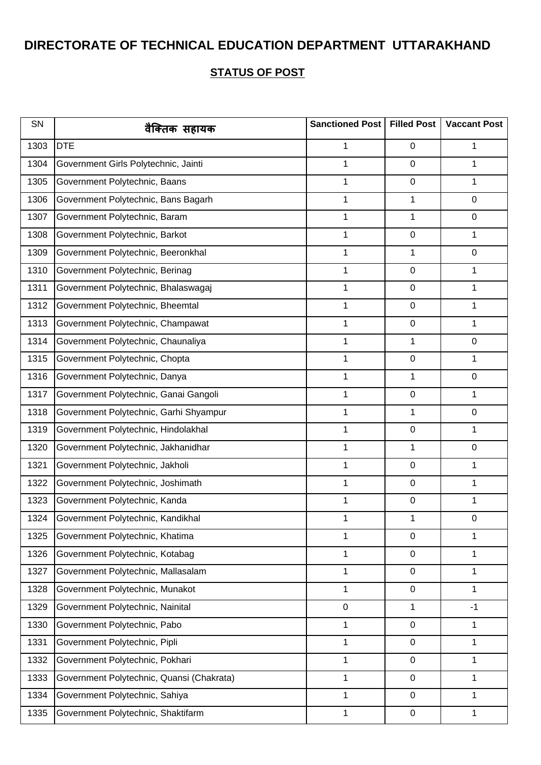| SN   | वैक्तिक सहायक                             | Sanctioned Post   Filled Post |                  | <b>Vaccant Post</b> |
|------|-------------------------------------------|-------------------------------|------------------|---------------------|
| 1303 | <b>DTE</b>                                | 1                             | 0                | 1                   |
| 1304 | Government Girls Polytechnic, Jainti      | 1                             | 0                | 1                   |
| 1305 | Government Polytechnic, Baans             | 1                             | 0                | 1                   |
| 1306 | Government Polytechnic, Bans Bagarh       | 1                             | 1                | $\mathbf 0$         |
| 1307 | Government Polytechnic, Baram             | 1                             | $\mathbf{1}$     | $\mathbf 0$         |
| 1308 | Government Polytechnic, Barkot            | 1                             | $\boldsymbol{0}$ | 1                   |
| 1309 | Government Polytechnic, Beeronkhal        | 1                             | $\mathbf{1}$     | $\mathbf 0$         |
| 1310 | Government Polytechnic, Berinag           | 1                             | 0                | 1                   |
| 1311 | Government Polytechnic, Bhalaswagaj       | $\mathbf 1$                   | 0                | 1                   |
| 1312 | Government Polytechnic, Bheemtal          | 1                             | 0                | 1                   |
| 1313 | Government Polytechnic, Champawat         | 1                             | 0                | 1                   |
| 1314 | Government Polytechnic, Chaunaliya        | 1                             | 1                | $\mathbf 0$         |
| 1315 | Government Polytechnic, Chopta            | 1                             | $\boldsymbol{0}$ | 1                   |
| 1316 | Government Polytechnic, Danya             | 1                             | 1                | $\mathbf 0$         |
| 1317 | Government Polytechnic, Ganai Gangoli     | 1                             | $\boldsymbol{0}$ | 1                   |
| 1318 | Government Polytechnic, Garhi Shyampur    | 1                             | 1                | $\mathbf 0$         |
| 1319 | Government Polytechnic, Hindolakhal       | $\mathbf 1$                   | 0                | 1                   |
| 1320 | Government Polytechnic, Jakhanidhar       | 1                             | 1                | 0                   |
| 1321 | Government Polytechnic, Jakholi           | 1                             | 0                | 1                   |
| 1322 | Government Polytechnic, Joshimath         | 1                             | 0                | 1                   |
| 1323 | Government Polytechnic, Kanda             | 1                             | $\boldsymbol{0}$ | 1                   |
| 1324 | Government Polytechnic, Kandikhal         | 1                             | 1                | $\mathbf 0$         |
| 1325 | Government Polytechnic, Khatima           | 1                             | 0                | 1                   |
| 1326 | Government Polytechnic, Kotabag           | 1                             | $\boldsymbol{0}$ | 1                   |
| 1327 | Government Polytechnic, Mallasalam        | $\mathbf 1$                   | 0                | 1                   |
| 1328 | Government Polytechnic, Munakot           | 1                             | 0                | 1                   |
| 1329 | Government Polytechnic, Nainital          | $\mathbf 0$                   | $\mathbf{1}$     | $-1$                |
| 1330 | Government Polytechnic, Pabo              | 1                             | $\boldsymbol{0}$ | 1                   |
| 1331 | Government Polytechnic, Pipli             | $\mathbf 1$                   | 0                | 1                   |
| 1332 | Government Polytechnic, Pokhari           | 1                             | 0                | 1                   |
| 1333 | Government Polytechnic, Quansi (Chakrata) | 1                             | 0                | 1                   |
| 1334 | Government Polytechnic, Sahiya            | 1                             | $\boldsymbol{0}$ | 1                   |
| 1335 | Government Polytechnic, Shaktifarm        | $\mathbf 1$                   | 0                | 1                   |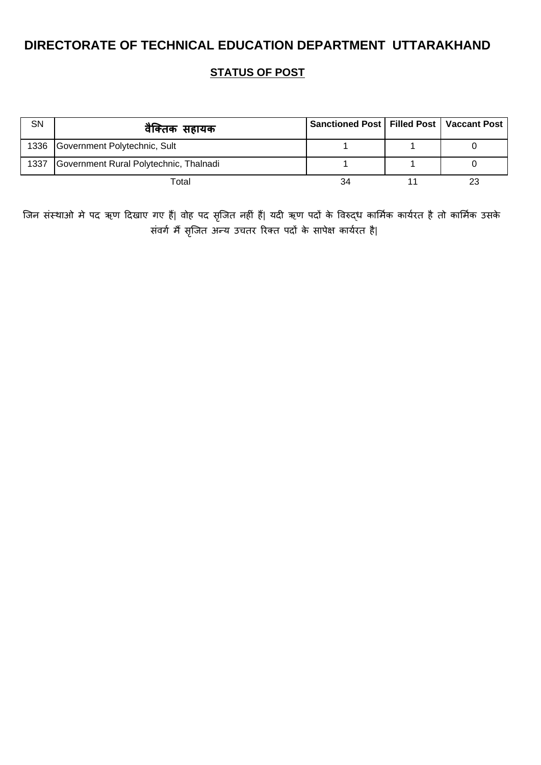**STATUS OF POST**

| SN   | वैक्तिक सहायक                          | Sanctioned Post   Filled Post   Vaccant Post |  |
|------|----------------------------------------|----------------------------------------------|--|
|      | 1336 Government Polytechnic, Sult      |                                              |  |
| 1337 | Government Rural Polytechnic, Thalnadi |                                              |  |
|      | Total                                  | 34                                           |  |

जिन संस्थाओ मे पद ऋण दिखाए गए हैं| वोह पद सृजित नहीं हैं| यदी ऋण पदों के विरुद्ध कार्मिक कार्यरत है तो कार्मिक उसके संवर्ग मैं सृजित अन्य उचतर रिक्त पदों के सापेक्ष कार्यरत है|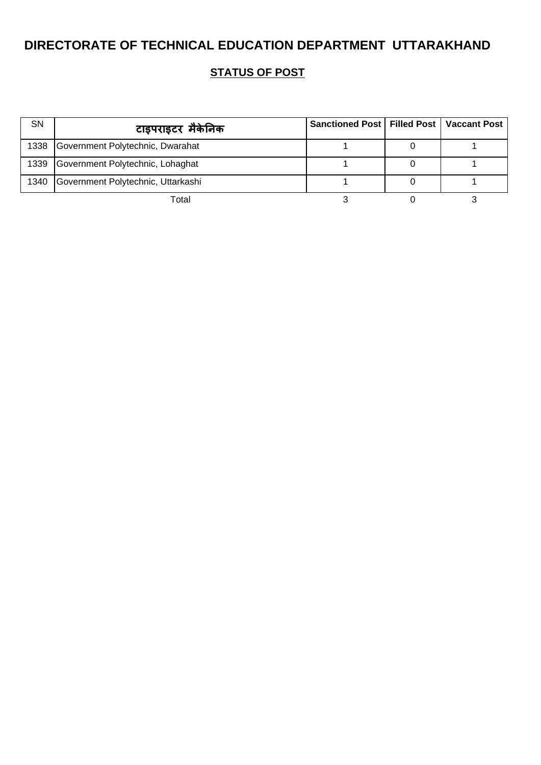| SN   | टाइपराइटर मैकेनिक                     | Sanctioned Post   Filled Post   Vaccant Post |  |
|------|---------------------------------------|----------------------------------------------|--|
|      | 1338 Government Polytechnic, Dwarahat |                                              |  |
| 1339 | Government Polytechnic, Lohaghat      |                                              |  |
| 1340 | Government Polytechnic, Uttarkashi    |                                              |  |
|      | Total                                 |                                              |  |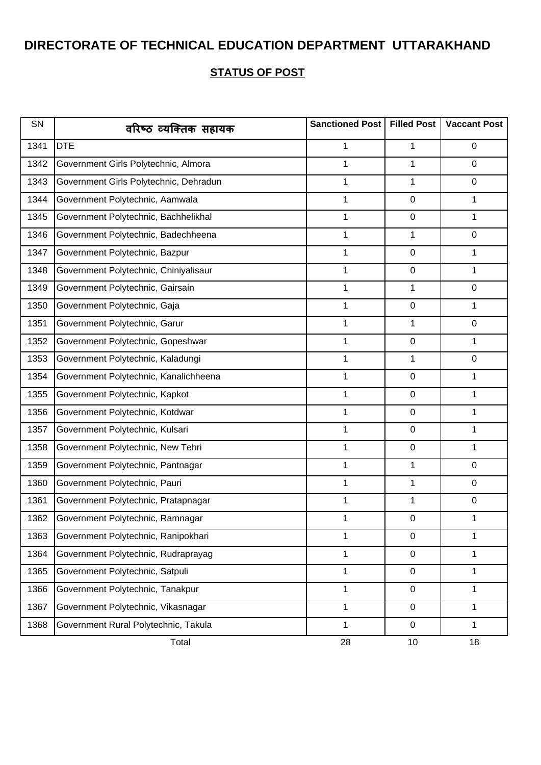| SN   | वरिष्ठ व्यक्तिक सहायक                  | Sanctioned Post | <b>Filled Post</b> | <b>Vaccant Post</b> |
|------|----------------------------------------|-----------------|--------------------|---------------------|
| 1341 | <b>DTE</b>                             | 1               | 1                  | 0                   |
| 1342 | Government Girls Polytechnic, Almora   | 1               | 1                  | 0                   |
| 1343 | Government Girls Polytechnic, Dehradun | 1               | 1                  | 0                   |
| 1344 | Government Polytechnic, Aamwala        | 1               | 0                  | 1                   |
| 1345 | Government Polytechnic, Bachhelikhal   | 1               | $\pmb{0}$          | 1                   |
| 1346 | Government Polytechnic, Badechheena    | $\mathbf 1$     | 1                  | 0                   |
| 1347 | Government Polytechnic, Bazpur         | 1               | $\pmb{0}$          | 1                   |
| 1348 | Government Polytechnic, Chiniyalisaur  | 1               | 0                  | 1                   |
| 1349 | Government Polytechnic, Gairsain       | $\mathbf 1$     | 1                  | 0                   |
| 1350 | Government Polytechnic, Gaja           | 1               | $\pmb{0}$          | 1                   |
| 1351 | Government Polytechnic, Garur          | $\mathbf 1$     | 1                  | $\mathbf 0$         |
| 1352 | Government Polytechnic, Gopeshwar      | 1               | $\pmb{0}$          | 1                   |
| 1353 | Government Polytechnic, Kaladungi      | 1               | 1                  | 0                   |
| 1354 | Government Polytechnic, Kanalichheena  | $\mathbf 1$     | $\pmb{0}$          | 1                   |
| 1355 | Government Polytechnic, Kapkot         | 1               | $\pmb{0}$          | 1                   |
| 1356 | Government Polytechnic, Kotdwar        | 1               | 0                  | 1                   |
| 1357 | Government Polytechnic, Kulsari        | $\mathbf 1$     | $\pmb{0}$          | 1                   |
| 1358 | Government Polytechnic, New Tehri      | 1               | $\boldsymbol{0}$   | 1                   |
| 1359 | Government Polytechnic, Pantnagar      | 1               | 1                  | 0                   |
| 1360 | Government Polytechnic, Pauri          | 1               | 1                  | 0                   |
| 1361 | Government Polytechnic, Pratapnagar    | 1               | 1                  | 0                   |
| 1362 | Government Polytechnic, Ramnagar       | 1               | 0                  | 1                   |
| 1363 | Government Polytechnic, Ranipokhari    | $\mathbf 1$     | $\pmb{0}$          | 1                   |
| 1364 | Government Polytechnic, Rudraprayag    | 1               | $\boldsymbol{0}$   | 1                   |
| 1365 | Government Polytechnic, Satpuli        | 1               | $\pmb{0}$          | 1                   |
| 1366 | Government Polytechnic, Tanakpur       | $\mathbf{1}$    | $\pmb{0}$          | 1                   |
| 1367 | Government Polytechnic, Vikasnagar     | $\mathbf 1$     | $\pmb{0}$          | 1                   |
| 1368 | Government Rural Polytechnic, Takula   | $\mathbf 1$     | 0                  | 1                   |
|      | Total                                  | 28              | 10                 | 18                  |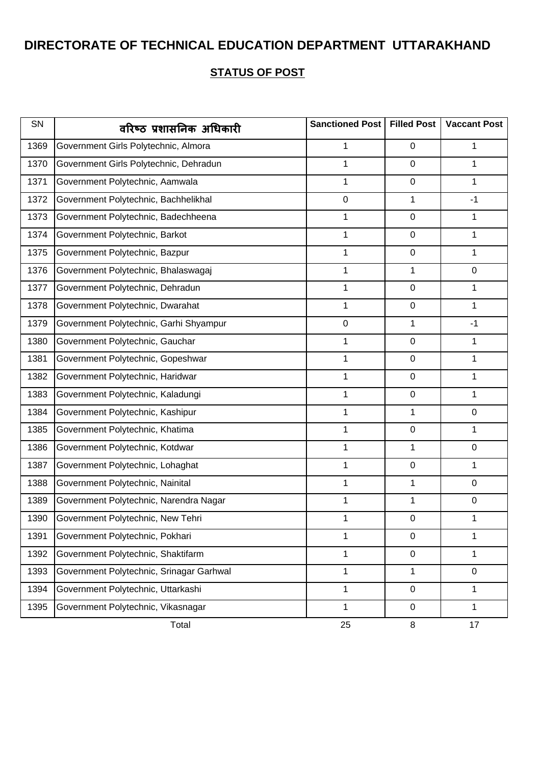| SN   | वरिष्ठ प्रशासनिक अधिकारी                 | Sanctioned Post | <b>Filled Post</b> | <b>Vaccant Post</b> |
|------|------------------------------------------|-----------------|--------------------|---------------------|
| 1369 | Government Girls Polytechnic, Almora     | 1               | $\mathbf 0$        | 1                   |
| 1370 | Government Girls Polytechnic, Dehradun   | 1               | $\mathbf 0$        | 1                   |
| 1371 | Government Polytechnic, Aamwala          | 1               | $\mathbf 0$        | 1                   |
| 1372 | Government Polytechnic, Bachhelikhal     | $\mathbf 0$     | 1                  | $-1$                |
| 1373 | Government Polytechnic, Badechheena      | 1               | $\pmb{0}$          | 1                   |
| 1374 | Government Polytechnic, Barkot           | 1               | $\pmb{0}$          | 1                   |
| 1375 | Government Polytechnic, Bazpur           | 1               | $\boldsymbol{0}$   | 1                   |
| 1376 | Government Polytechnic, Bhalaswagaj      | 1               | 1                  | $\mathbf 0$         |
| 1377 | Government Polytechnic, Dehradun         | 1               | $\pmb{0}$          | 1                   |
| 1378 | Government Polytechnic, Dwarahat         | 1               | $\pmb{0}$          | $\mathbf{1}$        |
| 1379 | Government Polytechnic, Garhi Shyampur   | $\pmb{0}$       | 1                  | $-1$                |
| 1380 | Government Polytechnic, Gauchar          | 1               | $\mathbf 0$        | 1                   |
| 1381 | Government Polytechnic, Gopeshwar        | 1               | $\pmb{0}$          | 1                   |
| 1382 | Government Polytechnic, Haridwar         | 1               | $\mathbf 0$        | $\mathbf{1}$        |
| 1383 | Government Polytechnic, Kaladungi        | 1               | $\pmb{0}$          | 1                   |
| 1384 | Government Polytechnic, Kashipur         | 1               | 1                  | 0                   |
| 1385 | Government Polytechnic, Khatima          | 1               | $\pmb{0}$          | 1                   |
| 1386 | Government Polytechnic, Kotdwar          | 1               | 1                  | $\mathbf 0$         |
| 1387 | Government Polytechnic, Lohaghat         | 1               | $\boldsymbol{0}$   | 1                   |
| 1388 | Government Polytechnic, Nainital         | 1               | 1                  | 0                   |
| 1389 | Government Polytechnic, Narendra Nagar   | 1               | 1                  | 0                   |
| 1390 | Government Polytechnic, New Tehri        | 1               | 0                  | 1                   |
| 1391 | Government Polytechnic, Pokhari          | 1               | $\pmb{0}$          | 1                   |
| 1392 | Government Polytechnic, Shaktifarm       | 1               | $\pmb{0}$          | 1                   |
| 1393 | Government Polytechnic, Srinagar Garhwal | 1               | 1                  | 0                   |
| 1394 | Government Polytechnic, Uttarkashi       | $\mathbf 1$     | $\pmb{0}$          | 1                   |
| 1395 | Government Polytechnic, Vikasnagar       | 1               | $\pmb{0}$          | 1                   |
|      | Total                                    | 25              | 8                  | 17                  |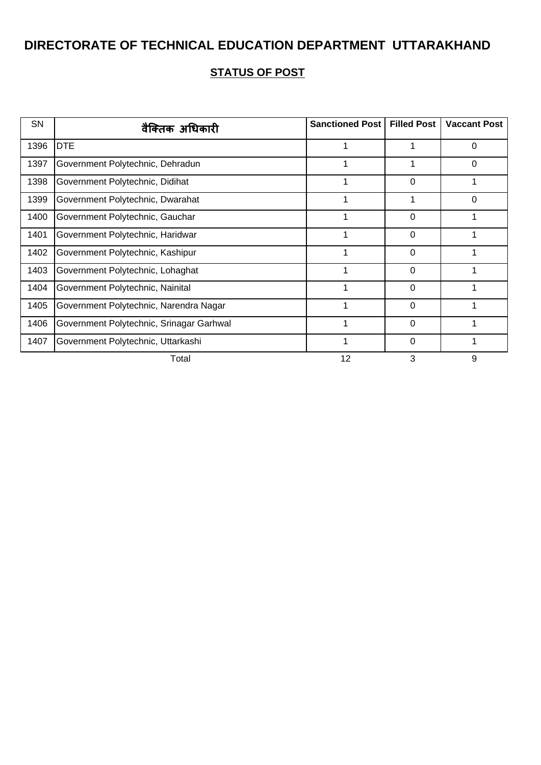| SN   | वैक्तिक अधिकारी                          | <b>Sanctioned Post</b> | <b>Filled Post</b> | <b>Vaccant Post</b> |
|------|------------------------------------------|------------------------|--------------------|---------------------|
| 1396 | <b>DTE</b>                               | 1                      | 1                  | $\Omega$            |
| 1397 | Government Polytechnic, Dehradun         | 1                      |                    | 0                   |
| 1398 | Government Polytechnic, Didihat          |                        | 0                  |                     |
| 1399 | Government Polytechnic, Dwarahat         |                        |                    | 0                   |
| 1400 | Government Polytechnic, Gauchar          |                        | 0                  |                     |
| 1401 | Government Polytechnic, Haridwar         |                        | 0                  |                     |
| 1402 | Government Polytechnic, Kashipur         |                        | 0                  |                     |
| 1403 | Government Polytechnic, Lohaghat         |                        | 0                  |                     |
| 1404 | Government Polytechnic, Nainital         |                        | $\Omega$           |                     |
| 1405 | Government Polytechnic, Narendra Nagar   |                        | 0                  |                     |
| 1406 | Government Polytechnic, Srinagar Garhwal |                        | 0                  |                     |
| 1407 | Government Polytechnic, Uttarkashi       |                        | 0                  |                     |
|      | Total                                    | 12                     | 3                  | 9                   |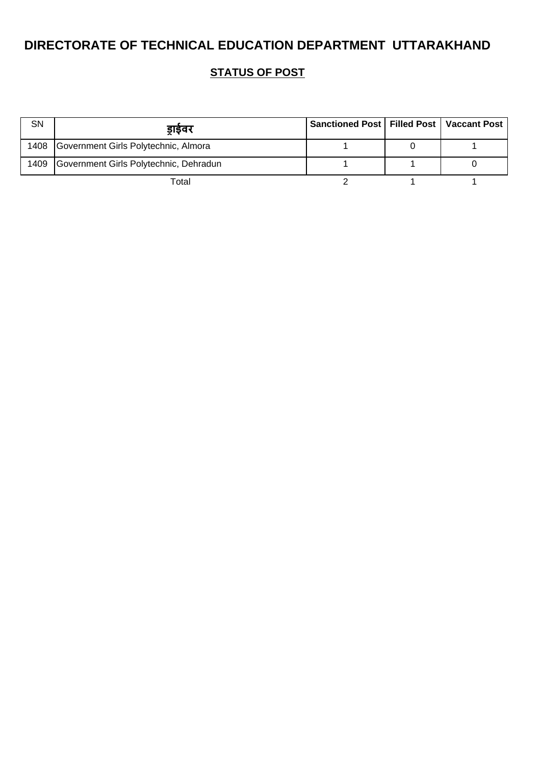| <b>SN</b> | डाईवर                                     | Sanctioned Post   Filled Post   Vaccant Post |  |
|-----------|-------------------------------------------|----------------------------------------------|--|
|           | 1408 Government Girls Polytechnic, Almora |                                              |  |
| 1409      | Government Girls Polytechnic, Dehradun    |                                              |  |
|           | Total                                     |                                              |  |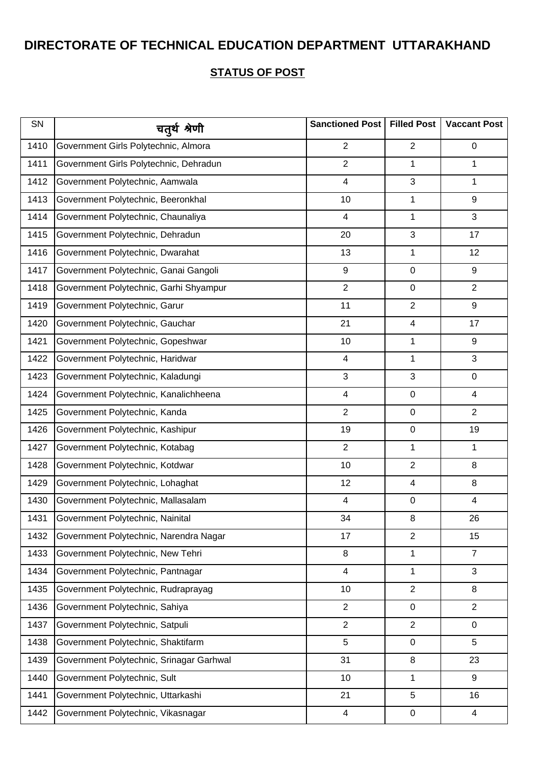| SN   | चतुर्थ श्रेणी                            | Sanctioned Post         | <b>Filled Post</b>      | <b>Vaccant Post</b> |
|------|------------------------------------------|-------------------------|-------------------------|---------------------|
| 1410 | Government Girls Polytechnic, Almora     | $\overline{2}$          | $\overline{2}$          | $\mathbf 0$         |
| 1411 | Government Girls Polytechnic, Dehradun   | $\overline{2}$          | 1                       | $\mathbf 1$         |
| 1412 | Government Polytechnic, Aamwala          | $\overline{\mathbf{4}}$ | 3                       | $\mathbf 1$         |
| 1413 | Government Polytechnic, Beeronkhal       | 10                      | 1                       | 9                   |
| 1414 | Government Polytechnic, Chaunaliya       | $\overline{\mathbf{4}}$ | $\mathbf{1}$            | 3                   |
| 1415 | Government Polytechnic, Dehradun         | 20                      | 3                       | 17                  |
| 1416 | Government Polytechnic, Dwarahat         | 13                      | 1                       | 12                  |
| 1417 | Government Polytechnic, Ganai Gangoli    | 9                       | $\pmb{0}$               | 9                   |
| 1418 | Government Polytechnic, Garhi Shyampur   | $\overline{2}$          | $\pmb{0}$               | $\overline{2}$      |
| 1419 | Government Polytechnic, Garur            | 11                      | $\overline{2}$          | 9                   |
| 1420 | Government Polytechnic, Gauchar          | 21                      | $\overline{\mathbf{4}}$ | 17                  |
| 1421 | Government Polytechnic, Gopeshwar        | 10                      | 1                       | 9                   |
| 1422 | Government Polytechnic, Haridwar         | $\overline{\mathbf{4}}$ | $\mathbf{1}$            | 3                   |
| 1423 | Government Polytechnic, Kaladungi        | 3                       | 3                       | 0                   |
| 1424 | Government Polytechnic, Kanalichheena    | $\overline{\mathbf{4}}$ | $\pmb{0}$               | $\overline{4}$      |
| 1425 | Government Polytechnic, Kanda            | $\overline{2}$          | $\pmb{0}$               | 2                   |
| 1426 | Government Polytechnic, Kashipur         | 19                      | $\pmb{0}$               | 19                  |
| 1427 | Government Polytechnic, Kotabag          | $\overline{2}$          | 1                       | $\mathbf 1$         |
| 1428 | Government Polytechnic, Kotdwar          | 10                      | $\overline{2}$          | 8                   |
| 1429 | Government Polytechnic, Lohaghat         | 12                      | 4                       | 8                   |
| 1430 | Government Polytechnic, Mallasalam       | $\overline{\mathbf{4}}$ | $\pmb{0}$               | $\overline{4}$      |
| 1431 | Government Polytechnic, Nainital         | 34                      | 8                       | 26                  |
| 1432 | Government Polytechnic, Narendra Nagar   | 17                      | $\overline{c}$          | 15                  |
| 1433 | Government Polytechnic, New Tehri        | 8                       | 1                       | $\overline{7}$      |
| 1434 | Government Polytechnic, Pantnagar        | $\overline{\mathbf{4}}$ | 1                       | 3                   |
| 1435 | Government Polytechnic, Rudraprayag      | 10                      | $\overline{2}$          | 8                   |
| 1436 | Government Polytechnic, Sahiya           | $\overline{2}$          | $\pmb{0}$               | $\overline{2}$      |
| 1437 | Government Polytechnic, Satpuli          | $\overline{2}$          | $\overline{2}$          | 0                   |
| 1438 | Government Polytechnic, Shaktifarm       | 5                       | $\pmb{0}$               | 5                   |
| 1439 | Government Polytechnic, Srinagar Garhwal | 31                      | 8                       | 23                  |
| 1440 | Government Polytechnic, Sult             | 10                      | $\mathbf{1}$            | 9                   |
| 1441 | Government Polytechnic, Uttarkashi       | 21                      | 5                       | 16                  |
| 1442 | Government Polytechnic, Vikasnagar       | 4                       | $\pmb{0}$               | $\overline{4}$      |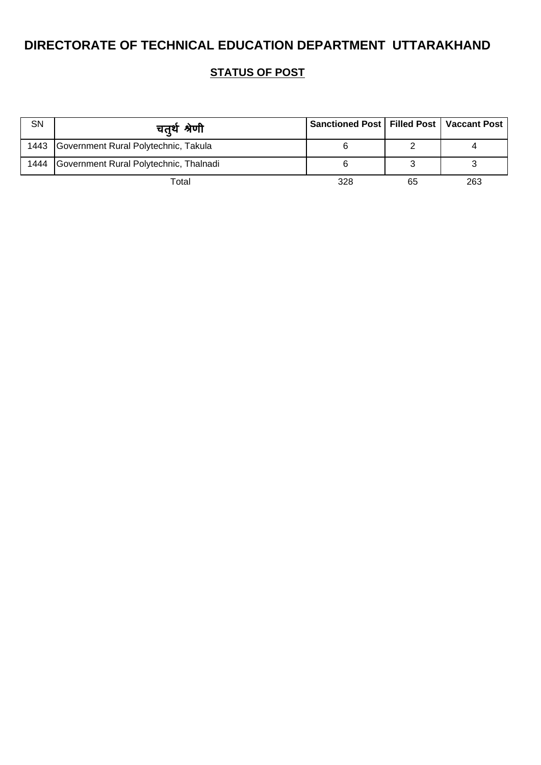| SN   | चतर्थ श्रेणी                              | Sanctioned Post   Filled Post   Vaccant Post |    |     |
|------|-------------------------------------------|----------------------------------------------|----|-----|
|      | 1443 Government Rural Polytechnic, Takula |                                              |    |     |
| 1444 | Government Rural Polytechnic, Thalnadi    |                                              |    |     |
|      | Total                                     | 328                                          | 65 | 263 |